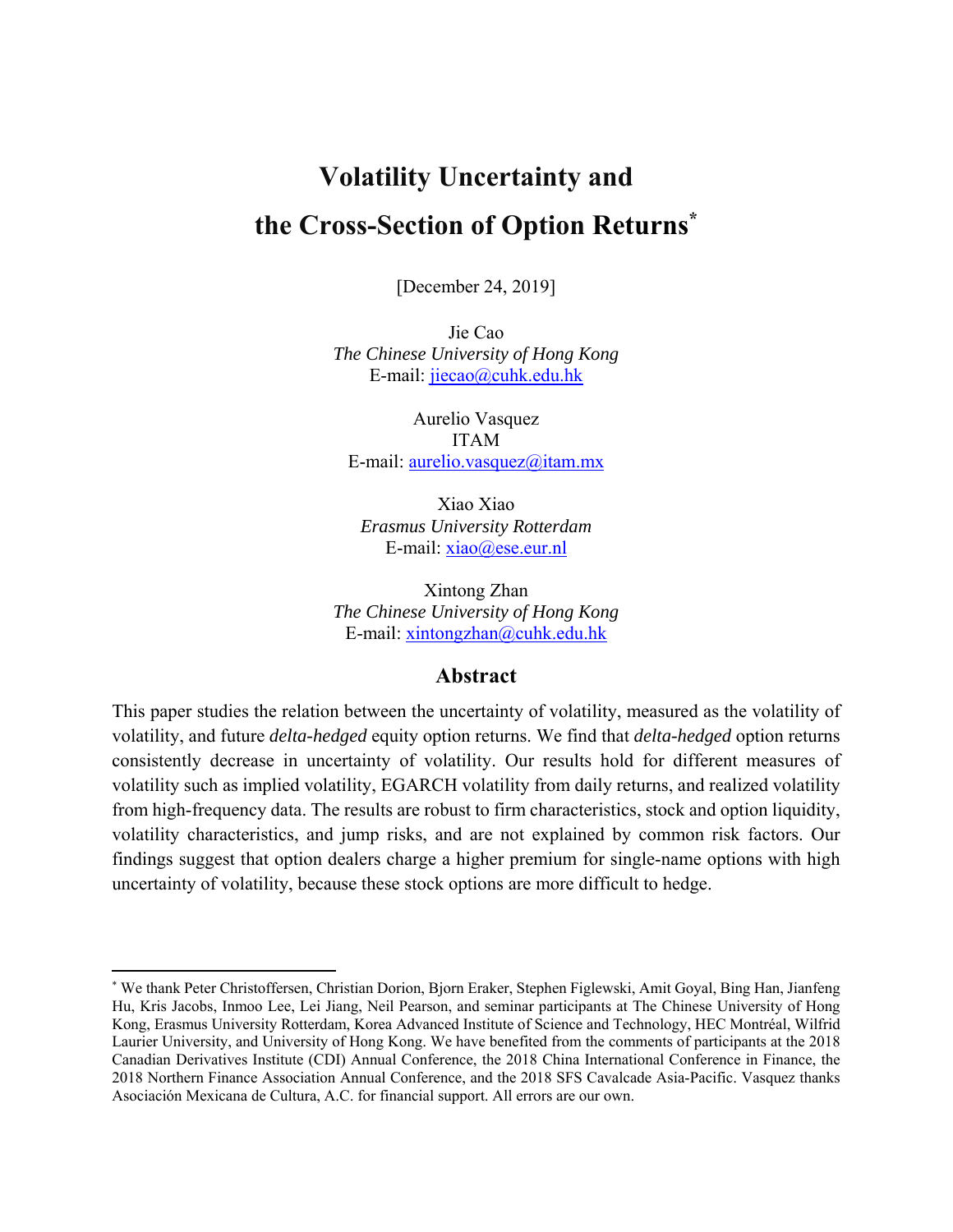# **Volatility Uncertainty and the Cross-Section of Option Returns\***

[December 24, 2019]

Jie Cao *The Chinese University of Hong Kong*  E-mail: jiecao@cuhk.edu.hk

Aurelio Vasquez ITAM E-mail: aurelio.vasquez@itam.mx

Xiao Xiao *Erasmus University Rotterdam*  E-mail: xiao@ese.eur.nl

Xintong Zhan *The Chinese University of Hong Kong*  E-mail: xintongzhan@cuhk.edu.hk

#### **Abstract**

This paper studies the relation between the uncertainty of volatility, measured as the volatility of volatility, and future *delta-hedged* equity option returns. We find that *delta-hedged* option returns consistently decrease in uncertainty of volatility. Our results hold for different measures of volatility such as implied volatility, EGARCH volatility from daily returns, and realized volatility from high-frequency data. The results are robust to firm characteristics, stock and option liquidity, volatility characteristics, and jump risks, and are not explained by common risk factors. Our findings suggest that option dealers charge a higher premium for single-name options with high uncertainty of volatility, because these stock options are more difficult to hedge.

<sup>\*</sup> We thank Peter Christoffersen, Christian Dorion, Bjorn Eraker, Stephen Figlewski, Amit Goyal, Bing Han, Jianfeng Hu, Kris Jacobs, Inmoo Lee, Lei Jiang, Neil Pearson, and seminar participants at The Chinese University of Hong Kong, Erasmus University Rotterdam, Korea Advanced Institute of Science and Technology, HEC Montréal, Wilfrid Laurier University, and University of Hong Kong. We have benefited from the comments of participants at the 2018 Canadian Derivatives Institute (CDI) Annual Conference, the 2018 China International Conference in Finance, the 2018 Northern Finance Association Annual Conference, and the 2018 SFS Cavalcade Asia-Pacific. Vasquez thanks Asociación Mexicana de Cultura, A.C. for financial support. All errors are our own.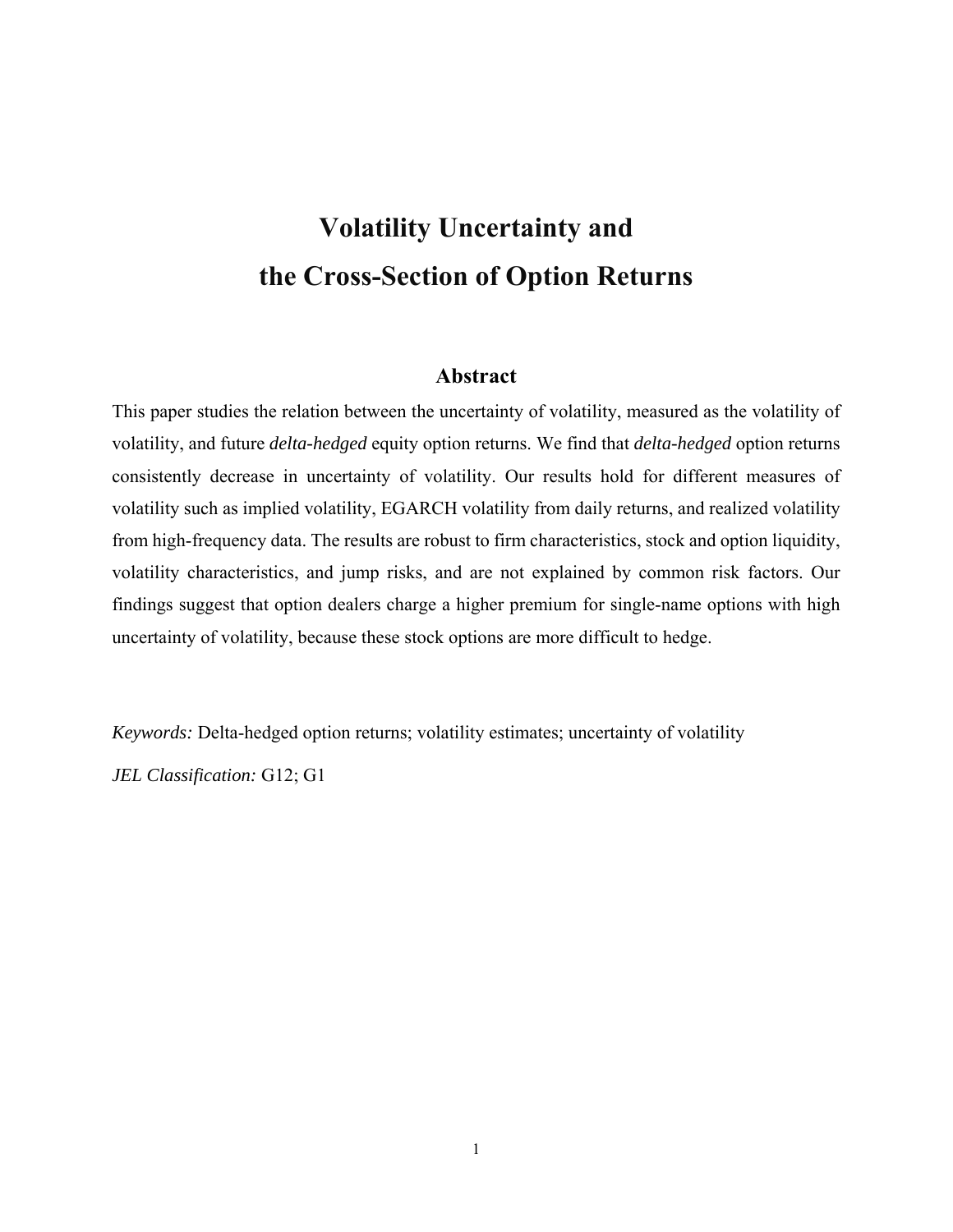# **Volatility Uncertainty and the Cross-Section of Option Returns**

#### **Abstract**

This paper studies the relation between the uncertainty of volatility, measured as the volatility of volatility, and future *delta-hedged* equity option returns. We find that *delta-hedged* option returns consistently decrease in uncertainty of volatility. Our results hold for different measures of volatility such as implied volatility, EGARCH volatility from daily returns, and realized volatility from high-frequency data. The results are robust to firm characteristics, stock and option liquidity, volatility characteristics, and jump risks, and are not explained by common risk factors. Our findings suggest that option dealers charge a higher premium for single-name options with high uncertainty of volatility, because these stock options are more difficult to hedge.

*Keywords:* Delta-hedged option returns; volatility estimates; uncertainty of volatility

*JEL Classification:* G12; G1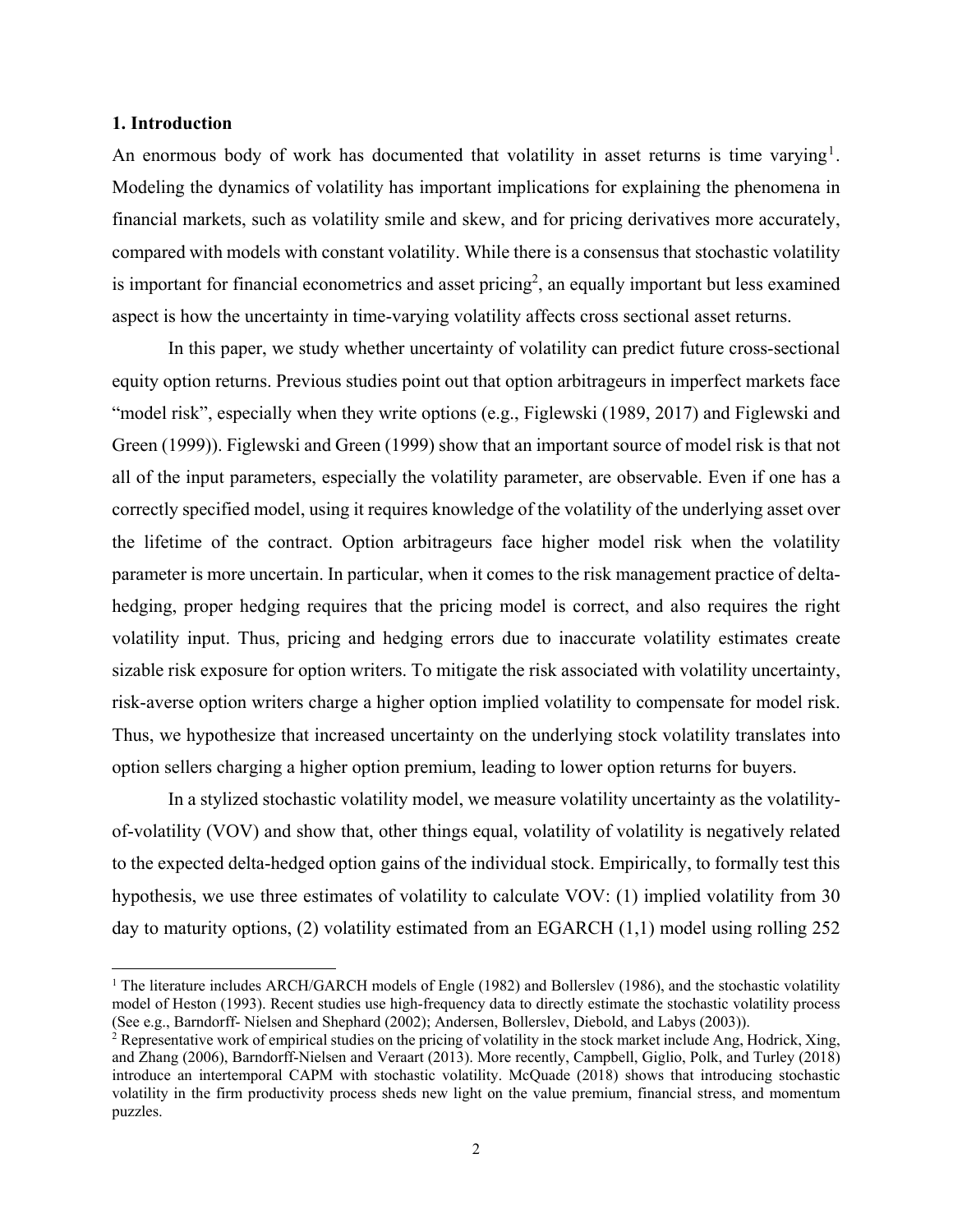#### **1. Introduction**

An enormous body of work has documented that volatility in asset returns is time varying<sup>1</sup>. Modeling the dynamics of volatility has important implications for explaining the phenomena in financial markets, such as volatility smile and skew, and for pricing derivatives more accurately, compared with models with constant volatility. While there is a consensus that stochastic volatility is important for financial econometrics and asset pricing<sup>2</sup>, an equally important but less examined aspect is how the uncertainty in time-varying volatility affects cross sectional asset returns.

In this paper, we study whether uncertainty of volatility can predict future cross-sectional equity option returns. Previous studies point out that option arbitrageurs in imperfect markets face "model risk", especially when they write options (e.g., Figlewski (1989, 2017) and Figlewski and Green (1999)). Figlewski and Green (1999) show that an important source of model risk is that not all of the input parameters, especially the volatility parameter, are observable. Even if one has a correctly specified model, using it requires knowledge of the volatility of the underlying asset over the lifetime of the contract. Option arbitrageurs face higher model risk when the volatility parameter is more uncertain. In particular, when it comes to the risk management practice of deltahedging, proper hedging requires that the pricing model is correct, and also requires the right volatility input. Thus, pricing and hedging errors due to inaccurate volatility estimates create sizable risk exposure for option writers. To mitigate the risk associated with volatility uncertainty, risk-averse option writers charge a higher option implied volatility to compensate for model risk. Thus, we hypothesize that increased uncertainty on the underlying stock volatility translates into option sellers charging a higher option premium, leading to lower option returns for buyers.

In a stylized stochastic volatility model, we measure volatility uncertainty as the volatilityof-volatility (VOV) and show that, other things equal, volatility of volatility is negatively related to the expected delta-hedged option gains of the individual stock. Empirically, to formally test this hypothesis, we use three estimates of volatility to calculate VOV: (1) implied volatility from 30 day to maturity options, (2) volatility estimated from an EGARCH (1,1) model using rolling 252

<sup>&</sup>lt;sup>1</sup> The literature includes ARCH/GARCH models of Engle (1982) and Bollerslev (1986), and the stochastic volatility model of Heston (1993). Recent studies use high-frequency data to directly estimate the stochastic volatility process (See e.g., Barndorff- Nielsen and Shephard (2002); Andersen, Bollerslev, Diebold, and Labys (2003)). 2

<sup>&</sup>lt;sup>2</sup> Representative work of empirical studies on the pricing of volatility in the stock market include Ang, Hodrick, Xing, and Zhang (2006), Barndorff-Nielsen and Veraart (2013). More recently, Campbell, Giglio, Polk, and Turley (2018) introduce an intertemporal CAPM with stochastic volatility. McQuade (2018) shows that introducing stochastic volatility in the firm productivity process sheds new light on the value premium, financial stress, and momentum puzzles.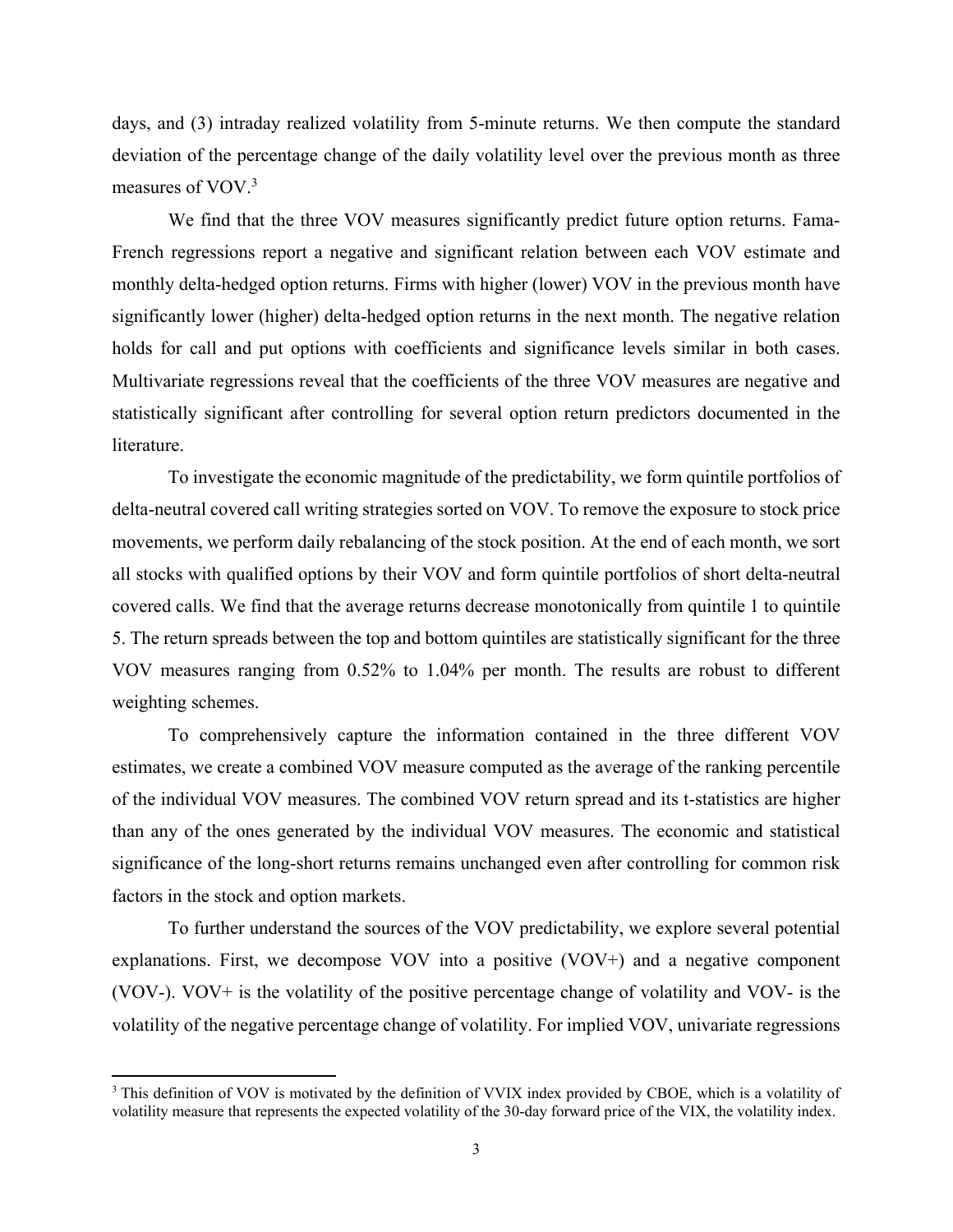days, and (3) intraday realized volatility from 5-minute returns. We then compute the standard deviation of the percentage change of the daily volatility level over the previous month as three measures of VOV.<sup>3</sup>

We find that the three VOV measures significantly predict future option returns. Fama-French regressions report a negative and significant relation between each VOV estimate and monthly delta-hedged option returns. Firms with higher (lower) VOV in the previous month have significantly lower (higher) delta-hedged option returns in the next month. The negative relation holds for call and put options with coefficients and significance levels similar in both cases. Multivariate regressions reveal that the coefficients of the three VOV measures are negative and statistically significant after controlling for several option return predictors documented in the literature.

To investigate the economic magnitude of the predictability, we form quintile portfolios of delta-neutral covered call writing strategies sorted on VOV. To remove the exposure to stock price movements, we perform daily rebalancing of the stock position. At the end of each month, we sort all stocks with qualified options by their VOV and form quintile portfolios of short delta-neutral covered calls. We find that the average returns decrease monotonically from quintile 1 to quintile 5. The return spreads between the top and bottom quintiles are statistically significant for the three VOV measures ranging from 0.52% to 1.04% per month. The results are robust to different weighting schemes.

To comprehensively capture the information contained in the three different VOV estimates, we create a combined VOV measure computed as the average of the ranking percentile of the individual VOV measures. The combined VOV return spread and its t-statistics are higher than any of the ones generated by the individual VOV measures. The economic and statistical significance of the long-short returns remains unchanged even after controlling for common risk factors in the stock and option markets.

To further understand the sources of the VOV predictability, we explore several potential explanations. First, we decompose VOV into a positive (VOV+) and a negative component (VOV-). VOV+ is the volatility of the positive percentage change of volatility and VOV- is the volatility of the negative percentage change of volatility. For implied VOV, univariate regressions

<sup>&</sup>lt;sup>3</sup> This definition of VOV is motivated by the definition of VVIX index provided by CBOE, which is a volatility of volatility measure that represents the expected volatility of the 30-day forward price of the VIX, the volatility index.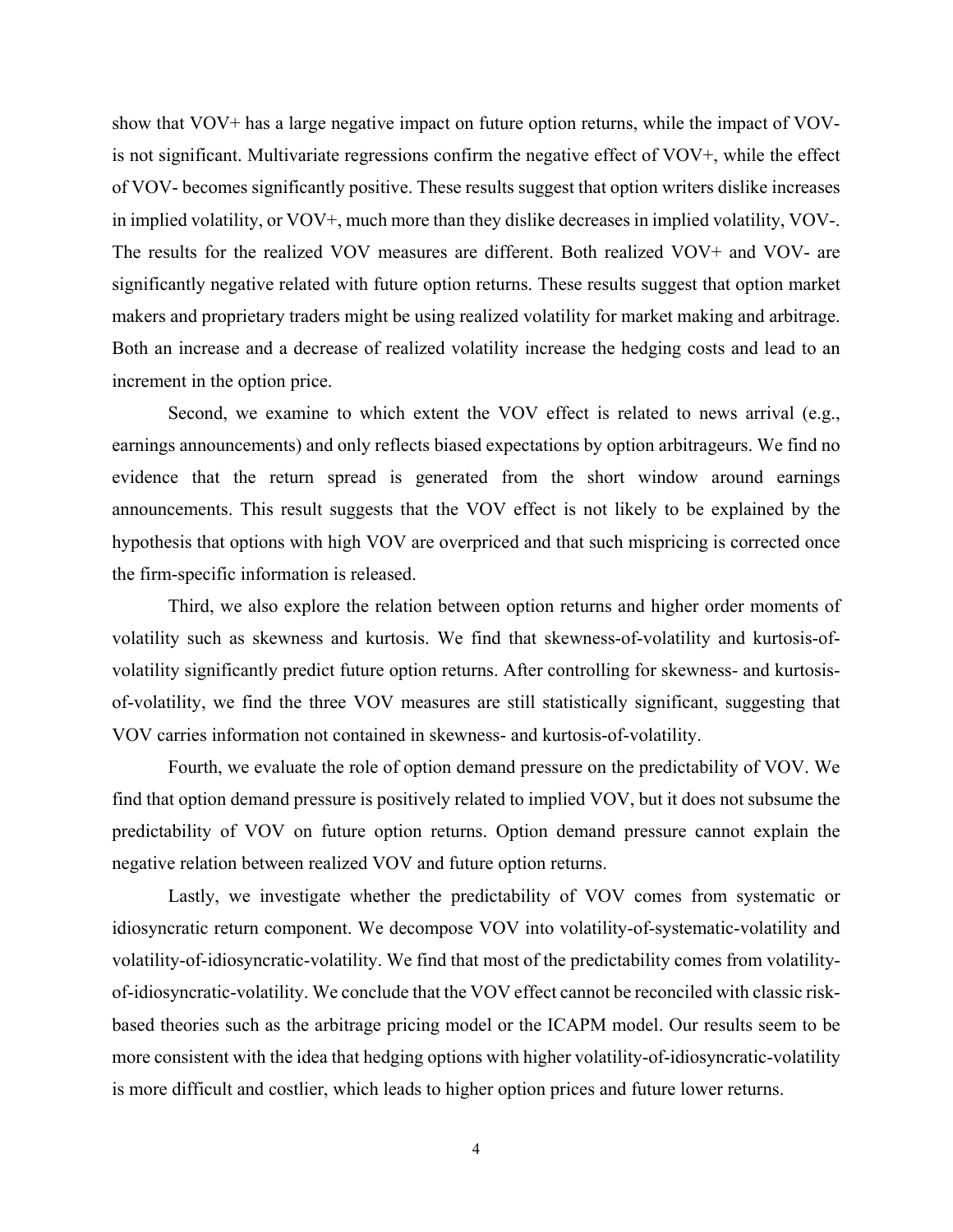show that VOV+ has a large negative impact on future option returns, while the impact of VOVis not significant. Multivariate regressions confirm the negative effect of VOV+, while the effect of VOV- becomes significantly positive. These results suggest that option writers dislike increases in implied volatility, or VOV+, much more than they dislike decreases in implied volatility, VOV-. The results for the realized VOV measures are different. Both realized VOV+ and VOV- are significantly negative related with future option returns. These results suggest that option market makers and proprietary traders might be using realized volatility for market making and arbitrage. Both an increase and a decrease of realized volatility increase the hedging costs and lead to an increment in the option price.

Second, we examine to which extent the VOV effect is related to news arrival (e.g., earnings announcements) and only reflects biased expectations by option arbitrageurs. We find no evidence that the return spread is generated from the short window around earnings announcements. This result suggests that the VOV effect is not likely to be explained by the hypothesis that options with high VOV are overpriced and that such mispricing is corrected once the firm-specific information is released.

Third, we also explore the relation between option returns and higher order moments of volatility such as skewness and kurtosis. We find that skewness-of-volatility and kurtosis-ofvolatility significantly predict future option returns. After controlling for skewness- and kurtosisof-volatility, we find the three VOV measures are still statistically significant, suggesting that VOV carries information not contained in skewness- and kurtosis-of-volatility.

Fourth, we evaluate the role of option demand pressure on the predictability of VOV. We find that option demand pressure is positively related to implied VOV, but it does not subsume the predictability of VOV on future option returns. Option demand pressure cannot explain the negative relation between realized VOV and future option returns.

Lastly, we investigate whether the predictability of VOV comes from systematic or idiosyncratic return component. We decompose VOV into volatility-of-systematic-volatility and volatility-of-idiosyncratic-volatility. We find that most of the predictability comes from volatilityof-idiosyncratic-volatility. We conclude that the VOV effect cannot be reconciled with classic riskbased theories such as the arbitrage pricing model or the ICAPM model. Our results seem to be more consistent with the idea that hedging options with higher volatility-of-idiosyncratic-volatility is more difficult and costlier, which leads to higher option prices and future lower returns.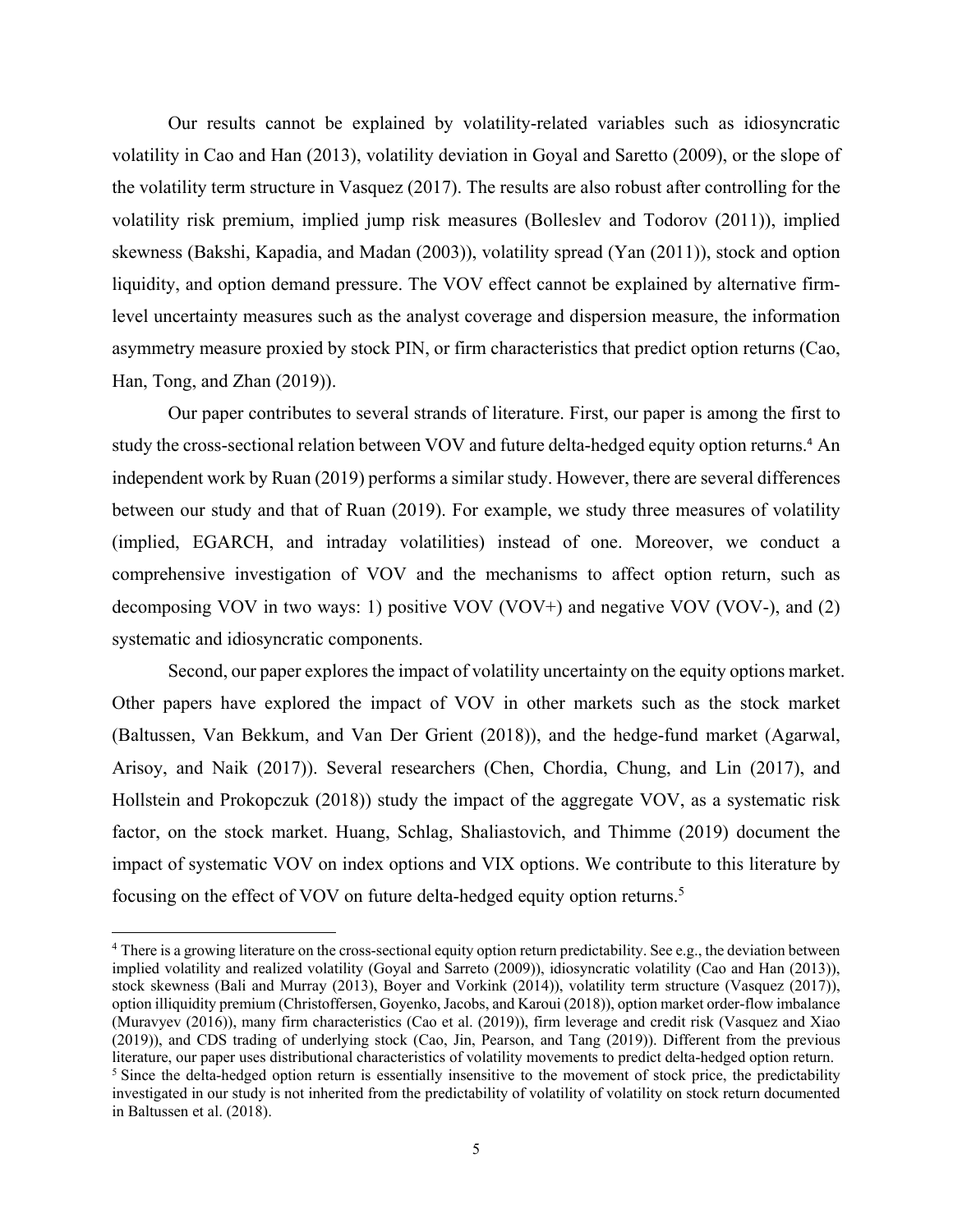Our results cannot be explained by volatility-related variables such as idiosyncratic volatility in Cao and Han (2013), volatility deviation in Goyal and Saretto (2009), or the slope of the volatility term structure in Vasquez (2017). The results are also robust after controlling for the volatility risk premium, implied jump risk measures (Bolleslev and Todorov (2011)), implied skewness (Bakshi, Kapadia, and Madan (2003)), volatility spread (Yan (2011)), stock and option liquidity, and option demand pressure. The VOV effect cannot be explained by alternative firmlevel uncertainty measures such as the analyst coverage and dispersion measure, the information asymmetry measure proxied by stock PIN, or firm characteristics that predict option returns (Cao, Han, Tong, and Zhan (2019)).

Our paper contributes to several strands of literature. First, our paper is among the first to study the cross-sectional relation between VOV and future delta-hedged equity option returns.<sup>4</sup> An independent work by Ruan (2019) performs a similar study. However, there are several differences between our study and that of Ruan (2019). For example, we study three measures of volatility (implied, EGARCH, and intraday volatilities) instead of one. Moreover, we conduct a comprehensive investigation of VOV and the mechanisms to affect option return, such as decomposing VOV in two ways: 1) positive VOV (VOV+) and negative VOV (VOV-), and (2) systematic and idiosyncratic components.

Second, our paper explores the impact of volatility uncertainty on the equity options market. Other papers have explored the impact of VOV in other markets such as the stock market (Baltussen, Van Bekkum, and Van Der Grient (2018)), and the hedge-fund market (Agarwal, Arisoy, and Naik (2017)). Several researchers (Chen, Chordia, Chung, and Lin (2017), and Hollstein and Prokopczuk (2018)) study the impact of the aggregate VOV, as a systematic risk factor, on the stock market. Huang, Schlag, Shaliastovich, and Thimme (2019) document the impact of systematic VOV on index options and VIX options. We contribute to this literature by focusing on the effect of VOV on future delta-hedged equity option returns.<sup>5</sup>

<sup>&</sup>lt;sup>4</sup> There is a growing literature on the cross-sectional equity option return predictability. See e.g., the deviation between implied volatility and realized volatility (Goyal and Sarreto (2009)), idiosyncratic volatility (Cao and Han (2013)), stock skewness (Bali and Murray (2013), Boyer and Vorkink (2014)), volatility term structure (Vasquez (2017)), option illiquidity premium (Christoffersen, Goyenko, Jacobs, and Karoui (2018)), option market order-flow imbalance (Muravyev (2016)), many firm characteristics (Cao et al. (2019)), firm leverage and credit risk (Vasquez and Xiao (2019)), and CDS trading of underlying stock (Cao, Jin, Pearson, and Tang (2019)). Different from the previous literature, our paper uses distributional characteristics of volatility movements to predict delta-hedged option return. 5 <sup>5</sup> Since the delta-hedged option return is essentially insensitive to the movement of stock price, the predictability investigated in our study is not inherited from the predictability of volatility of volatility on stock return documented in Baltussen et al. (2018).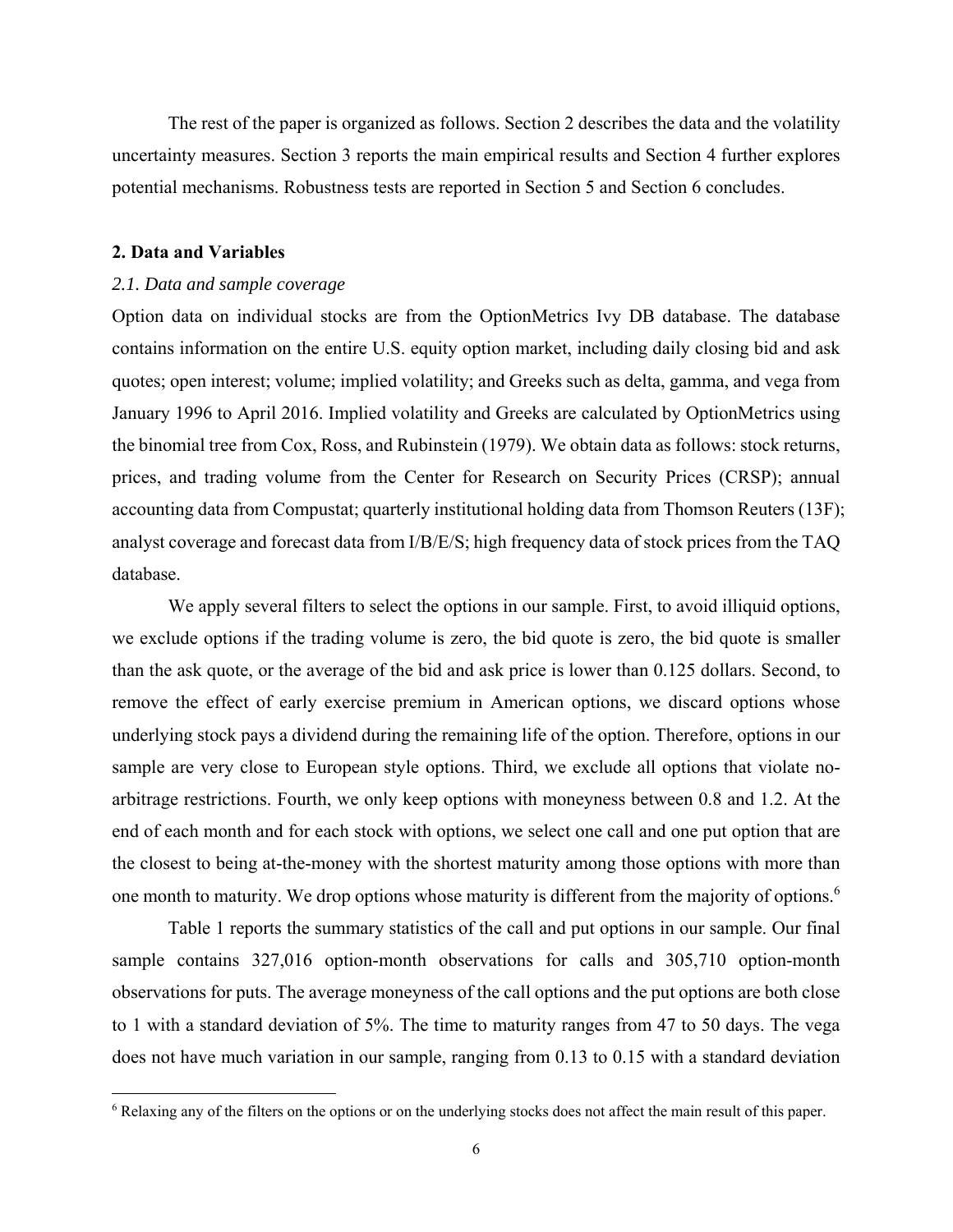The rest of the paper is organized as follows. Section 2 describes the data and the volatility uncertainty measures. Section 3 reports the main empirical results and Section 4 further explores potential mechanisms. Robustness tests are reported in Section 5 and Section 6 concludes.

#### **2. Data and Variables**

#### *2.1. Data and sample coverage*

Option data on individual stocks are from the OptionMetrics Ivy DB database. The database contains information on the entire U.S. equity option market, including daily closing bid and ask quotes; open interest; volume; implied volatility; and Greeks such as delta, gamma, and vega from January 1996 to April 2016. Implied volatility and Greeks are calculated by OptionMetrics using the binomial tree from Cox, Ross, and Rubinstein (1979). We obtain data as follows: stock returns, prices, and trading volume from the Center for Research on Security Prices (CRSP); annual accounting data from Compustat; quarterly institutional holding data from Thomson Reuters (13F); analyst coverage and forecast data from I/B/E/S; high frequency data of stock prices from the TAQ database.

We apply several filters to select the options in our sample. First, to avoid illiquid options, we exclude options if the trading volume is zero, the bid quote is zero, the bid quote is smaller than the ask quote, or the average of the bid and ask price is lower than 0.125 dollars. Second, to remove the effect of early exercise premium in American options, we discard options whose underlying stock pays a dividend during the remaining life of the option. Therefore, options in our sample are very close to European style options. Third, we exclude all options that violate noarbitrage restrictions. Fourth, we only keep options with moneyness between 0.8 and 1.2. At the end of each month and for each stock with options, we select one call and one put option that are the closest to being at-the-money with the shortest maturity among those options with more than one month to maturity. We drop options whose maturity is different from the majority of options.<sup>6</sup>

Table 1 reports the summary statistics of the call and put options in our sample. Our final sample contains 327,016 option-month observations for calls and 305,710 option-month observations for puts. The average moneyness of the call options and the put options are both close to 1 with a standard deviation of 5%. The time to maturity ranges from 47 to 50 days. The vega does not have much variation in our sample, ranging from 0.13 to 0.15 with a standard deviation

<sup>&</sup>lt;sup>6</sup> Relaxing any of the filters on the options or on the underlying stocks does not affect the main result of this paper.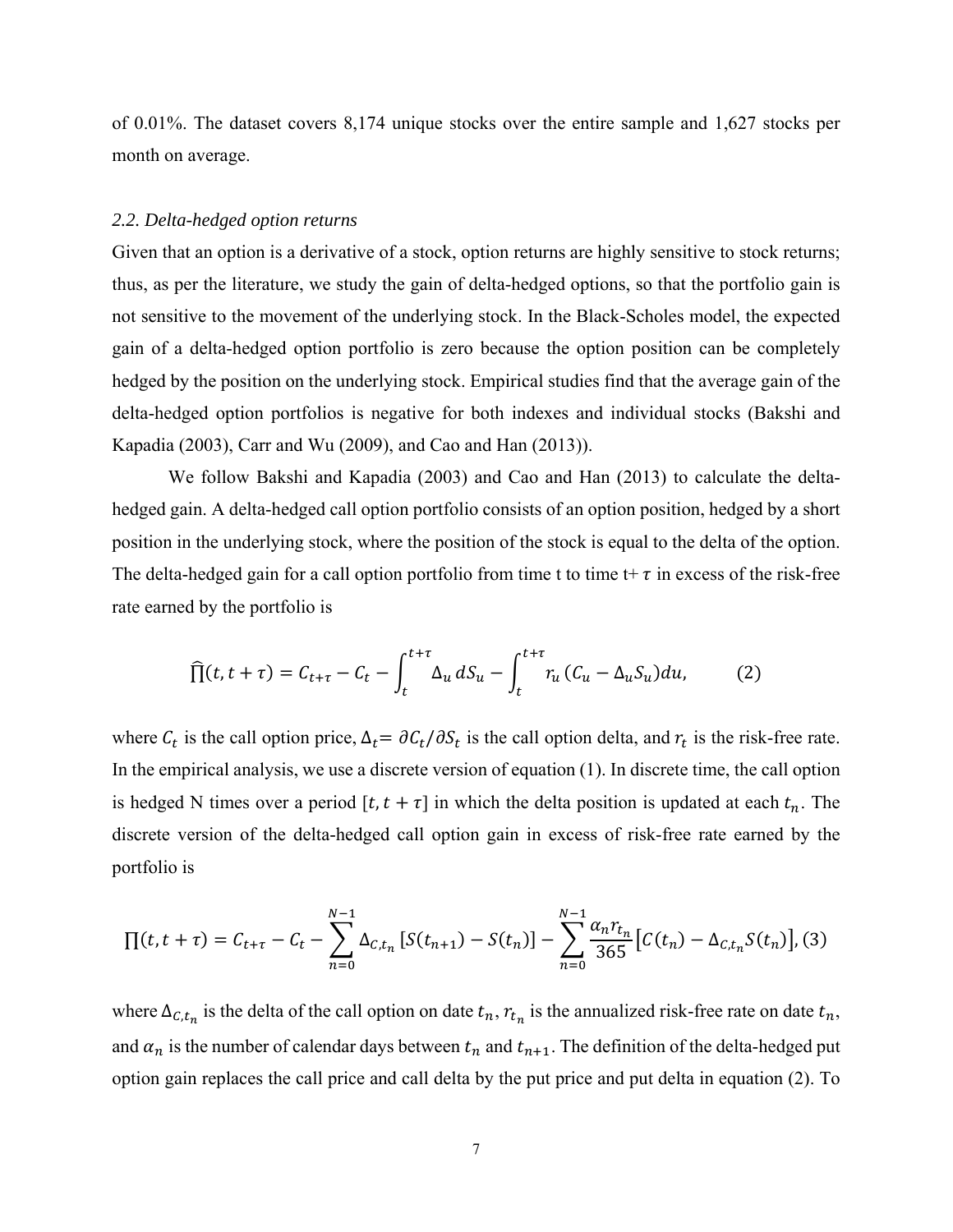of 0.01%. The dataset covers 8,174 unique stocks over the entire sample and 1,627 stocks per month on average.

#### *2.2. Delta-hedged option returns*

Given that an option is a derivative of a stock, option returns are highly sensitive to stock returns; thus, as per the literature, we study the gain of delta-hedged options, so that the portfolio gain is not sensitive to the movement of the underlying stock. In the Black-Scholes model, the expected gain of a delta-hedged option portfolio is zero because the option position can be completely hedged by the position on the underlying stock. Empirical studies find that the average gain of the delta-hedged option portfolios is negative for both indexes and individual stocks (Bakshi and Kapadia (2003), Carr and Wu (2009), and Cao and Han (2013)).

We follow Bakshi and Kapadia (2003) and Cao and Han (2013) to calculate the deltahedged gain. A delta-hedged call option portfolio consists of an option position, hedged by a short position in the underlying stock, where the position of the stock is equal to the delta of the option. The delta-hedged gain for a call option portfolio from time t to time  $t+\tau$  in excess of the risk-free rate earned by the portfolio is

$$
\widehat{\Pi}(t, t + \tau) = C_{t+\tau} - C_t - \int_t^{t+\tau} \Delta_u \, dS_u - \int_t^{t+\tau} r_u \left( C_u - \Delta_u S_u \right) du,\tag{2}
$$

where  $C_t$  is the call option price,  $\Delta_t = \partial C_t / \partial S_t$  is the call option delta, and  $r_t$  is the risk-free rate. In the empirical analysis, we use a discrete version of equation (1). In discrete time, the call option is hedged N times over a period  $[t, t + \tau]$  in which the delta position is updated at each  $t_n$ . The discrete version of the delta-hedged call option gain in excess of risk-free rate earned by the portfolio is

$$
\prod(t, t + \tau) = C_{t+\tau} - C_t - \sum_{n=0}^{N-1} \Delta_{C, t_n} \left[ S(t_{n+1}) - S(t_n) \right] - \sum_{n=0}^{N-1} \frac{\alpha_n r_{t_n}}{365} \left[ C(t_n) - \Delta_{C, t_n} S(t_n) \right], (3)
$$

where  $\Delta_{c,t_n}$  is the delta of the call option on date  $t_n$ ,  $r_{t_n}$  is the annualized risk-free rate on date  $t_n$ , and  $\alpha_n$  is the number of calendar days between  $t_n$  and  $t_{n+1}$ . The definition of the delta-hedged put option gain replaces the call price and call delta by the put price and put delta in equation (2). To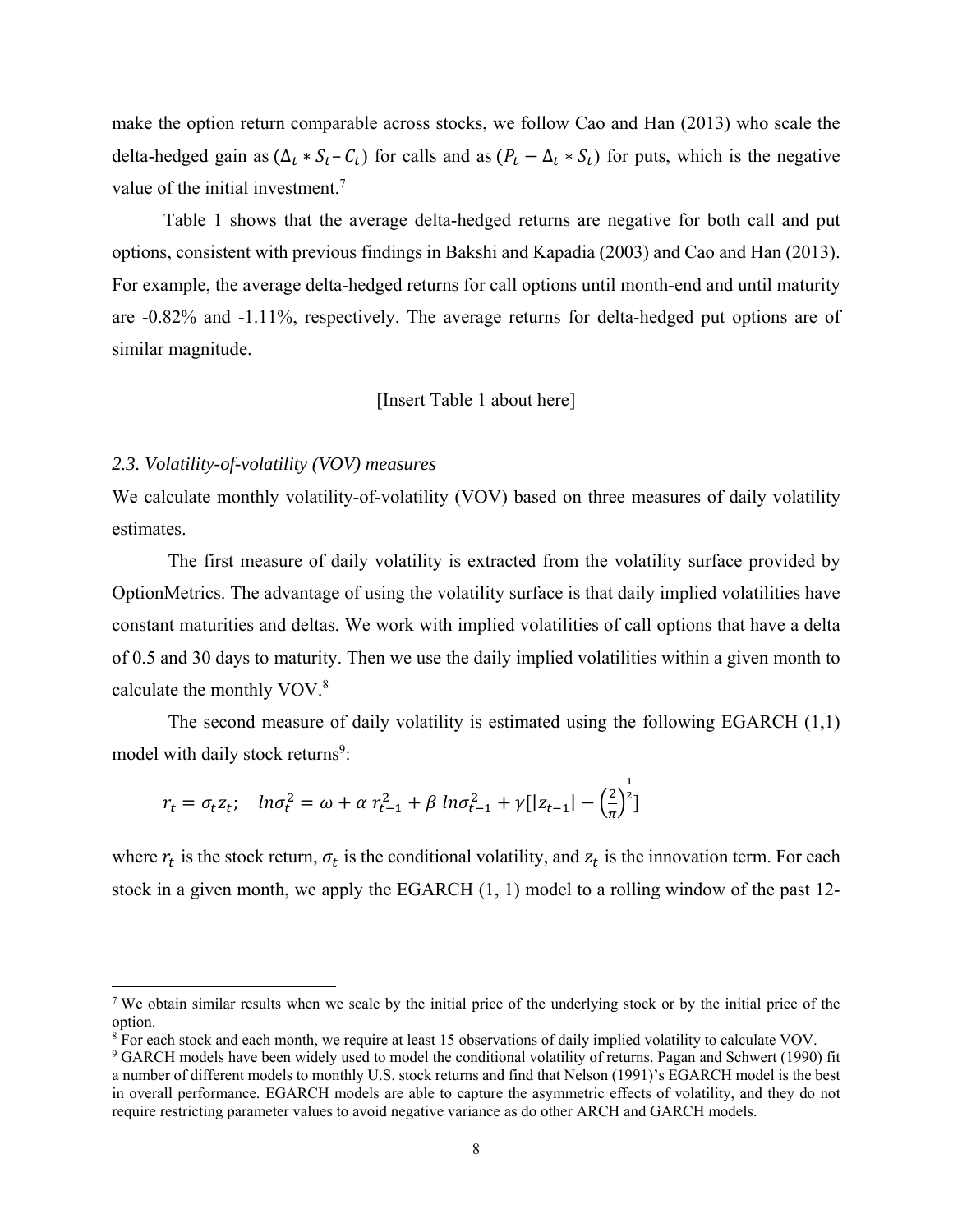make the option return comparable across stocks, we follow Cao and Han (2013) who scale the delta-hedged gain as  $(\Delta_t * S_t - C_t)$  for calls and as  $(P_t - \Delta_t * S_t)$  for puts, which is the negative value of the initial investment.<sup>7</sup>

 Table 1 shows that the average delta-hedged returns are negative for both call and put options, consistent with previous findings in Bakshi and Kapadia (2003) and Cao and Han (2013). For example, the average delta-hedged returns for call options until month-end and until maturity are -0.82% and -1.11%, respectively. The average returns for delta-hedged put options are of similar magnitude.

#### [Insert Table 1 about here]

#### *2.3. Volatility-of-volatility (VOV) measures*

We calculate monthly volatility-of-volatility (VOV) based on three measures of daily volatility estimates.

The first measure of daily volatility is extracted from the volatility surface provided by OptionMetrics. The advantage of using the volatility surface is that daily implied volatilities have constant maturities and deltas. We work with implied volatilities of call options that have a delta of 0.5 and 30 days to maturity. Then we use the daily implied volatilities within a given month to calculate the monthly VOV.<sup>8</sup>

The second measure of daily volatility is estimated using the following EGARCH  $(1,1)$ model with daily stock returns<sup>9</sup>:

$$
r_t = \sigma_t z_t; \quad \ln \sigma_t^2 = \omega + \alpha \ r_{t-1}^2 + \beta \ \ln \sigma_{t-1}^2 + \gamma [|z_{t-1}| - \left(\frac{2}{\pi}\right)^{\frac{1}{2}}]
$$

where  $r_t$  is the stock return,  $\sigma_t$  is the conditional volatility, and  $z_t$  is the innovation term. For each stock in a given month, we apply the EGARCH (1, 1) model to a rolling window of the past 12-

<sup>&</sup>lt;sup>7</sup> We obtain similar results when we scale by the initial price of the underlying stock or by the initial price of the option.

<sup>&</sup>lt;sup>8</sup> For each stock and each month, we require at least 15 observations of daily implied volatility to calculate VOV.

<sup>&</sup>lt;sup>9</sup> GARCH models have been widely used to model the conditional volatility of returns. Pagan and Schwert (1990) fit a number of different models to monthly U.S. stock returns and find that Nelson (1991)'s EGARCH model is the best in overall performance. EGARCH models are able to capture the asymmetric effects of volatility, and they do not require restricting parameter values to avoid negative variance as do other ARCH and GARCH models.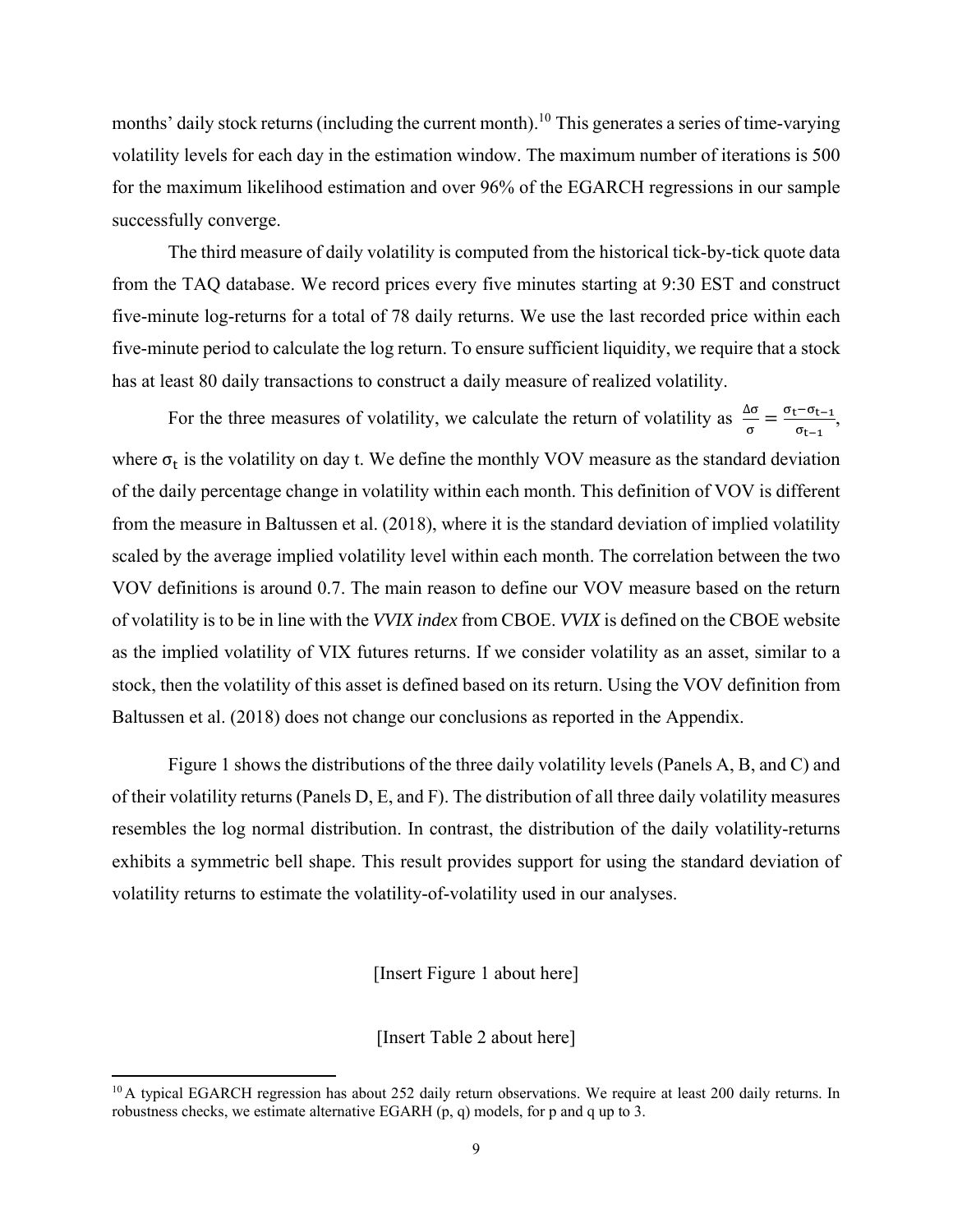months' daily stock returns (including the current month).<sup>10</sup> This generates a series of time-varying volatility levels for each day in the estimation window. The maximum number of iterations is 500 for the maximum likelihood estimation and over 96% of the EGARCH regressions in our sample successfully converge.

The third measure of daily volatility is computed from the historical tick-by-tick quote data from the TAQ database. We record prices every five minutes starting at 9:30 EST and construct five-minute log-returns for a total of 78 daily returns. We use the last recorded price within each five-minute period to calculate the log return. To ensure sufficient liquidity, we require that a stock has at least 80 daily transactions to construct a daily measure of realized volatility.

For the three measures of volatility, we calculate the return of volatility as  $\frac{\Delta \sigma}{\sigma} = \frac{\sigma_t - \sigma_{t-1}}{\sigma_{t-1}},$ where  $\sigma_t$  is the volatility on day t. We define the monthly VOV measure as the standard deviation of the daily percentage change in volatility within each month. This definition of VOV is different from the measure in Baltussen et al. (2018), where it is the standard deviation of implied volatility scaled by the average implied volatility level within each month. The correlation between the two VOV definitions is around 0.7. The main reason to define our VOV measure based on the return of volatility is to be in line with the *VVIX index* from CBOE. *VVIX* is defined on the CBOE website as the implied volatility of VIX futures returns. If we consider volatility as an asset, similar to a stock, then the volatility of this asset is defined based on its return. Using the VOV definition from Baltussen et al. (2018) does not change our conclusions as reported in the Appendix.

Figure 1 shows the distributions of the three daily volatility levels (Panels A, B, and C) and of their volatility returns (Panels D, E, and F). The distribution of all three daily volatility measures resembles the log normal distribution. In contrast, the distribution of the daily volatility-returns exhibits a symmetric bell shape. This result provides support for using the standard deviation of volatility returns to estimate the volatility-of-volatility used in our analyses.

[Insert Figure 1 about here]

[Insert Table 2 about here]

<sup>&</sup>lt;sup>10</sup> A typical EGARCH regression has about 252 daily return observations. We require at least 200 daily returns. In robustness checks, we estimate alternative EGARH (p, q) models, for p and q up to 3.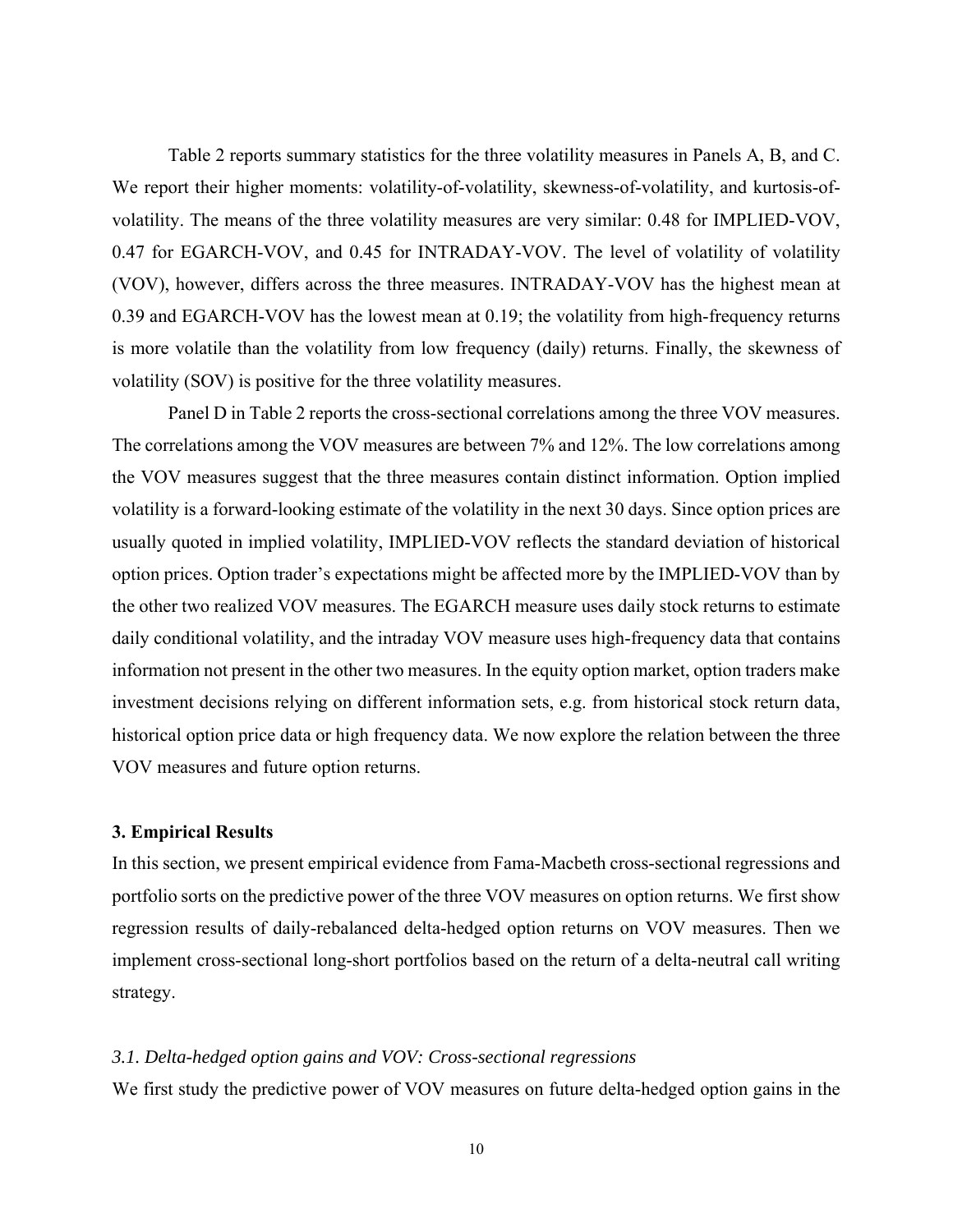Table 2 reports summary statistics for the three volatility measures in Panels A, B, and C. We report their higher moments: volatility-of-volatility, skewness-of-volatility, and kurtosis-ofvolatility. The means of the three volatility measures are very similar: 0.48 for IMPLIED-VOV, 0.47 for EGARCH-VOV, and 0.45 for INTRADAY-VOV. The level of volatility of volatility (VOV), however, differs across the three measures. INTRADAY-VOV has the highest mean at 0.39 and EGARCH-VOV has the lowest mean at 0.19; the volatility from high-frequency returns is more volatile than the volatility from low frequency (daily) returns. Finally, the skewness of volatility (SOV) is positive for the three volatility measures.

Panel D in Table 2 reports the cross-sectional correlations among the three VOV measures. The correlations among the VOV measures are between 7% and 12%. The low correlations among the VOV measures suggest that the three measures contain distinct information. Option implied volatility is a forward-looking estimate of the volatility in the next 30 days. Since option prices are usually quoted in implied volatility, IMPLIED-VOV reflects the standard deviation of historical option prices. Option trader's expectations might be affected more by the IMPLIED-VOV than by the other two realized VOV measures. The EGARCH measure uses daily stock returns to estimate daily conditional volatility, and the intraday VOV measure uses high-frequency data that contains information not present in the other two measures. In the equity option market, option traders make investment decisions relying on different information sets, e.g. from historical stock return data, historical option price data or high frequency data. We now explore the relation between the three VOV measures and future option returns.

#### **3. Empirical Results**

In this section, we present empirical evidence from Fama-Macbeth cross-sectional regressions and portfolio sorts on the predictive power of the three VOV measures on option returns. We first show regression results of daily-rebalanced delta-hedged option returns on VOV measures. Then we implement cross-sectional long-short portfolios based on the return of a delta-neutral call writing strategy.

#### *3.1. Delta-hedged option gains and VOV: Cross-sectional regressions*

We first study the predictive power of VOV measures on future delta-hedged option gains in the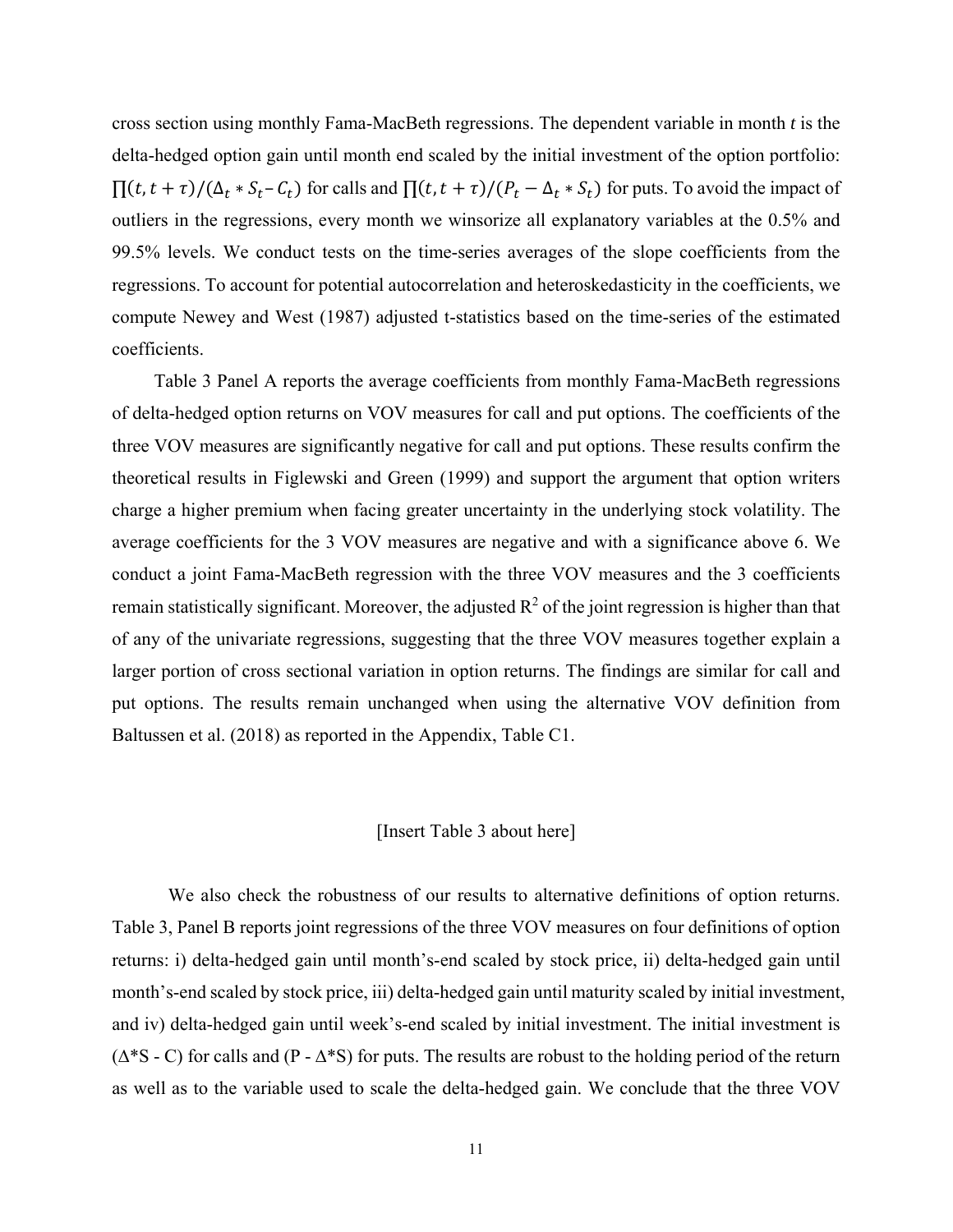cross section using monthly Fama-MacBeth regressions. The dependent variable in month *t* is the delta-hedged option gain until month end scaled by the initial investment of the option portfolio:  $\prod(t, t + \tau) / (\Delta_t * S_t - C_t)$  for calls and  $\prod(t, t + \tau) / (P_t - \Delta_t * S_t)$  for puts. To avoid the impact of outliers in the regressions, every month we winsorize all explanatory variables at the 0.5% and 99.5% levels. We conduct tests on the time-series averages of the slope coefficients from the regressions. To account for potential autocorrelation and heteroskedasticity in the coefficients, we compute Newey and West (1987) adjusted t-statistics based on the time-series of the estimated coefficients.

 Table 3 Panel A reports the average coefficients from monthly Fama-MacBeth regressions of delta-hedged option returns on VOV measures for call and put options. The coefficients of the three VOV measures are significantly negative for call and put options. These results confirm the theoretical results in Figlewski and Green (1999) and support the argument that option writers charge a higher premium when facing greater uncertainty in the underlying stock volatility. The average coefficients for the 3 VOV measures are negative and with a significance above 6. We conduct a joint Fama-MacBeth regression with the three VOV measures and the 3 coefficients remain statistically significant. Moreover, the adjusted  $R^2$  of the joint regression is higher than that of any of the univariate regressions, suggesting that the three VOV measures together explain a larger portion of cross sectional variation in option returns. The findings are similar for call and put options. The results remain unchanged when using the alternative VOV definition from Baltussen et al. (2018) as reported in the Appendix, Table C1.

#### [Insert Table 3 about here]

We also check the robustness of our results to alternative definitions of option returns. Table 3, Panel B reports joint regressions of the three VOV measures on four definitions of option returns: i) delta-hedged gain until month's-end scaled by stock price, ii) delta-hedged gain until month's-end scaled by stock price, iii) delta-hedged gain until maturity scaled by initial investment, and iv) delta-hedged gain until week's-end scaled by initial investment. The initial investment is (∆\*S - C) for calls and (P - ∆\*S) for puts. The results are robust to the holding period of the return as well as to the variable used to scale the delta-hedged gain. We conclude that the three VOV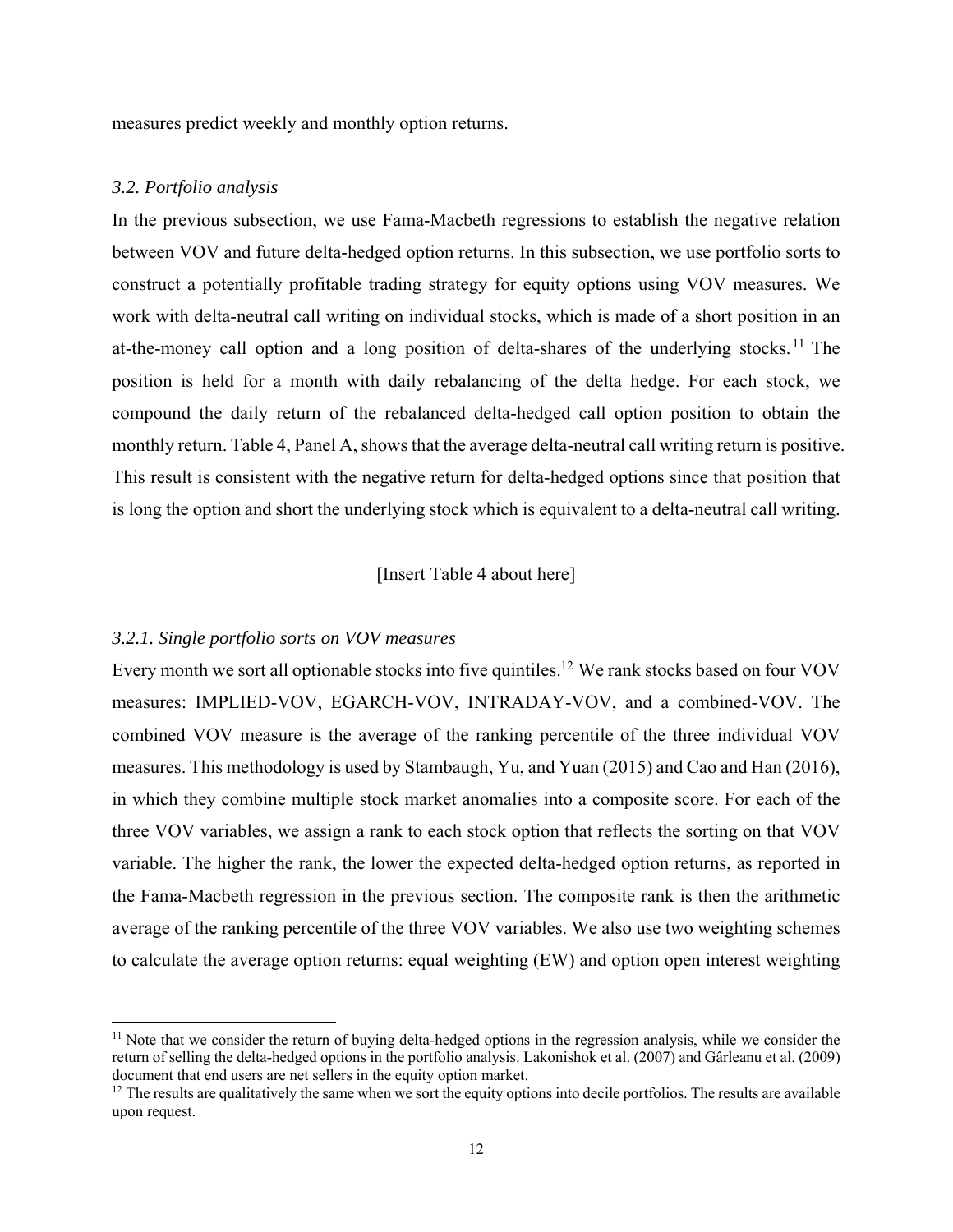measures predict weekly and monthly option returns.

#### *3.2. Portfolio analysis*

In the previous subsection, we use Fama-Macbeth regressions to establish the negative relation between VOV and future delta-hedged option returns. In this subsection, we use portfolio sorts to construct a potentially profitable trading strategy for equity options using VOV measures. We work with delta-neutral call writing on individual stocks, which is made of a short position in an at-the-money call option and a long position of delta-shares of the underlying stocks. 11 The position is held for a month with daily rebalancing of the delta hedge. For each stock, we compound the daily return of the rebalanced delta-hedged call option position to obtain the monthly return. Table 4, Panel A, shows that the average delta-neutral call writing return is positive. This result is consistent with the negative return for delta-hedged options since that position that is long the option and short the underlying stock which is equivalent to a delta-neutral call writing.

#### [Insert Table 4 about here]

#### *3.2.1. Single portfolio sorts on VOV measures*

Every month we sort all optionable stocks into five quintiles.<sup>12</sup> We rank stocks based on four VOV measures: IMPLIED-VOV, EGARCH-VOV, INTRADAY-VOV, and a combined-VOV. The combined VOV measure is the average of the ranking percentile of the three individual VOV measures. This methodology is used by Stambaugh, Yu, and Yuan (2015) and Cao and Han (2016), in which they combine multiple stock market anomalies into a composite score. For each of the three VOV variables, we assign a rank to each stock option that reflects the sorting on that VOV variable. The higher the rank, the lower the expected delta-hedged option returns, as reported in the Fama-Macbeth regression in the previous section. The composite rank is then the arithmetic average of the ranking percentile of the three VOV variables. We also use two weighting schemes to calculate the average option returns: equal weighting (EW) and option open interest weighting

<sup>&</sup>lt;sup>11</sup> Note that we consider the return of buying delta-hedged options in the regression analysis, while we consider the return of selling the delta-hedged options in the portfolio analysis. Lakonishok et al. (2007) and Gârleanu et al. (2009)

 $12$  The results are qualitatively the same when we sort the equity options into decile portfolios. The results are available upon request.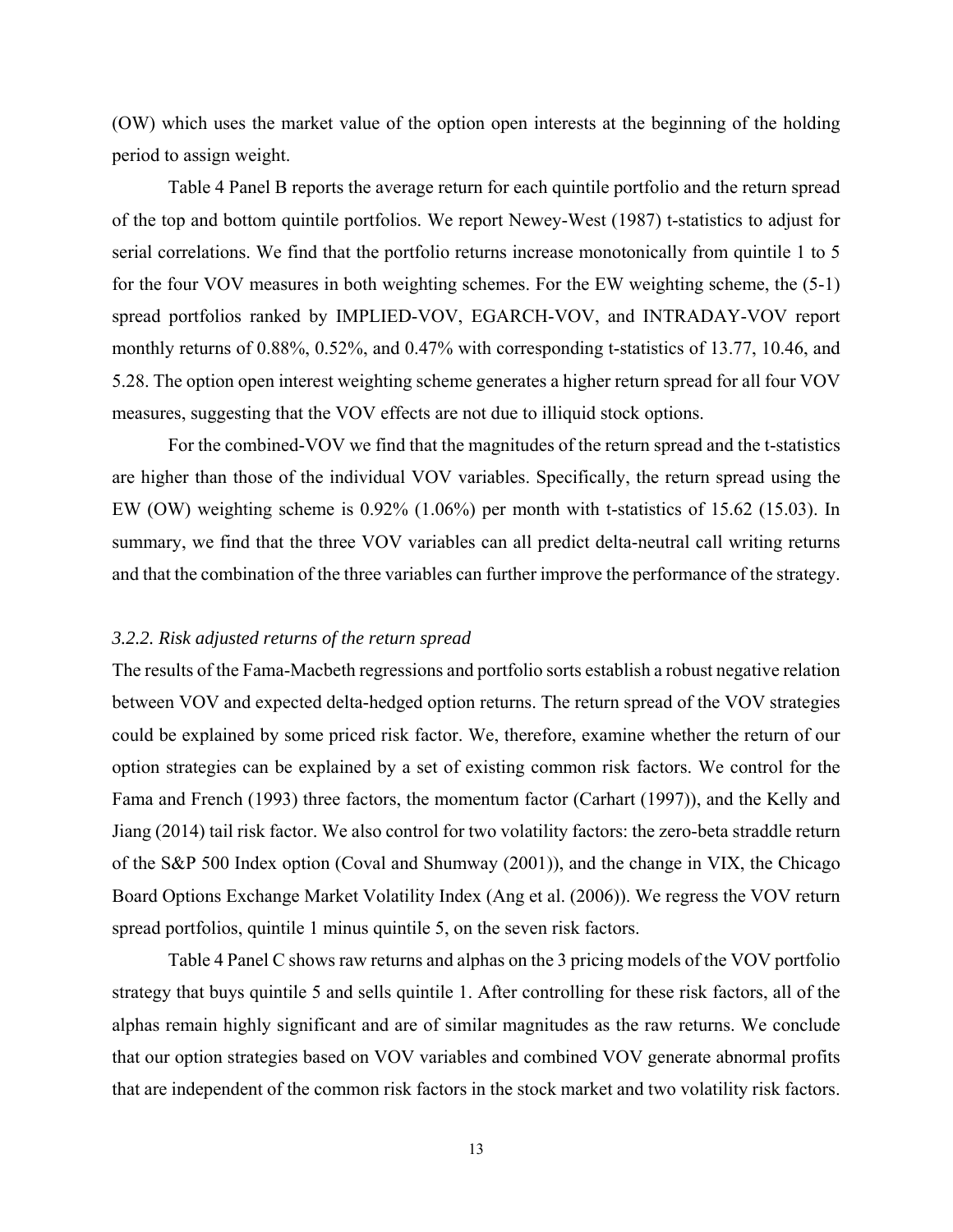(OW) which uses the market value of the option open interests at the beginning of the holding period to assign weight.

Table 4 Panel B reports the average return for each quintile portfolio and the return spread of the top and bottom quintile portfolios. We report Newey-West (1987) t-statistics to adjust for serial correlations. We find that the portfolio returns increase monotonically from quintile 1 to 5 for the four VOV measures in both weighting schemes. For the EW weighting scheme, the (5-1) spread portfolios ranked by IMPLIED-VOV, EGARCH-VOV, and INTRADAY-VOV report monthly returns of 0.88%, 0.52%, and 0.47% with corresponding t-statistics of 13.77, 10.46, and 5.28. The option open interest weighting scheme generates a higher return spread for all four VOV measures, suggesting that the VOV effects are not due to illiquid stock options.

For the combined-VOV we find that the magnitudes of the return spread and the t-statistics are higher than those of the individual VOV variables. Specifically, the return spread using the EW (OW) weighting scheme is 0.92% (1.06%) per month with t-statistics of 15.62 (15.03). In summary, we find that the three VOV variables can all predict delta-neutral call writing returns and that the combination of the three variables can further improve the performance of the strategy.

#### *3.2.2. Risk adjusted returns of the return spread*

The results of the Fama-Macbeth regressions and portfolio sorts establish a robust negative relation between VOV and expected delta-hedged option returns. The return spread of the VOV strategies could be explained by some priced risk factor. We, therefore, examine whether the return of our option strategies can be explained by a set of existing common risk factors. We control for the Fama and French (1993) three factors, the momentum factor (Carhart (1997)), and the Kelly and Jiang (2014) tail risk factor. We also control for two volatility factors: the zero-beta straddle return of the S&P 500 Index option (Coval and Shumway (2001)), and the change in VIX, the Chicago Board Options Exchange Market Volatility Index (Ang et al. (2006)). We regress the VOV return spread portfolios, quintile 1 minus quintile 5, on the seven risk factors.

Table 4 Panel C shows raw returns and alphas on the 3 pricing models of the VOV portfolio strategy that buys quintile 5 and sells quintile 1. After controlling for these risk factors, all of the alphas remain highly significant and are of similar magnitudes as the raw returns. We conclude that our option strategies based on VOV variables and combined VOV generate abnormal profits that are independent of the common risk factors in the stock market and two volatility risk factors.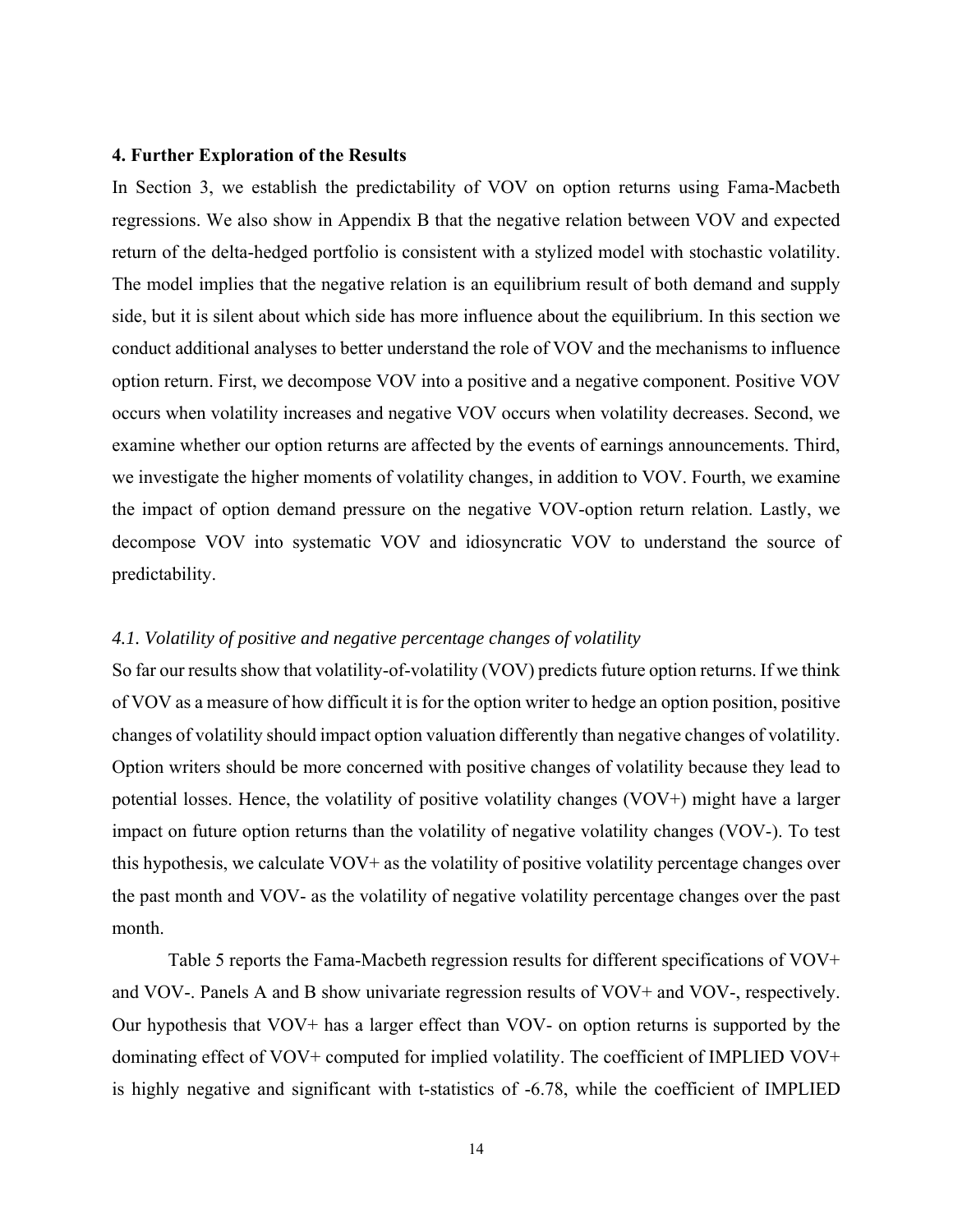#### **4. Further Exploration of the Results**

In Section 3, we establish the predictability of VOV on option returns using Fama-Macbeth regressions. We also show in Appendix B that the negative relation between VOV and expected return of the delta-hedged portfolio is consistent with a stylized model with stochastic volatility. The model implies that the negative relation is an equilibrium result of both demand and supply side, but it is silent about which side has more influence about the equilibrium. In this section we conduct additional analyses to better understand the role of VOV and the mechanisms to influence option return. First, we decompose VOV into a positive and a negative component. Positive VOV occurs when volatility increases and negative VOV occurs when volatility decreases. Second, we examine whether our option returns are affected by the events of earnings announcements. Third, we investigate the higher moments of volatility changes, in addition to VOV. Fourth, we examine the impact of option demand pressure on the negative VOV-option return relation. Lastly, we decompose VOV into systematic VOV and idiosyncratic VOV to understand the source of predictability.

#### *4.1. Volatility of positive and negative percentage changes of volatility*

So far our results show that volatility-of-volatility (VOV) predicts future option returns. If we think of VOV as a measure of how difficult it is for the option writer to hedge an option position, positive changes of volatility should impact option valuation differently than negative changes of volatility. Option writers should be more concerned with positive changes of volatility because they lead to potential losses. Hence, the volatility of positive volatility changes (VOV+) might have a larger impact on future option returns than the volatility of negative volatility changes (VOV-). To test this hypothesis, we calculate VOV+ as the volatility of positive volatility percentage changes over the past month and VOV- as the volatility of negative volatility percentage changes over the past month.

Table 5 reports the Fama-Macbeth regression results for different specifications of VOV+ and VOV-. Panels A and B show univariate regression results of VOV+ and VOV-, respectively. Our hypothesis that VOV+ has a larger effect than VOV- on option returns is supported by the dominating effect of VOV+ computed for implied volatility. The coefficient of IMPLIED VOV+ is highly negative and significant with t-statistics of -6.78, while the coefficient of IMPLIED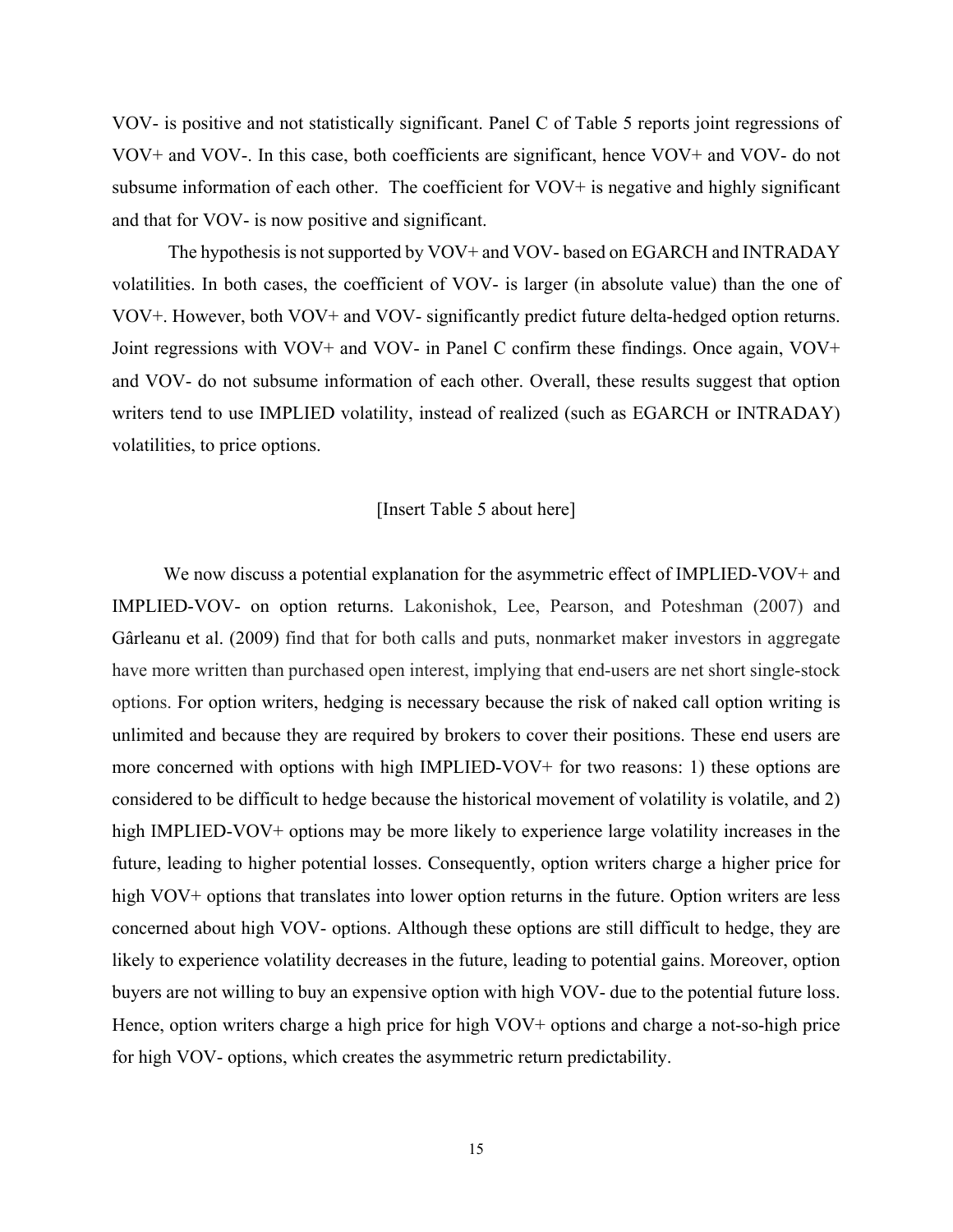VOV- is positive and not statistically significant. Panel C of Table 5 reports joint regressions of VOV+ and VOV-. In this case, both coefficients are significant, hence VOV+ and VOV- do not subsume information of each other. The coefficient for VOV+ is negative and highly significant and that for VOV- is now positive and significant.

The hypothesis is not supported by VOV+ and VOV- based on EGARCH and INTRADAY volatilities. In both cases, the coefficient of VOV- is larger (in absolute value) than the one of VOV+. However, both VOV+ and VOV- significantly predict future delta-hedged option returns. Joint regressions with VOV+ and VOV- in Panel C confirm these findings. Once again, VOV+ and VOV- do not subsume information of each other. Overall, these results suggest that option writers tend to use IMPLIED volatility, instead of realized (such as EGARCH or INTRADAY) volatilities, to price options.

#### [Insert Table 5 about here]

We now discuss a potential explanation for the asymmetric effect of IMPLIED-VOV+ and IMPLIED-VOV- on option returns. Lakonishok, Lee, Pearson, and Poteshman (2007) and Gârleanu et al. (2009) find that for both calls and puts, nonmarket maker investors in aggregate have more written than purchased open interest, implying that end-users are net short single-stock options. For option writers, hedging is necessary because the risk of naked call option writing is unlimited and because they are required by brokers to cover their positions. These end users are more concerned with options with high IMPLIED-VOV+ for two reasons: 1) these options are considered to be difficult to hedge because the historical movement of volatility is volatile, and 2) high IMPLIED-VOV+ options may be more likely to experience large volatility increases in the future, leading to higher potential losses. Consequently, option writers charge a higher price for high VOV+ options that translates into lower option returns in the future. Option writers are less concerned about high VOV- options. Although these options are still difficult to hedge, they are likely to experience volatility decreases in the future, leading to potential gains. Moreover, option buyers are not willing to buy an expensive option with high VOV- due to the potential future loss. Hence, option writers charge a high price for high VOV+ options and charge a not-so-high price for high VOV- options, which creates the asymmetric return predictability.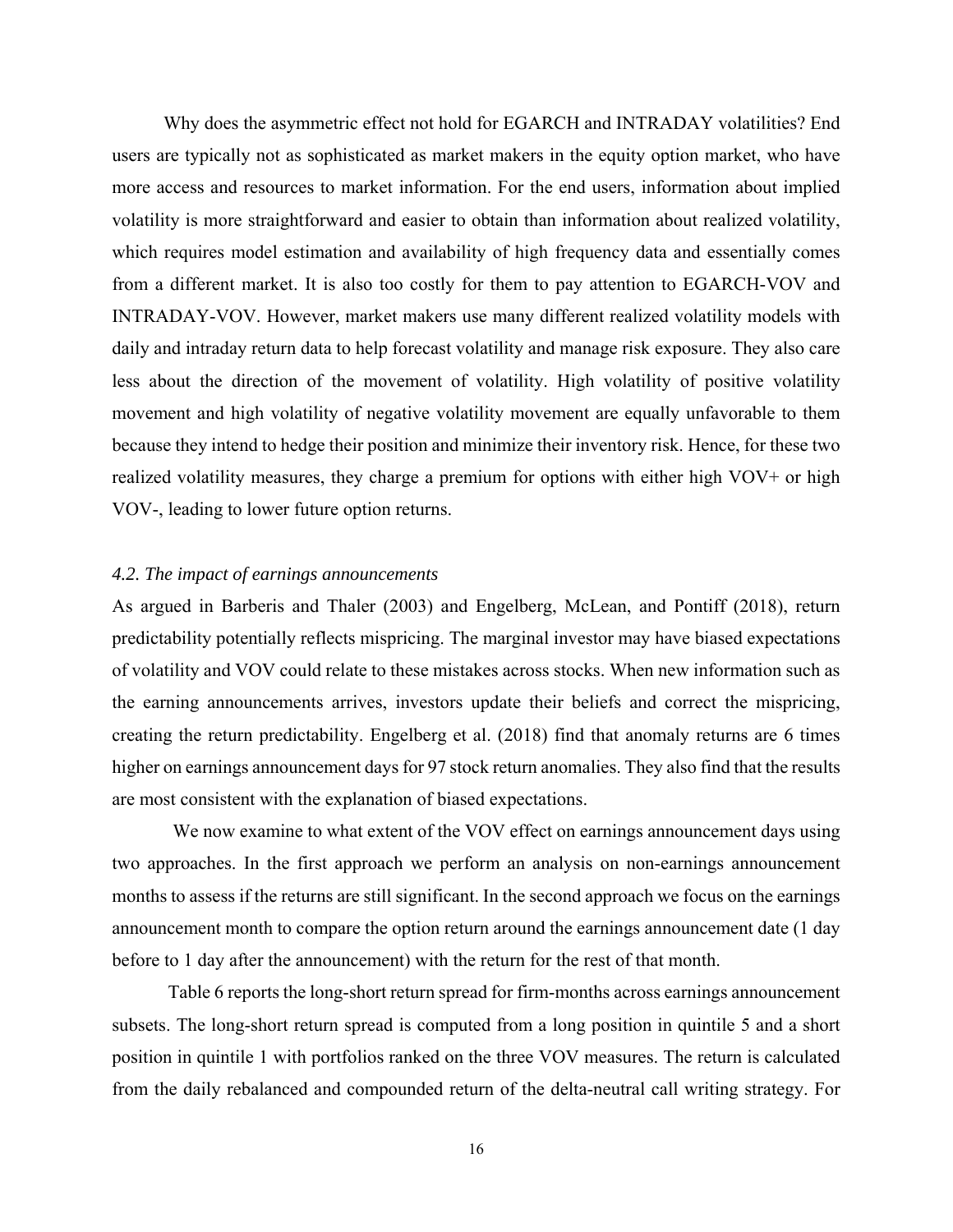Why does the asymmetric effect not hold for EGARCH and INTRADAY volatilities? End users are typically not as sophisticated as market makers in the equity option market, who have more access and resources to market information. For the end users, information about implied volatility is more straightforward and easier to obtain than information about realized volatility, which requires model estimation and availability of high frequency data and essentially comes from a different market. It is also too costly for them to pay attention to EGARCH-VOV and INTRADAY-VOV. However, market makers use many different realized volatility models with daily and intraday return data to help forecast volatility and manage risk exposure. They also care less about the direction of the movement of volatility. High volatility of positive volatility movement and high volatility of negative volatility movement are equally unfavorable to them because they intend to hedge their position and minimize their inventory risk. Hence, for these two realized volatility measures, they charge a premium for options with either high VOV+ or high VOV-, leading to lower future option returns.

#### *4.2. The impact of earnings announcements*

As argued in Barberis and Thaler (2003) and Engelberg, McLean, and Pontiff (2018), return predictability potentially reflects mispricing. The marginal investor may have biased expectations of volatility and VOV could relate to these mistakes across stocks. When new information such as the earning announcements arrives, investors update their beliefs and correct the mispricing, creating the return predictability. Engelberg et al. (2018) find that anomaly returns are 6 times higher on earnings announcement days for 97 stock return anomalies. They also find that the results are most consistent with the explanation of biased expectations.

 We now examine to what extent of the VOV effect on earnings announcement days using two approaches. In the first approach we perform an analysis on non-earnings announcement months to assess if the returns are still significant. In the second approach we focus on the earnings announcement month to compare the option return around the earnings announcement date (1 day before to 1 day after the announcement) with the return for the rest of that month.

 Table 6 reports the long-short return spread for firm-months across earnings announcement subsets. The long-short return spread is computed from a long position in quintile 5 and a short position in quintile 1 with portfolios ranked on the three VOV measures. The return is calculated from the daily rebalanced and compounded return of the delta-neutral call writing strategy. For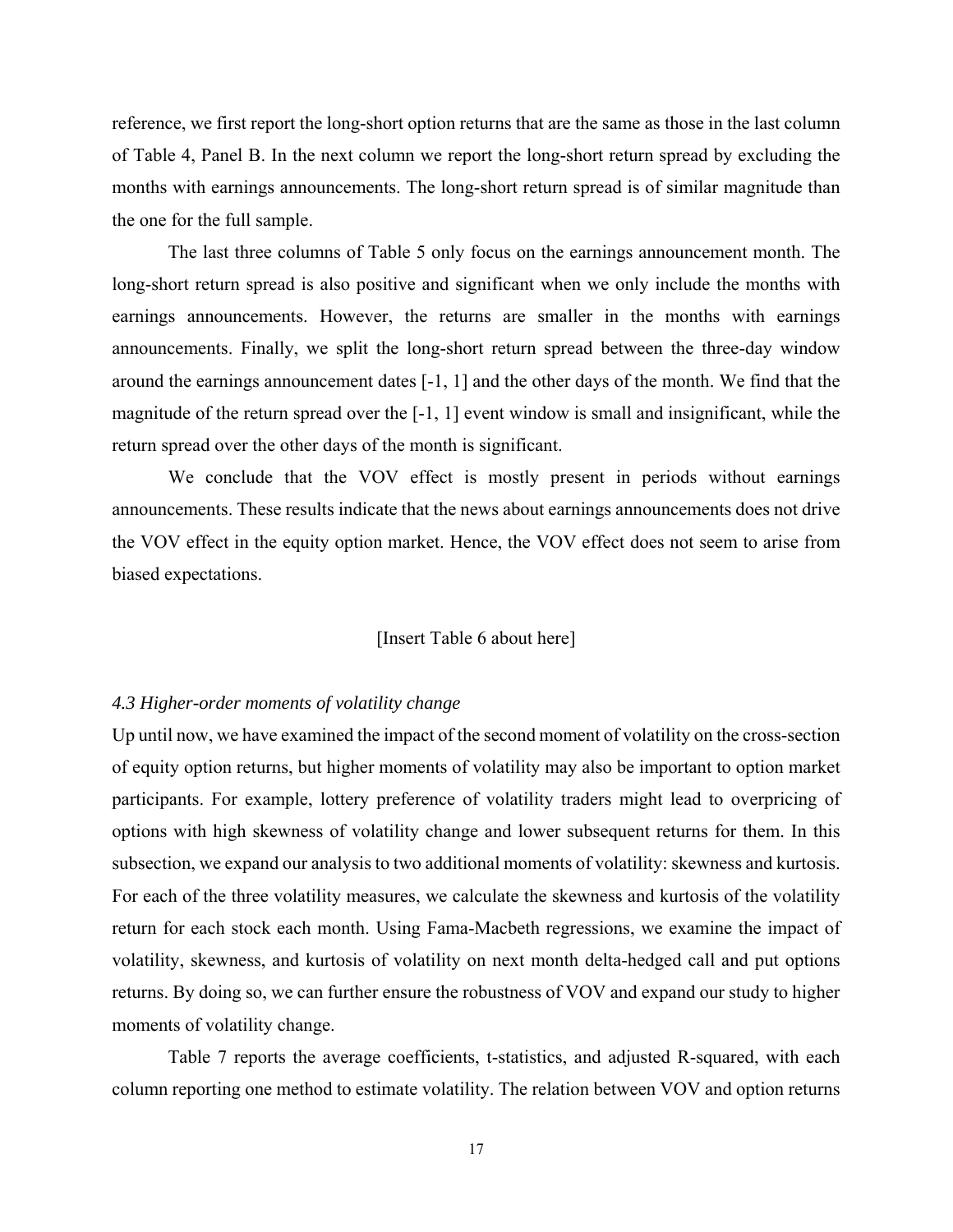reference, we first report the long-short option returns that are the same as those in the last column of Table 4, Panel B. In the next column we report the long-short return spread by excluding the months with earnings announcements. The long-short return spread is of similar magnitude than the one for the full sample.

 The last three columns of Table 5 only focus on the earnings announcement month. The long-short return spread is also positive and significant when we only include the months with earnings announcements. However, the returns are smaller in the months with earnings announcements. Finally, we split the long-short return spread between the three-day window around the earnings announcement dates [-1, 1] and the other days of the month. We find that the magnitude of the return spread over the [-1, 1] event window is small and insignificant, while the return spread over the other days of the month is significant.

We conclude that the VOV effect is mostly present in periods without earnings announcements. These results indicate that the news about earnings announcements does not drive the VOV effect in the equity option market. Hence, the VOV effect does not seem to arise from biased expectations.

#### [Insert Table 6 about here]

#### *4.3 Higher-order moments of volatility change*

Up until now, we have examined the impact of the second moment of volatility on the cross-section of equity option returns, but higher moments of volatility may also be important to option market participants. For example, lottery preference of volatility traders might lead to overpricing of options with high skewness of volatility change and lower subsequent returns for them. In this subsection, we expand our analysis to two additional moments of volatility: skewness and kurtosis. For each of the three volatility measures, we calculate the skewness and kurtosis of the volatility return for each stock each month. Using Fama-Macbeth regressions, we examine the impact of volatility, skewness, and kurtosis of volatility on next month delta-hedged call and put options returns. By doing so, we can further ensure the robustness of VOV and expand our study to higher moments of volatility change.

Table 7 reports the average coefficients, t-statistics, and adjusted R-squared, with each column reporting one method to estimate volatility. The relation between VOV and option returns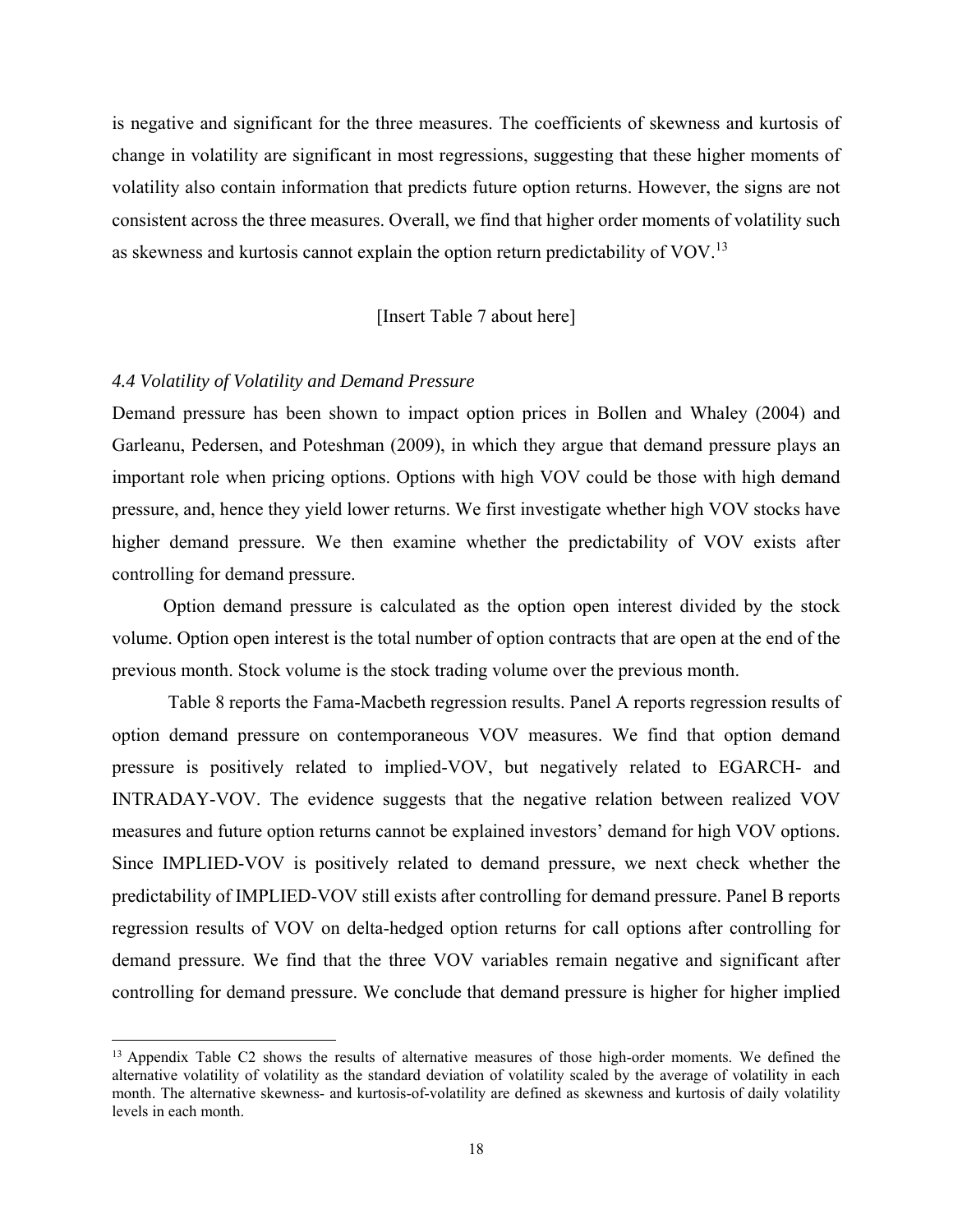is negative and significant for the three measures. The coefficients of skewness and kurtosis of change in volatility are significant in most regressions, suggesting that these higher moments of volatility also contain information that predicts future option returns. However, the signs are not consistent across the three measures. Overall, we find that higher order moments of volatility such as skewness and kurtosis cannot explain the option return predictability of VOV.<sup>13</sup>

#### [Insert Table 7 about here]

#### *4.4 Volatility of Volatility and Demand Pressure*

Demand pressure has been shown to impact option prices in Bollen and Whaley (2004) and Garleanu, Pedersen, and Poteshman (2009), in which they argue that demand pressure plays an important role when pricing options. Options with high VOV could be those with high demand pressure, and, hence they yield lower returns. We first investigate whether high VOV stocks have higher demand pressure. We then examine whether the predictability of VOV exists after controlling for demand pressure.

 Option demand pressure is calculated as the option open interest divided by the stock volume. Option open interest is the total number of option contracts that are open at the end of the previous month. Stock volume is the stock trading volume over the previous month.

Table 8 reports the Fama-Macbeth regression results. Panel A reports regression results of option demand pressure on contemporaneous VOV measures. We find that option demand pressure is positively related to implied-VOV, but negatively related to EGARCH- and INTRADAY-VOV. The evidence suggests that the negative relation between realized VOV measures and future option returns cannot be explained investors' demand for high VOV options. Since IMPLIED-VOV is positively related to demand pressure, we next check whether the predictability of IMPLIED-VOV still exists after controlling for demand pressure. Panel B reports regression results of VOV on delta-hedged option returns for call options after controlling for demand pressure. We find that the three VOV variables remain negative and significant after controlling for demand pressure. We conclude that demand pressure is higher for higher implied

<sup>&</sup>lt;sup>13</sup> Appendix Table C2 shows the results of alternative measures of those high-order moments. We defined the alternative volatility of volatility as the standard deviation of volatility scaled by the average of volatility in each month. The alternative skewness- and kurtosis-of-volatility are defined as skewness and kurtosis of daily volatility levels in each month.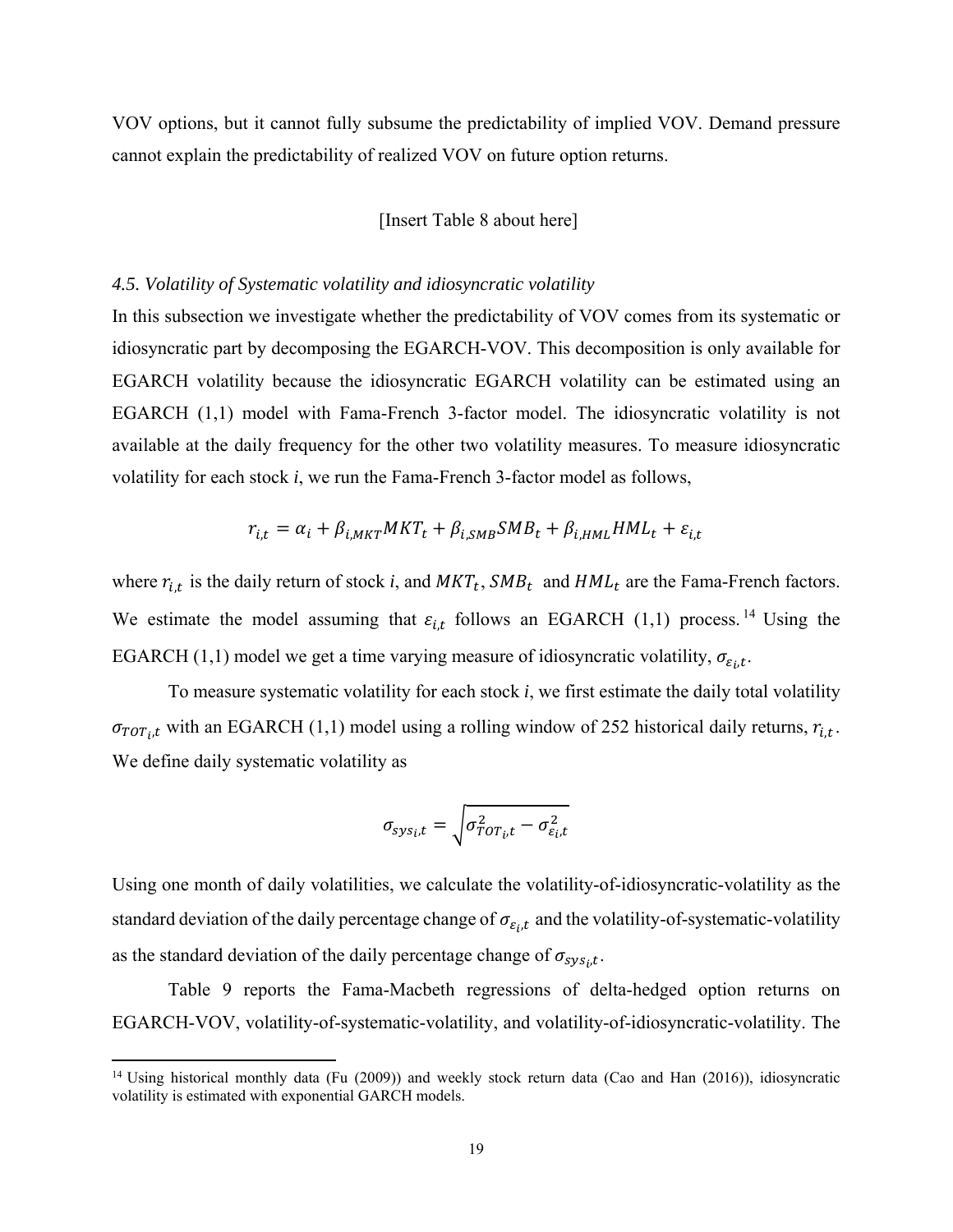VOV options, but it cannot fully subsume the predictability of implied VOV. Demand pressure cannot explain the predictability of realized VOV on future option returns.

#### [Insert Table 8 about here]

#### *4.5. Volatility of Systematic volatility and idiosyncratic volatility*

In this subsection we investigate whether the predictability of VOV comes from its systematic or idiosyncratic part by decomposing the EGARCH-VOV. This decomposition is only available for EGARCH volatility because the idiosyncratic EGARCH volatility can be estimated using an EGARCH (1,1) model with Fama-French 3-factor model. The idiosyncratic volatility is not available at the daily frequency for the other two volatility measures. To measure idiosyncratic volatility for each stock *i*, we run the Fama-French 3-factor model as follows,

$$
r_{i,t} = \alpha_i + \beta_{i,MKT} MKT_t + \beta_{i,SMB} SMB_t + \beta_{i,HML} HML_t + \varepsilon_{i,t}
$$

where  $r_{i,t}$  is the daily return of stock *i*, and  $MKT_t$ ,  $SMB_t$  and  $HML_t$  are the Fama-French factors. We estimate the model assuming that  $\varepsilon_{i,t}$  follows an EGARCH (1,1) process.<sup>14</sup> Using the EGARCH (1,1) model we get a time varying measure of idiosyncratic volatility,  $\sigma_{\varepsilon_{i},t}$ .

 To measure systematic volatility for each stock *i*, we first estimate the daily total volatility  $\sigma_{TOT_i,t}$  with an EGARCH (1,1) model using a rolling window of 252 historical daily returns,  $r_{i,t}$ . We define daily systematic volatility as

$$
\sigma_{sys_i, t} = \sqrt{\sigma_{TOT_i, t}^2 - \sigma_{\epsilon_i, t}^2}
$$

Using one month of daily volatilities, we calculate the volatility-of-idiosyncratic-volatility as the standard deviation of the daily percentage change of  $\sigma_{\varepsilon_i,t}$  and the volatility-of-systematic-volatility as the standard deviation of the daily percentage change of  $\sigma_{sys,i}$ .

Table 9 reports the Fama-Macbeth regressions of delta-hedged option returns on EGARCH-VOV, volatility-of-systematic-volatility, and volatility-of-idiosyncratic-volatility. The

<sup>&</sup>lt;sup>14</sup> Using historical monthly data (Fu (2009)) and weekly stock return data (Cao and Han (2016)), idiosyncratic volatility is estimated with exponential GARCH models.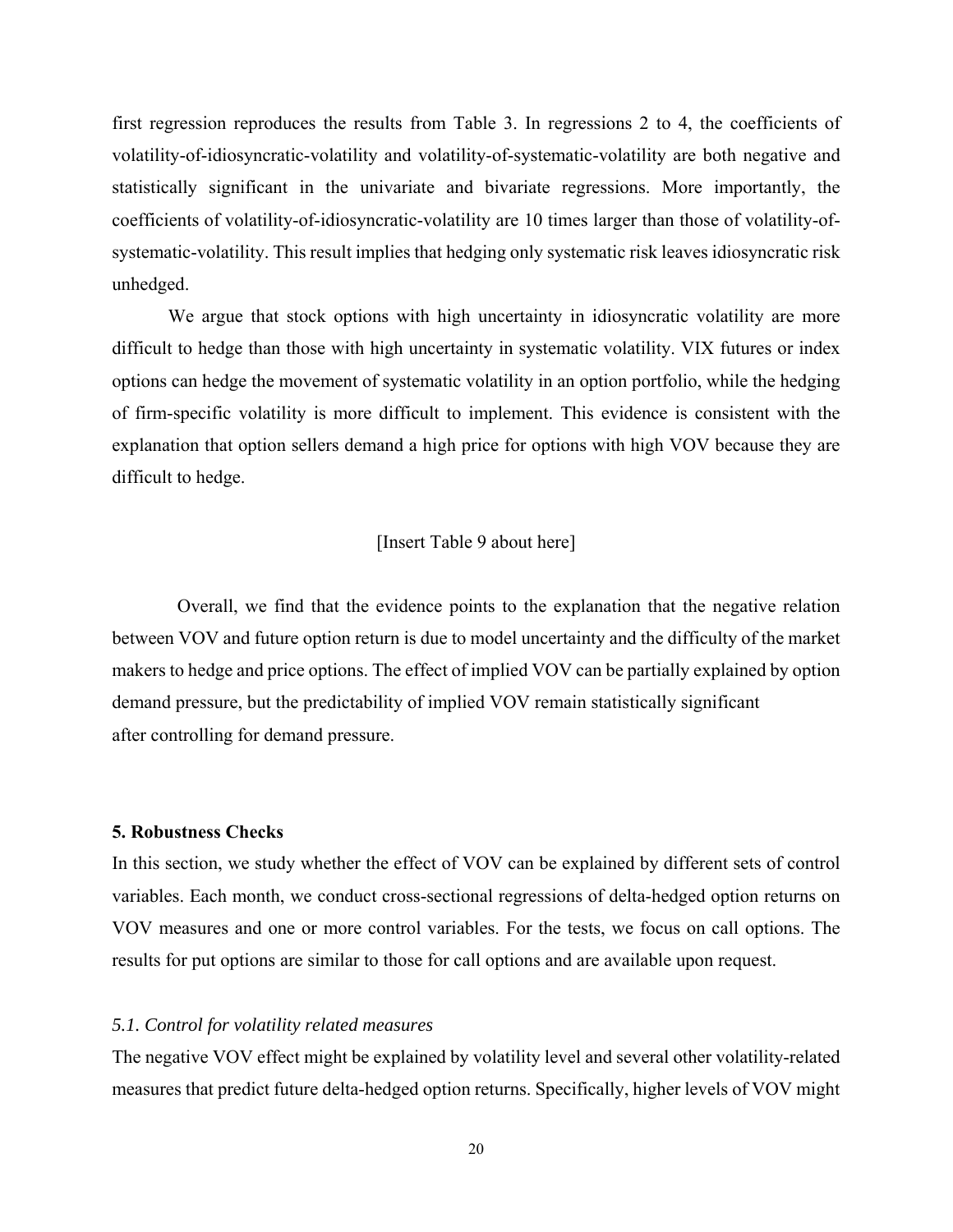first regression reproduces the results from Table 3. In regressions 2 to 4, the coefficients of volatility-of-idiosyncratic-volatility and volatility-of-systematic-volatility are both negative and statistically significant in the univariate and bivariate regressions. More importantly, the coefficients of volatility-of-idiosyncratic-volatility are 10 times larger than those of volatility-ofsystematic-volatility. This result implies that hedging only systematic risk leaves idiosyncratic risk unhedged.

We argue that stock options with high uncertainty in idiosyncratic volatility are more difficult to hedge than those with high uncertainty in systematic volatility. VIX futures or index options can hedge the movement of systematic volatility in an option portfolio, while the hedging of firm-specific volatility is more difficult to implement. This evidence is consistent with the explanation that option sellers demand a high price for options with high VOV because they are difficult to hedge.

#### [Insert Table 9 about here]

Overall, we find that the evidence points to the explanation that the negative relation between VOV and future option return is due to model uncertainty and the difficulty of the market makers to hedge and price options. The effect of implied VOV can be partially explained by option demand pressure, but the predictability of implied VOV remain statistically significant after controlling for demand pressure.

#### **5. Robustness Checks**

In this section, we study whether the effect of VOV can be explained by different sets of control variables. Each month, we conduct cross-sectional regressions of delta-hedged option returns on VOV measures and one or more control variables. For the tests, we focus on call options. The results for put options are similar to those for call options and are available upon request.

#### *5.1. Control for volatility related measures*

The negative VOV effect might be explained by volatility level and several other volatility-related measures that predict future delta-hedged option returns. Specifically, higher levels of VOV might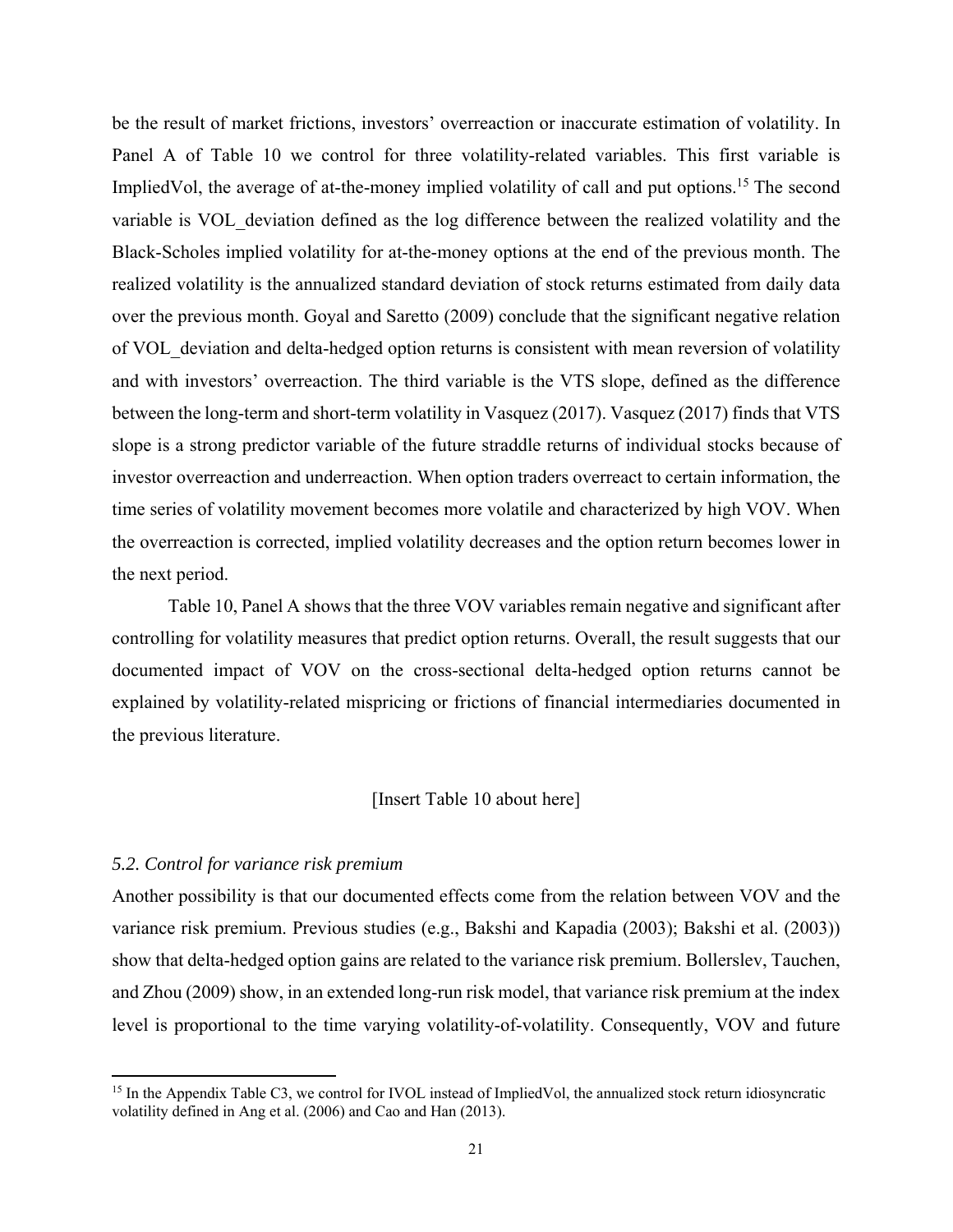be the result of market frictions, investors' overreaction or inaccurate estimation of volatility. In Panel A of Table 10 we control for three volatility-related variables. This first variable is ImpliedVol, the average of at-the-money implied volatility of call and put options.<sup>15</sup> The second variable is VOL deviation defined as the log difference between the realized volatility and the Black-Scholes implied volatility for at-the-money options at the end of the previous month. The realized volatility is the annualized standard deviation of stock returns estimated from daily data over the previous month. Goyal and Saretto (2009) conclude that the significant negative relation of VOL\_deviation and delta-hedged option returns is consistent with mean reversion of volatility and with investors' overreaction. The third variable is the VTS slope, defined as the difference between the long-term and short-term volatility in Vasquez (2017). Vasquez (2017) finds that VTS slope is a strong predictor variable of the future straddle returns of individual stocks because of investor overreaction and underreaction. When option traders overreact to certain information, the time series of volatility movement becomes more volatile and characterized by high VOV. When the overreaction is corrected, implied volatility decreases and the option return becomes lower in the next period.

Table 10, Panel A shows that the three VOV variables remain negative and significant after controlling for volatility measures that predict option returns. Overall, the result suggests that our documented impact of VOV on the cross-sectional delta-hedged option returns cannot be explained by volatility-related mispricing or frictions of financial intermediaries documented in the previous literature.

#### [Insert Table 10 about here]

#### *5.2. Control for variance risk premium*

Another possibility is that our documented effects come from the relation between VOV and the variance risk premium. Previous studies (e.g., Bakshi and Kapadia (2003); Bakshi et al. (2003)) show that delta-hedged option gains are related to the variance risk premium. Bollerslev, Tauchen, and Zhou (2009) show, in an extended long-run risk model, that variance risk premium at the index level is proportional to the time varying volatility-of-volatility. Consequently, VOV and future

<sup>&</sup>lt;sup>15</sup> In the Appendix Table C3, we control for IVOL instead of ImpliedVol, the annualized stock return idiosyncratic volatility defined in Ang et al. (2006) and Cao and Han (2013).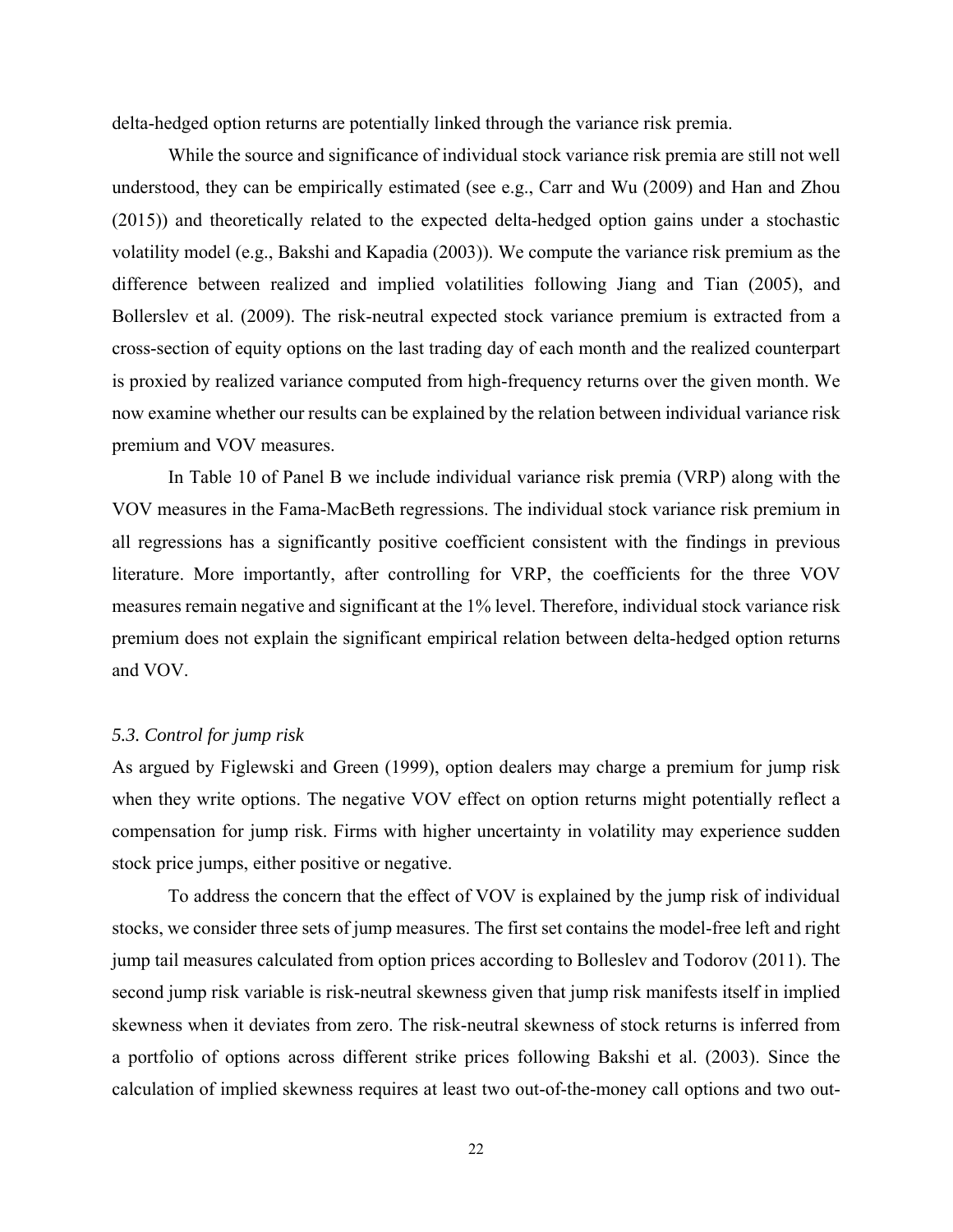delta-hedged option returns are potentially linked through the variance risk premia.

While the source and significance of individual stock variance risk premia are still not well understood, they can be empirically estimated (see e.g., Carr and Wu (2009) and Han and Zhou (2015)) and theoretically related to the expected delta-hedged option gains under a stochastic volatility model (e.g., Bakshi and Kapadia (2003)). We compute the variance risk premium as the difference between realized and implied volatilities following Jiang and Tian (2005), and Bollerslev et al. (2009). The risk-neutral expected stock variance premium is extracted from a cross-section of equity options on the last trading day of each month and the realized counterpart is proxied by realized variance computed from high-frequency returns over the given month. We now examine whether our results can be explained by the relation between individual variance risk premium and VOV measures.

In Table 10 of Panel B we include individual variance risk premia (VRP) along with the VOV measures in the Fama-MacBeth regressions. The individual stock variance risk premium in all regressions has a significantly positive coefficient consistent with the findings in previous literature. More importantly, after controlling for VRP, the coefficients for the three VOV measures remain negative and significant at the 1% level. Therefore, individual stock variance risk premium does not explain the significant empirical relation between delta-hedged option returns and VOV.

#### *5.3. Control for jump risk*

As argued by Figlewski and Green (1999), option dealers may charge a premium for jump risk when they write options. The negative VOV effect on option returns might potentially reflect a compensation for jump risk. Firms with higher uncertainty in volatility may experience sudden stock price jumps, either positive or negative.

To address the concern that the effect of VOV is explained by the jump risk of individual stocks, we consider three sets of jump measures. The first set contains the model-free left and right jump tail measures calculated from option prices according to Bolleslev and Todorov (2011). The second jump risk variable is risk-neutral skewness given that jump risk manifests itself in implied skewness when it deviates from zero. The risk-neutral skewness of stock returns is inferred from a portfolio of options across different strike prices following Bakshi et al. (2003). Since the calculation of implied skewness requires at least two out-of-the-money call options and two out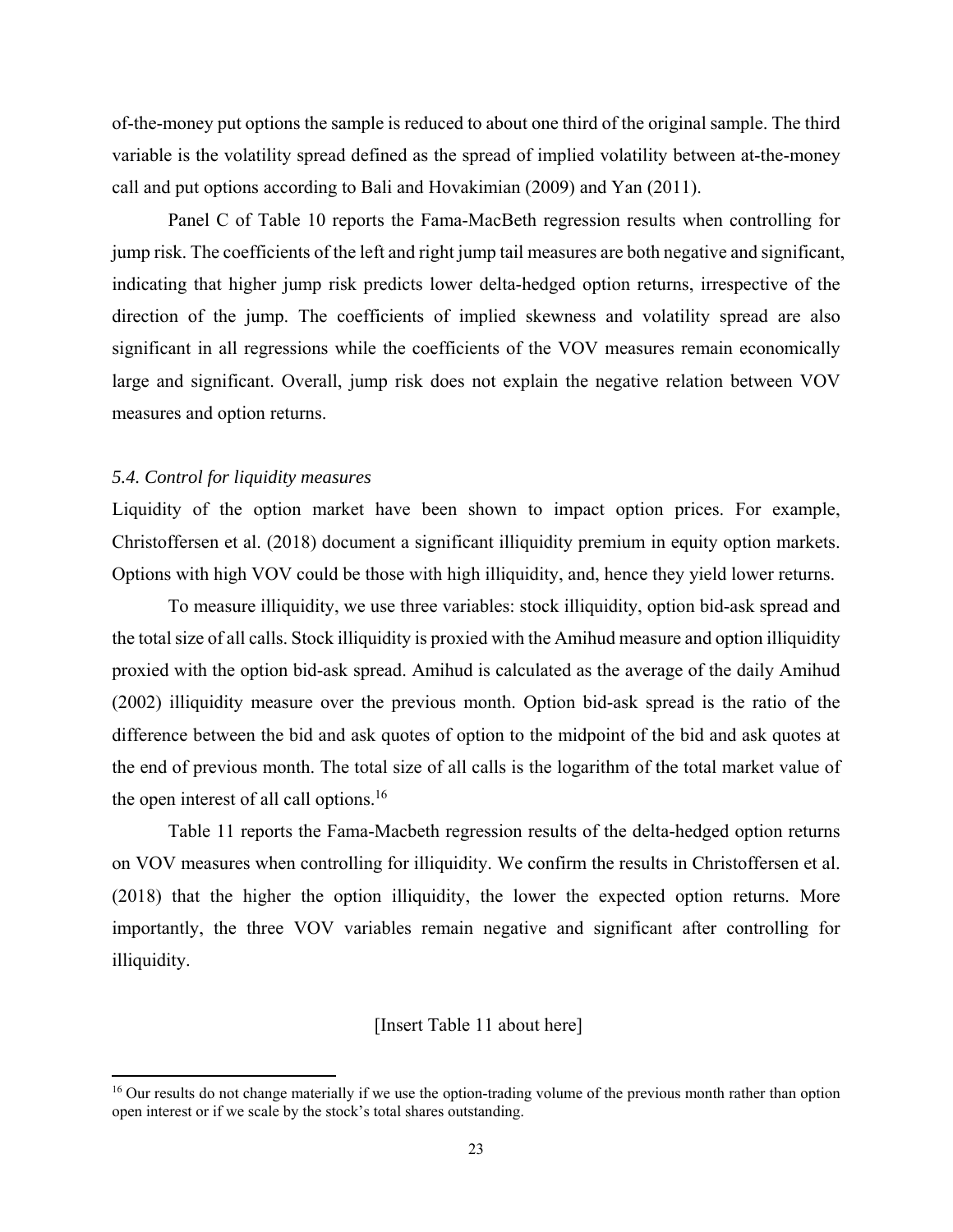of-the-money put options the sample is reduced to about one third of the original sample. The third variable is the volatility spread defined as the spread of implied volatility between at-the-money call and put options according to Bali and Hovakimian (2009) and Yan (2011).

Panel C of Table 10 reports the Fama-MacBeth regression results when controlling for jump risk. The coefficients of the left and right jump tail measures are both negative and significant, indicating that higher jump risk predicts lower delta-hedged option returns, irrespective of the direction of the jump. The coefficients of implied skewness and volatility spread are also significant in all regressions while the coefficients of the VOV measures remain economically large and significant. Overall, jump risk does not explain the negative relation between VOV measures and option returns.

#### *5.4. Control for liquidity measures*

Liquidity of the option market have been shown to impact option prices. For example, Christoffersen et al. (2018) document a significant illiquidity premium in equity option markets. Options with high VOV could be those with high illiquidity, and, hence they yield lower returns.

To measure illiquidity, we use three variables: stock illiquidity, option bid-ask spread and the total size of all calls. Stock illiquidity is proxied with the Amihud measure and option illiquidity proxied with the option bid-ask spread. Amihud is calculated as the average of the daily Amihud (2002) illiquidity measure over the previous month. Option bid-ask spread is the ratio of the difference between the bid and ask quotes of option to the midpoint of the bid and ask quotes at the end of previous month. The total size of all calls is the logarithm of the total market value of the open interest of all call options.<sup>16</sup>

Table 11 reports the Fama-Macbeth regression results of the delta-hedged option returns on VOV measures when controlling for illiquidity. We confirm the results in Christoffersen et al. (2018) that the higher the option illiquidity, the lower the expected option returns. More importantly, the three VOV variables remain negative and significant after controlling for illiquidity.

#### [Insert Table 11 about here]

<sup>&</sup>lt;sup>16</sup> Our results do not change materially if we use the option-trading volume of the previous month rather than option open interest or if we scale by the stock's total shares outstanding.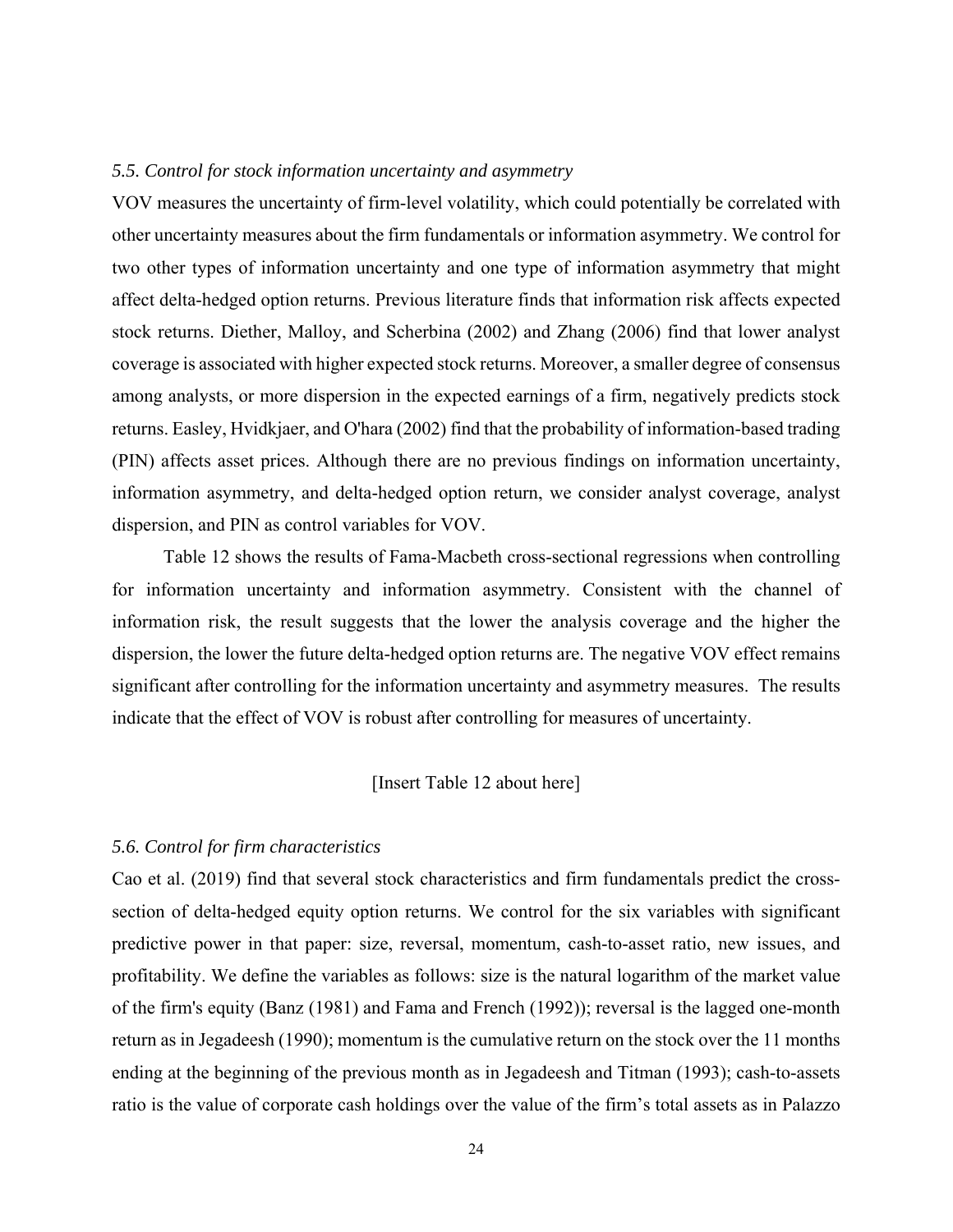#### *5.5. Control for stock information uncertainty and asymmetry*

VOV measures the uncertainty of firm-level volatility, which could potentially be correlated with other uncertainty measures about the firm fundamentals or information asymmetry. We control for two other types of information uncertainty and one type of information asymmetry that might affect delta-hedged option returns. Previous literature finds that information risk affects expected stock returns. Diether, Malloy, and Scherbina (2002) and Zhang (2006) find that lower analyst coverage is associated with higher expected stock returns. Moreover, a smaller degree of consensus among analysts, or more dispersion in the expected earnings of a firm, negatively predicts stock returns. Easley, Hvidkjaer, and O'hara (2002) find that the probability of information-based trading (PIN) affects asset prices. Although there are no previous findings on information uncertainty, information asymmetry, and delta-hedged option return, we consider analyst coverage, analyst dispersion, and PIN as control variables for VOV.

 Table 12 shows the results of Fama-Macbeth cross-sectional regressions when controlling for information uncertainty and information asymmetry. Consistent with the channel of information risk, the result suggests that the lower the analysis coverage and the higher the dispersion, the lower the future delta-hedged option returns are. The negative VOV effect remains significant after controlling for the information uncertainty and asymmetry measures. The results indicate that the effect of VOV is robust after controlling for measures of uncertainty.

#### [Insert Table 12 about here]

#### *5.6. Control for firm characteristics*

Cao et al. (2019) find that several stock characteristics and firm fundamentals predict the crosssection of delta-hedged equity option returns. We control for the six variables with significant predictive power in that paper: size, reversal, momentum, cash-to-asset ratio, new issues, and profitability. We define the variables as follows: size is the natural logarithm of the market value of the firm's equity (Banz (1981) and Fama and French (1992)); reversal is the lagged one-month return as in Jegadeesh (1990); momentum is the cumulative return on the stock over the 11 months ending at the beginning of the previous month as in Jegadeesh and Titman (1993); cash-to-assets ratio is the value of corporate cash holdings over the value of the firm's total assets as in Palazzo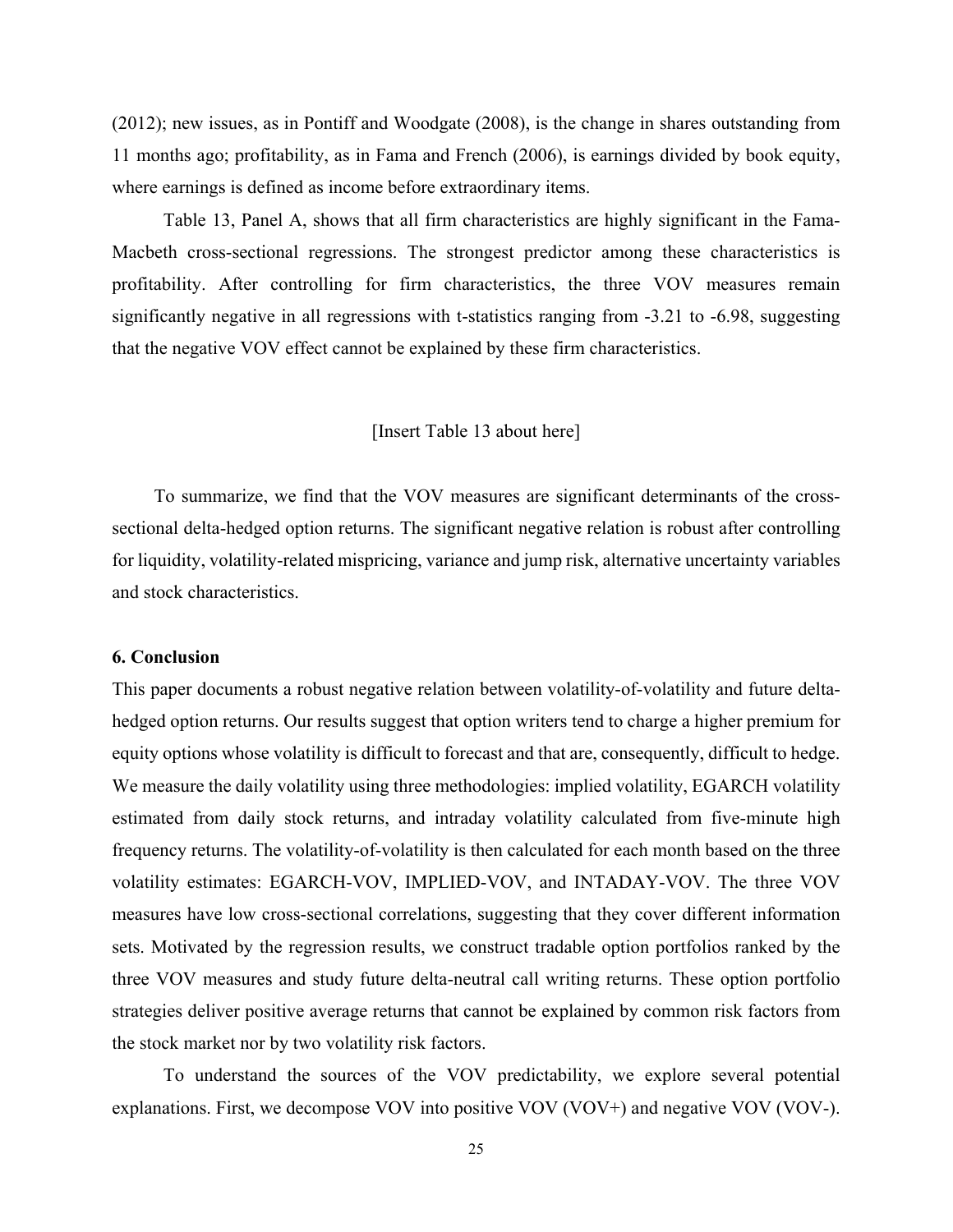(2012); new issues, as in Pontiff and Woodgate (2008), is the change in shares outstanding from 11 months ago; profitability, as in Fama and French (2006), is earnings divided by book equity, where earnings is defined as income before extraordinary items.

 Table 13, Panel A, shows that all firm characteristics are highly significant in the Fama-Macbeth cross-sectional regressions. The strongest predictor among these characteristics is profitability. After controlling for firm characteristics, the three VOV measures remain significantly negative in all regressions with t-statistics ranging from -3.21 to -6.98, suggesting that the negative VOV effect cannot be explained by these firm characteristics.

#### [Insert Table 13 about here]

 To summarize, we find that the VOV measures are significant determinants of the crosssectional delta-hedged option returns. The significant negative relation is robust after controlling for liquidity, volatility-related mispricing, variance and jump risk, alternative uncertainty variables and stock characteristics.

#### **6. Conclusion**

This paper documents a robust negative relation between volatility-of-volatility and future deltahedged option returns. Our results suggest that option writers tend to charge a higher premium for equity options whose volatility is difficult to forecast and that are, consequently, difficult to hedge. We measure the daily volatility using three methodologies: implied volatility, EGARCH volatility estimated from daily stock returns, and intraday volatility calculated from five-minute high frequency returns. The volatility-of-volatility is then calculated for each month based on the three volatility estimates: EGARCH-VOV, IMPLIED-VOV, and INTADAY-VOV. The three VOV measures have low cross-sectional correlations, suggesting that they cover different information sets. Motivated by the regression results, we construct tradable option portfolios ranked by the three VOV measures and study future delta-neutral call writing returns. These option portfolio strategies deliver positive average returns that cannot be explained by common risk factors from the stock market nor by two volatility risk factors.

 To understand the sources of the VOV predictability, we explore several potential explanations. First, we decompose VOV into positive VOV (VOV+) and negative VOV (VOV-).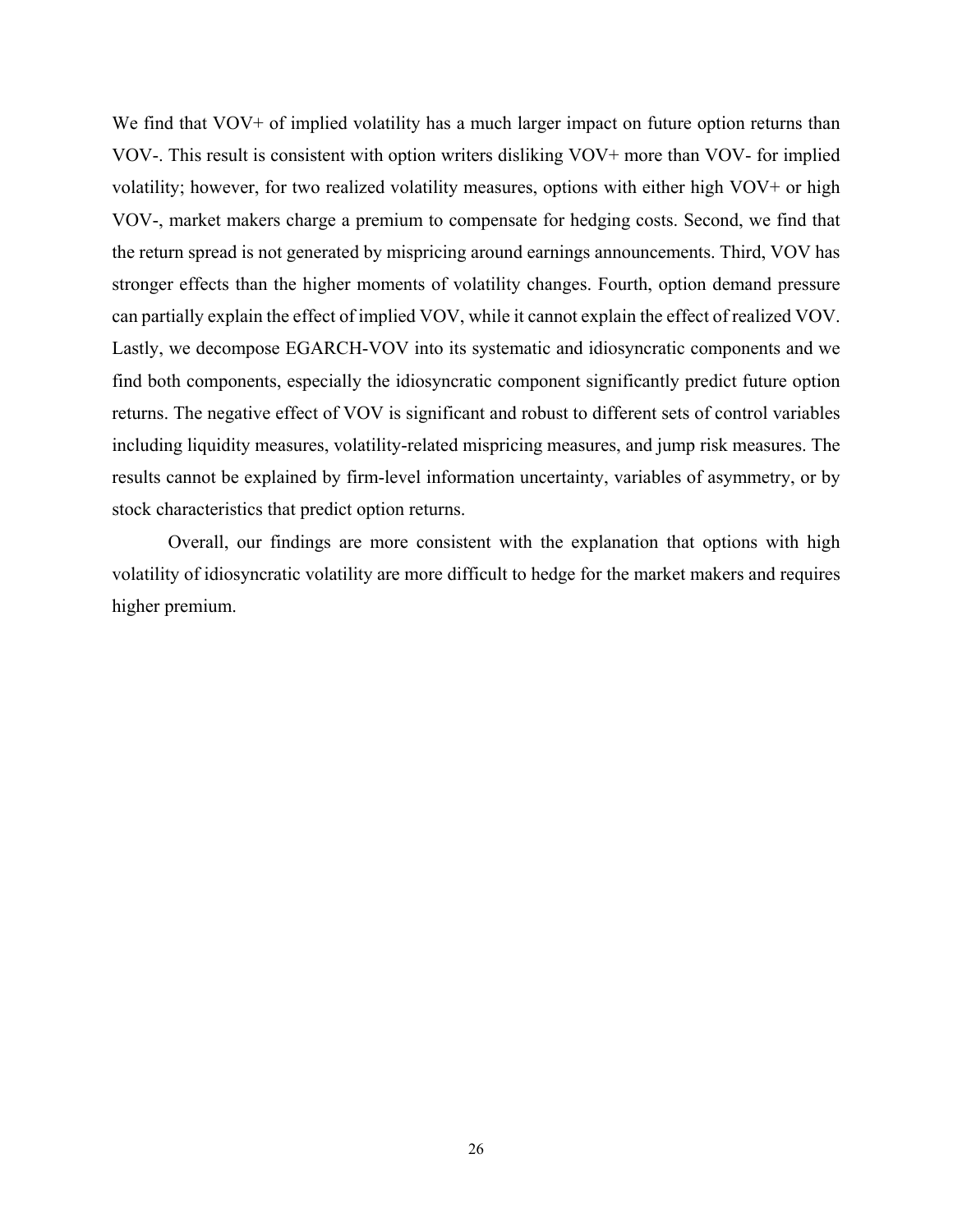We find that VOV+ of implied volatility has a much larger impact on future option returns than VOV-. This result is consistent with option writers disliking VOV+ more than VOV- for implied volatility; however, for two realized volatility measures, options with either high VOV+ or high VOV-, market makers charge a premium to compensate for hedging costs. Second, we find that the return spread is not generated by mispricing around earnings announcements. Third, VOV has stronger effects than the higher moments of volatility changes. Fourth, option demand pressure can partially explain the effect of implied VOV, while it cannot explain the effect of realized VOV. Lastly, we decompose EGARCH-VOV into its systematic and idiosyncratic components and we find both components, especially the idiosyncratic component significantly predict future option returns. The negative effect of VOV is significant and robust to different sets of control variables including liquidity measures, volatility-related mispricing measures, and jump risk measures. The results cannot be explained by firm-level information uncertainty, variables of asymmetry, or by stock characteristics that predict option returns.

Overall, our findings are more consistent with the explanation that options with high volatility of idiosyncratic volatility are more difficult to hedge for the market makers and requires higher premium.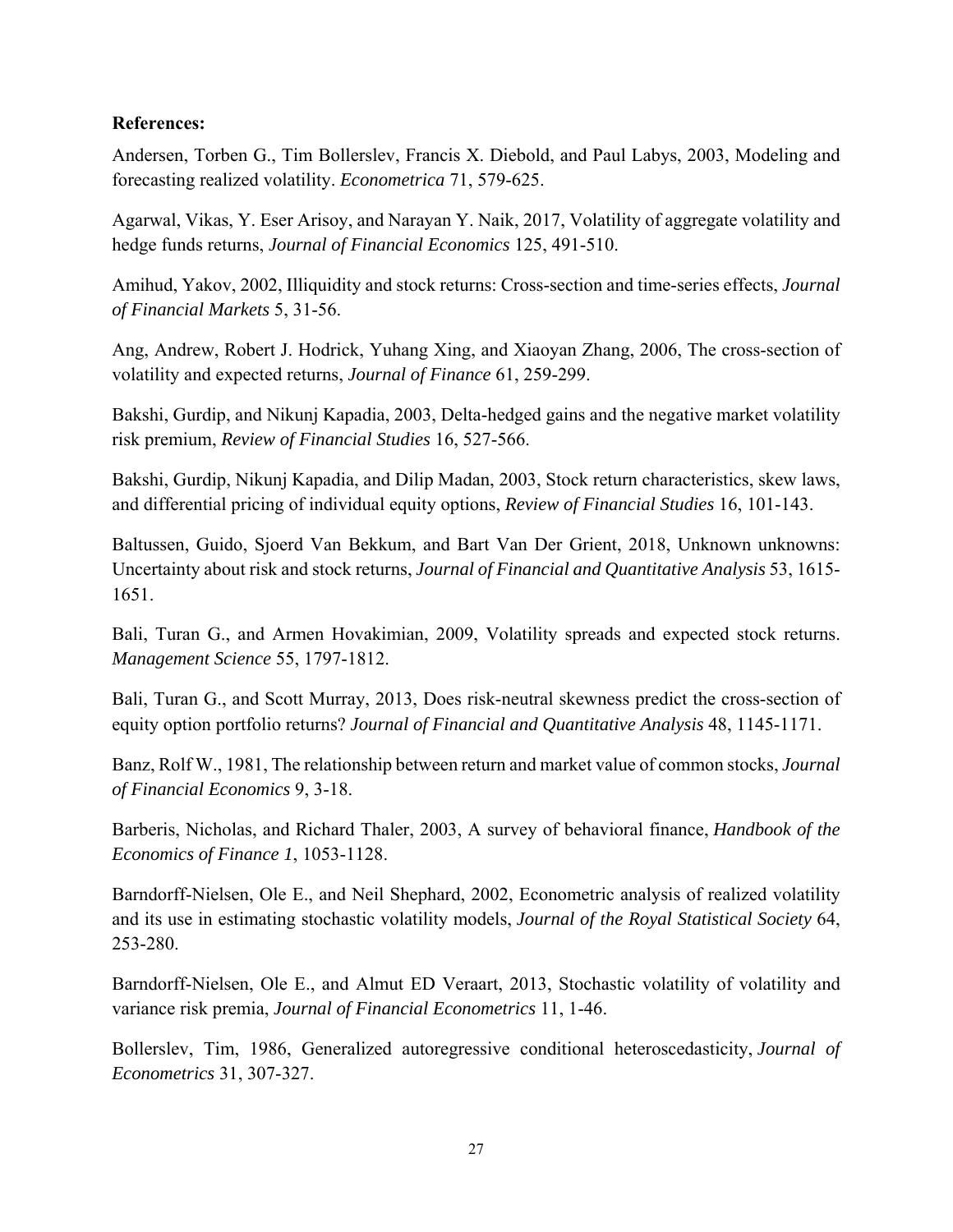#### **References:**

Andersen, Torben G., Tim Bollerslev, Francis X. Diebold, and Paul Labys, 2003, Modeling and forecasting realized volatility. *Econometrica* 71, 579-625.

Agarwal, Vikas, Y. Eser Arisoy, and Narayan Y. Naik, 2017, Volatility of aggregate volatility and hedge funds returns, *Journal of Financial Economics* 125, 491-510.

Amihud, Yakov, 2002, Illiquidity and stock returns: Cross-section and time-series effects, *Journal of Financial Markets* 5, 31-56.

Ang, Andrew, Robert J. Hodrick, Yuhang Xing, and Xiaoyan Zhang, 2006, The cross-section of volatility and expected returns, *Journal of Finance* 61, 259-299.

Bakshi, Gurdip, and Nikunj Kapadia, 2003, Delta-hedged gains and the negative market volatility risk premium, *Review of Financial Studies* 16, 527-566.

Bakshi, Gurdip, Nikunj Kapadia, and Dilip Madan, 2003, Stock return characteristics, skew laws, and differential pricing of individual equity options, *Review of Financial Studies* 16, 101-143.

Baltussen, Guido, Sjoerd Van Bekkum, and Bart Van Der Grient, 2018, Unknown unknowns: Uncertainty about risk and stock returns, *Journal of Financial and Quantitative Analysis* 53, 1615- 1651.

Bali, Turan G., and Armen Hovakimian, 2009, Volatility spreads and expected stock returns. *Management Science* 55, 1797-1812.

Bali, Turan G., and Scott Murray, 2013, Does risk-neutral skewness predict the cross-section of equity option portfolio returns? *Journal of Financial and Quantitative Analysis* 48, 1145-1171.

Banz, Rolf W., 1981, The relationship between return and market value of common stocks, *Journal of Financial Economics* 9, 3-18.

Barberis, Nicholas, and Richard Thaler, 2003, A survey of behavioral finance, *Handbook of the Economics of Finance 1*, 1053-1128.

Barndorff-Nielsen, Ole E., and Neil Shephard, 2002, Econometric analysis of realized volatility and its use in estimating stochastic volatility models, *Journal of the Royal Statistical Society* 64, 253-280.

Barndorff-Nielsen, Ole E., and Almut ED Veraart, 2013, Stochastic volatility of volatility and variance risk premia, *Journal of Financial Econometrics* 11, 1-46.

Bollerslev, Tim, 1986, Generalized autoregressive conditional heteroscedasticity, *Journal of Econometrics* 31, 307-327.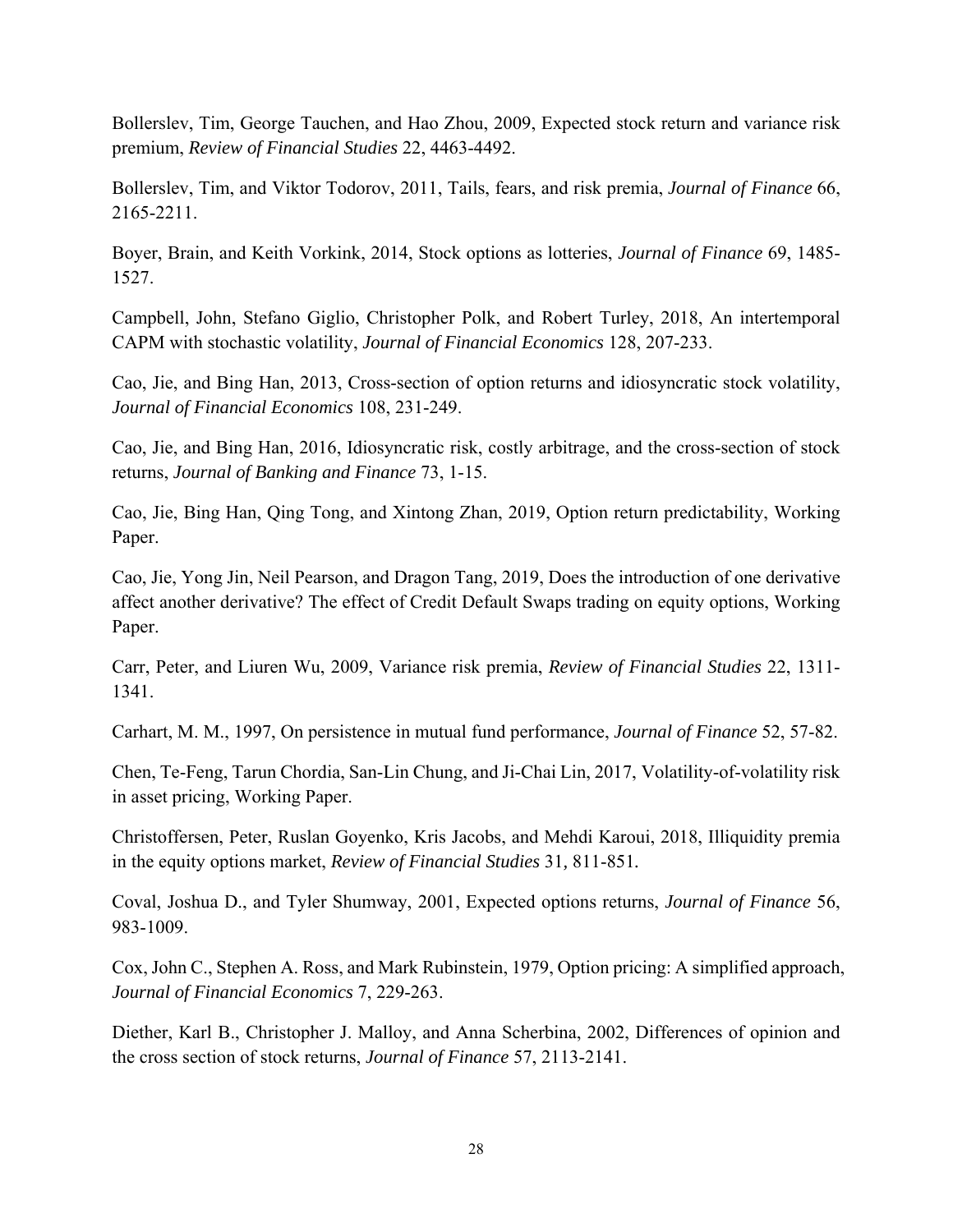Bollerslev, Tim, George Tauchen, and Hao Zhou, 2009, Expected stock return and variance risk premium, *Review of Financial Studies* 22, 4463-4492.

Bollerslev, Tim, and Viktor Todorov, 2011, Tails, fears, and risk premia, *Journal of Finance* 66, 2165-2211.

Boyer, Brain, and Keith Vorkink, 2014, Stock options as lotteries, *Journal of Finance* 69, 1485- 1527.

Campbell, John, Stefano Giglio, Christopher Polk, and Robert Turley, 2018, An intertemporal CAPM with stochastic volatility, *Journal of Financial Economics* 128, 207-233.

Cao, Jie, and Bing Han, 2013, Cross-section of option returns and idiosyncratic stock volatility, *Journal of Financial Economics* 108, 231-249.

Cao, Jie, and Bing Han, 2016, Idiosyncratic risk, costly arbitrage, and the cross-section of stock returns, *Journal of Banking and Finance* 73, 1-15.

Cao, Jie, Bing Han, Qing Tong, and Xintong Zhan, 2019, Option return predictability, Working Paper.

Cao, Jie, Yong Jin, Neil Pearson, and Dragon Tang, 2019, Does the introduction of one derivative affect another derivative? The effect of Credit Default Swaps trading on equity options, Working Paper.

Carr, Peter, and Liuren Wu, 2009, Variance risk premia, *Review of Financial Studies* 22, 1311- 1341.

Carhart, M. M., 1997, On persistence in mutual fund performance, *Journal of Finance* 52, 57-82.

Chen, Te-Feng, Tarun Chordia, San-Lin Chung, and Ji-Chai Lin, 2017, Volatility-of-volatility risk in asset pricing, Working Paper.

Christoffersen, Peter, Ruslan Goyenko, Kris Jacobs, and Mehdi Karoui, 2018, Illiquidity premia in the equity options market, *Review of Financial Studies* 31*,* 811-851*.* 

Coval, Joshua D., and Tyler Shumway, 2001, Expected options returns, *Journal of Finance* 56, 983-1009.

Cox, John C., Stephen A. Ross, and Mark Rubinstein, 1979, Option pricing: A simplified approach, *Journal of Financial Economics* 7, 229-263.

Diether, Karl B., Christopher J. Malloy, and Anna Scherbina, 2002, Differences of opinion and the cross section of stock returns, *Journal of Finance* 57, 2113-2141.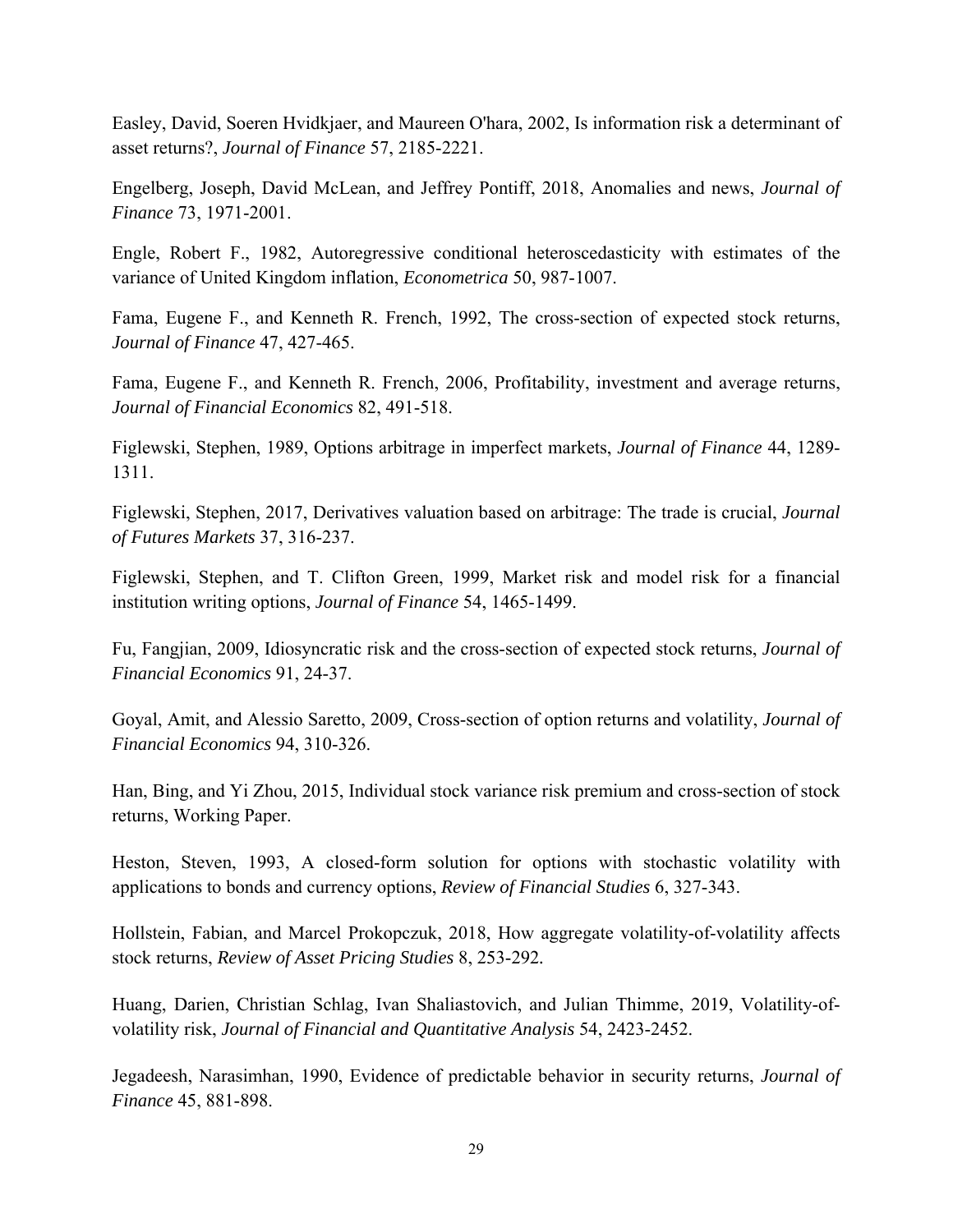Easley, David, Soeren Hvidkjaer, and Maureen O'hara, 2002, Is information risk a determinant of asset returns?, *Journal of Finance* 57, 2185-2221.

Engelberg, Joseph, David McLean, and Jeffrey Pontiff, 2018, Anomalies and news, *Journal of Finance* 73, 1971-2001.

Engle, Robert F., 1982, Autoregressive conditional heteroscedasticity with estimates of the variance of United Kingdom inflation, *Econometrica* 50, 987-1007.

Fama, Eugene F., and Kenneth R. French, 1992, The cross-section of expected stock returns, *Journal of Finance* 47, 427-465.

Fama, Eugene F., and Kenneth R. French, 2006, Profitability, investment and average returns, *Journal of Financial Economics* 82, 491-518.

Figlewski, Stephen, 1989, Options arbitrage in imperfect markets, *Journal of Finance* 44, 1289- 1311.

Figlewski, Stephen, 2017, Derivatives valuation based on arbitrage: The trade is crucial, *Journal of Futures Markets* 37, 316-237.

Figlewski, Stephen, and T. Clifton Green, 1999, Market risk and model risk for a financial institution writing options, *Journal of Finance* 54, 1465-1499.

Fu, Fangjian, 2009, Idiosyncratic risk and the cross-section of expected stock returns, *Journal of Financial Economics* 91, 24-37.

Goyal, Amit, and Alessio Saretto, 2009, Cross-section of option returns and volatility, *Journal of Financial Economics* 94, 310-326.

Han, Bing, and Yi Zhou, 2015, Individual stock variance risk premium and cross-section of stock returns, Working Paper.

Heston, Steven, 1993, A closed-form solution for options with stochastic volatility with applications to bonds and currency options, *Review of Financial Studies* 6, 327-343.

Hollstein, Fabian, and Marcel Prokopczuk, 2018, How aggregate volatility-of-volatility affects stock returns, *Review of Asset Pricing Studies* 8, 253-292*.* 

Huang, Darien, Christian Schlag, Ivan Shaliastovich, and Julian Thimme, 2019, Volatility-ofvolatility risk, *Journal of Financial and Quantitative Analysis* 54, 2423-2452.

Jegadeesh, Narasimhan, 1990, Evidence of predictable behavior in security returns, *Journal of Finance* 45, 881-898.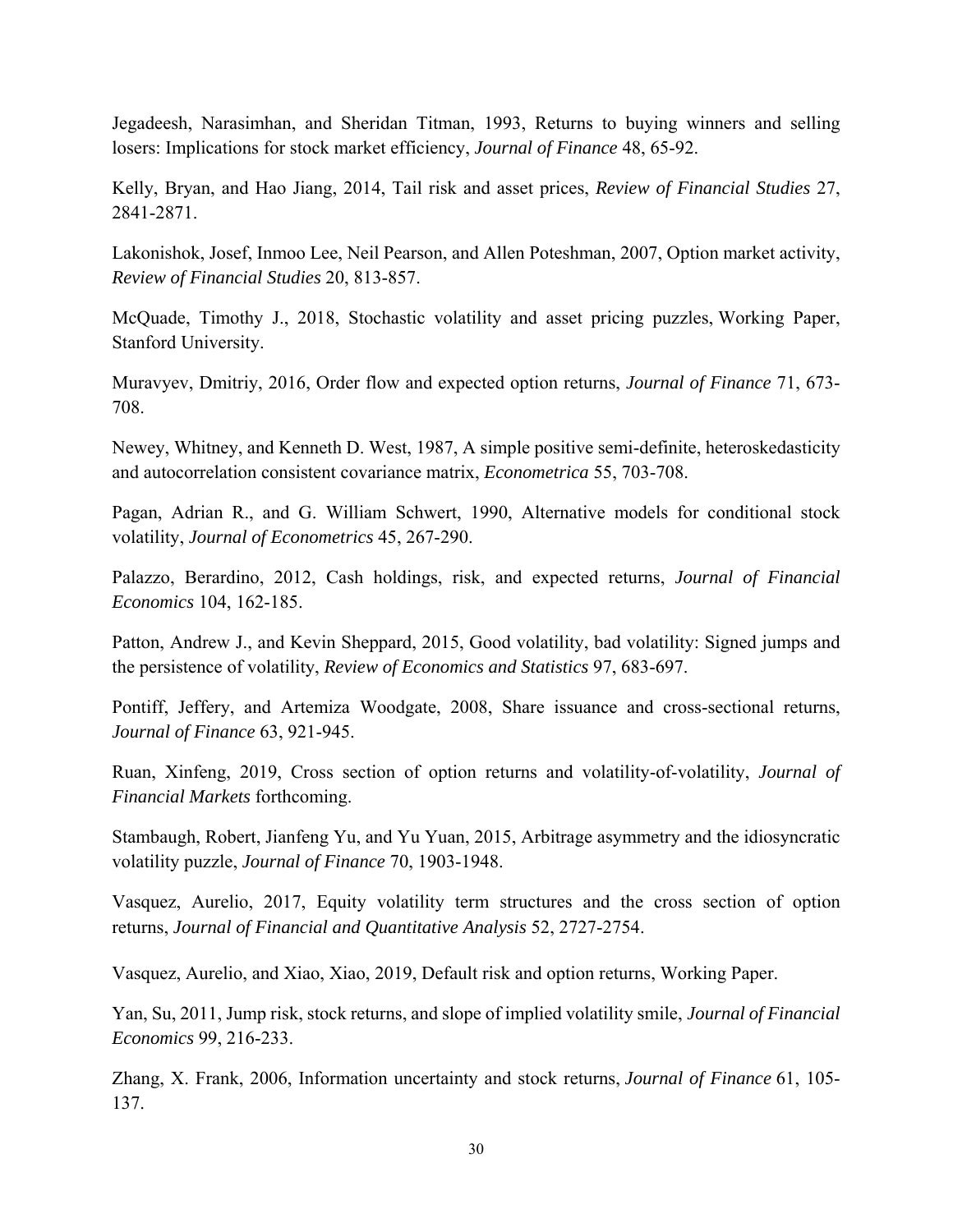Jegadeesh, Narasimhan, and Sheridan Titman, 1993, Returns to buying winners and selling losers: Implications for stock market efficiency, *Journal of Finance* 48, 65-92.

Kelly, Bryan, and Hao Jiang, 2014, Tail risk and asset prices, *Review of Financial Studies* 27, 2841-2871.

Lakonishok, Josef, Inmoo Lee, Neil Pearson, and Allen Poteshman, 2007, Option market activity, *Review of Financial Studies* 20, 813-857.

McQuade, Timothy J., 2018, Stochastic volatility and asset pricing puzzles, Working Paper, Stanford University.

Muravyev, Dmitriy, 2016, Order flow and expected option returns, *Journal of Finance* 71, 673- 708.

Newey, Whitney, and Kenneth D. West, 1987, A simple positive semi-definite, heteroskedasticity and autocorrelation consistent covariance matrix, *Econometrica* 55, 703-708.

Pagan, Adrian R., and G. William Schwert, 1990, Alternative models for conditional stock volatility, *Journal of Econometrics* 45, 267-290.

Palazzo, Berardino, 2012, Cash holdings, risk, and expected returns, *Journal of Financial Economics* 104, 162-185.

Patton, Andrew J., and Kevin Sheppard, 2015, Good volatility, bad volatility: Signed jumps and the persistence of volatility, *Review of Economics and Statistics* 97, 683-697.

Pontiff, Jeffery, and Artemiza Woodgate, 2008, Share issuance and cross-sectional returns, *Journal of Finance* 63, 921-945.

Ruan, Xinfeng, 2019, Cross section of option returns and volatility-of-volatility, *Journal of Financial Markets* forthcoming.

Stambaugh, Robert, Jianfeng Yu, and Yu Yuan, 2015, Arbitrage asymmetry and the idiosyncratic volatility puzzle, *Journal of Finance* 70, 1903-1948.

Vasquez, Aurelio, 2017, Equity volatility term structures and the cross section of option returns, *Journal of Financial and Quantitative Analysis* 52, 2727-2754.

Vasquez, Aurelio, and Xiao, Xiao, 2019, Default risk and option returns, Working Paper.

Yan, Su, 2011, Jump risk, stock returns, and slope of implied volatility smile, *Journal of Financial Economics* 99, 216-233.

Zhang, X. Frank, 2006, Information uncertainty and stock returns, *Journal of Finance* 61, 105- 137.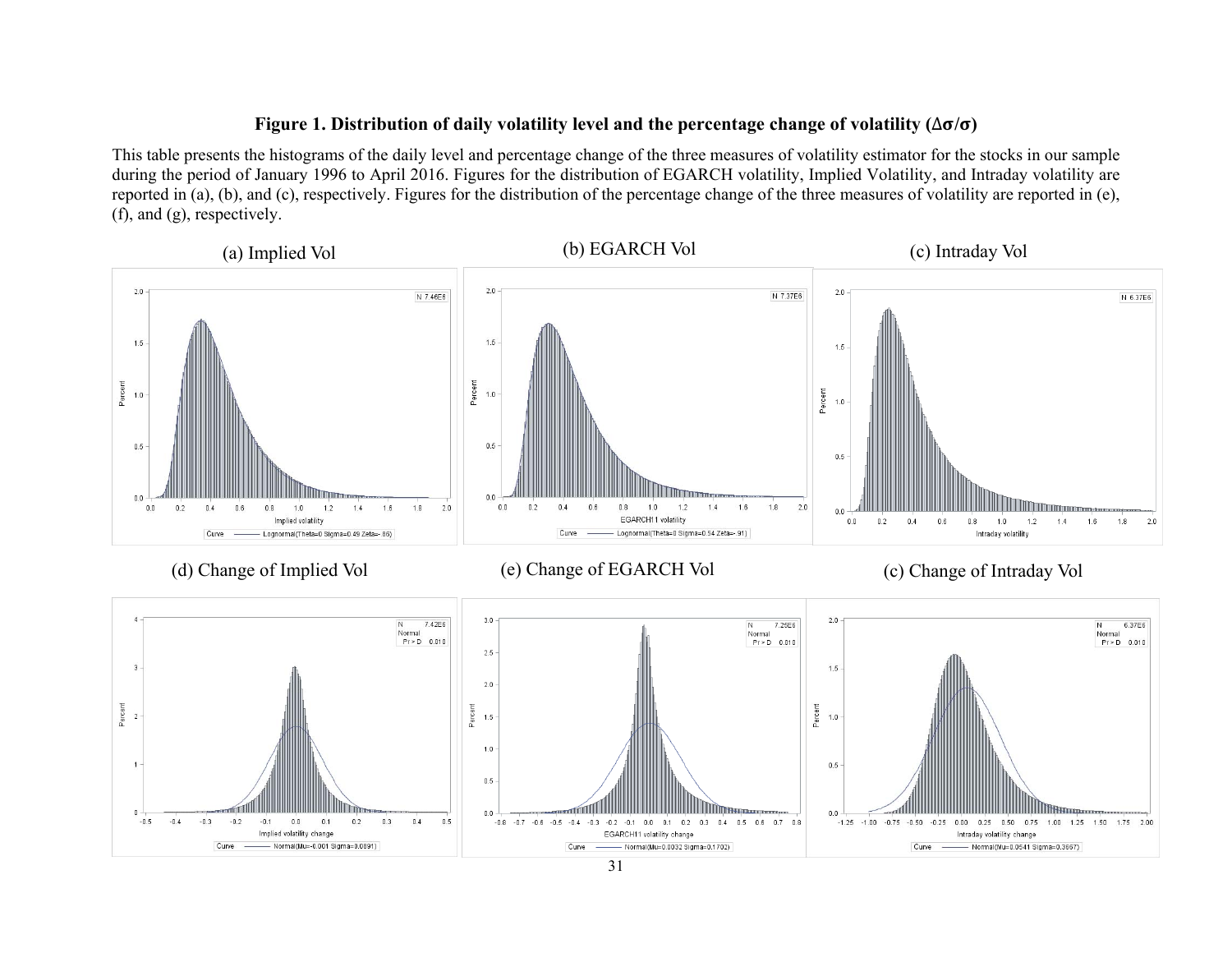#### Figure 1. Distribution of daily volatility level and the percentage change of volatility ( $\Delta \sigma / \sigma$ )

This table presents the histograms of the daily level and percentage change of the three measures of volatility estimator for the stocks in our sample during the period of January 1996 to April 2016. Figures for the distribution of EGARCH volatility, Implied Volatility, and Intraday volatility are reported in (a), (b), and (c), respectively. Figures for the distribution of the percentage change of the three measures of volatility are reported in (e), (f), and (g), respectively.

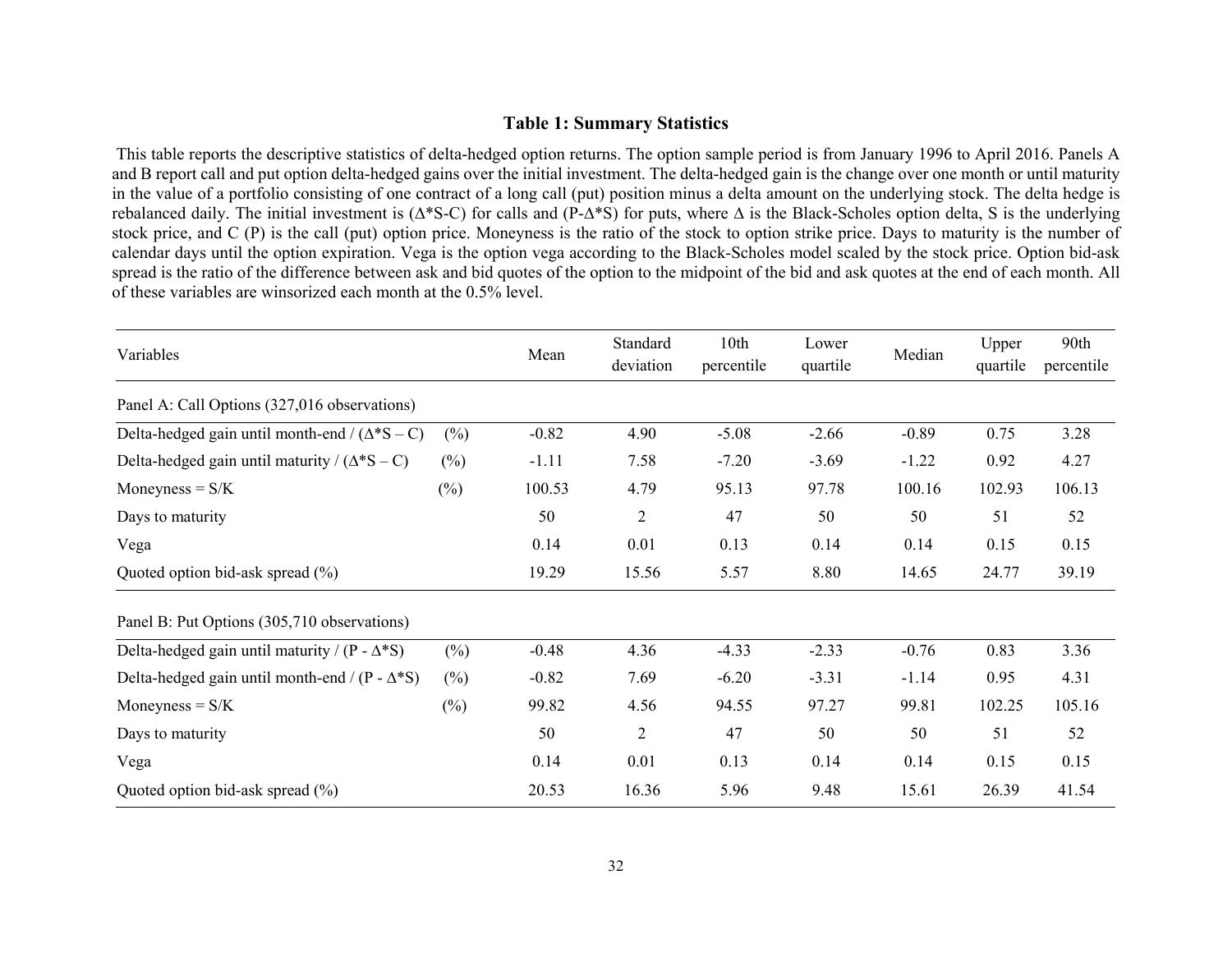#### **Table 1: Summary Statistics**

 This table reports the descriptive statistics of delta-hedged option returns. The option sample period is from January 1996 to April 2016. Panels A and B report call and put option delta-hedged gains over the initial investment. The delta-hedged gain is the change over one month or until maturity in the value of a portfolio consisting of one contract of a long call (put) position minus a delta amount on the underlying stock. The delta hedge is rebalanced daily. The initial investment is (∆\*S-C) for calls and (P-∆\*S) for puts, where ∆ is the Black-Scholes option delta, S is the underlying stock price, and C (P) is the call (put) option price. Moneyness is the ratio of the stock to option strike price. Days to maturity is the number of calendar days until the option expiration. Vega is the option vega according to the Black-Scholes model scaled by the stock price. Option bid-ask spread is the ratio of the difference between ask and bid quotes of the option to the midpoint of the bid and ask quotes at the end of each month. All of these variables are winsorized each month at the 0.5% level.

| Variables                                             |        | Mean    | Standard<br>deviation | 10 <sub>th</sub><br>percentile | Lower<br>quartile | Median  | Upper<br>quartile | 90th<br>percentile |
|-------------------------------------------------------|--------|---------|-----------------------|--------------------------------|-------------------|---------|-------------------|--------------------|
| Panel A: Call Options (327,016 observations)          |        |         |                       |                                |                   |         |                   |                    |
| Delta-hedged gain until month-end / $(\Delta^*S - C)$ | $(\%)$ | $-0.82$ | 4.90                  | $-5.08$                        | $-2.66$           | $-0.89$ | 0.75              | 3.28               |
| Delta-hedged gain until maturity / $(\Delta^*S - C)$  | (%)    | $-1.11$ | 7.58                  | $-7.20$                        | $-3.69$           | $-1.22$ | 0.92              | 4.27               |
| Moneyness $= S/K$                                     | $(\%)$ | 100.53  | 4.79                  | 95.13                          | 97.78             | 100.16  | 102.93            | 106.13             |
| Days to maturity                                      |        | 50      | $\overline{2}$        | 47                             | 50                | 50      | 51                | 52                 |
| Vega                                                  |        | 0.14    | 0.01                  | 0.13                           | 0.14              | 0.14    | 0.15              | 0.15               |
| Quoted option bid-ask spread (%)                      |        | 19.29   | 15.56                 | 5.57                           | 8.80              | 14.65   | 24.77             | 39.19              |
| Panel B: Put Options (305,710 observations)           |        |         |                       |                                |                   |         |                   |                    |
| Delta-hedged gain until maturity / $(P - \Delta^*S)$  | $(\%)$ | $-0.48$ | 4.36                  | $-4.33$                        | $-2.33$           | $-0.76$ | 0.83              | 3.36               |
| Delta-hedged gain until month-end / $(P - \Delta^*S)$ | $(\%)$ | $-0.82$ | 7.69                  | $-6.20$                        | $-3.31$           | $-1.14$ | 0.95              | 4.31               |
| Moneyness $= S/K$                                     | $(\%)$ | 99.82   | 4.56                  | 94.55                          | 97.27             | 99.81   | 102.25            | 105.16             |
| Days to maturity                                      |        | 50      | $\overline{2}$        | 47                             | 50                | 50      | 51                | 52                 |
| Vega                                                  |        | 0.14    | 0.01                  | 0.13                           | 0.14              | 0.14    | 0.15              | 0.15               |
| Quoted option bid-ask spread (%)                      |        | 20.53   | 16.36                 | 5.96                           | 9.48              | 15.61   | 26.39             | 41.54              |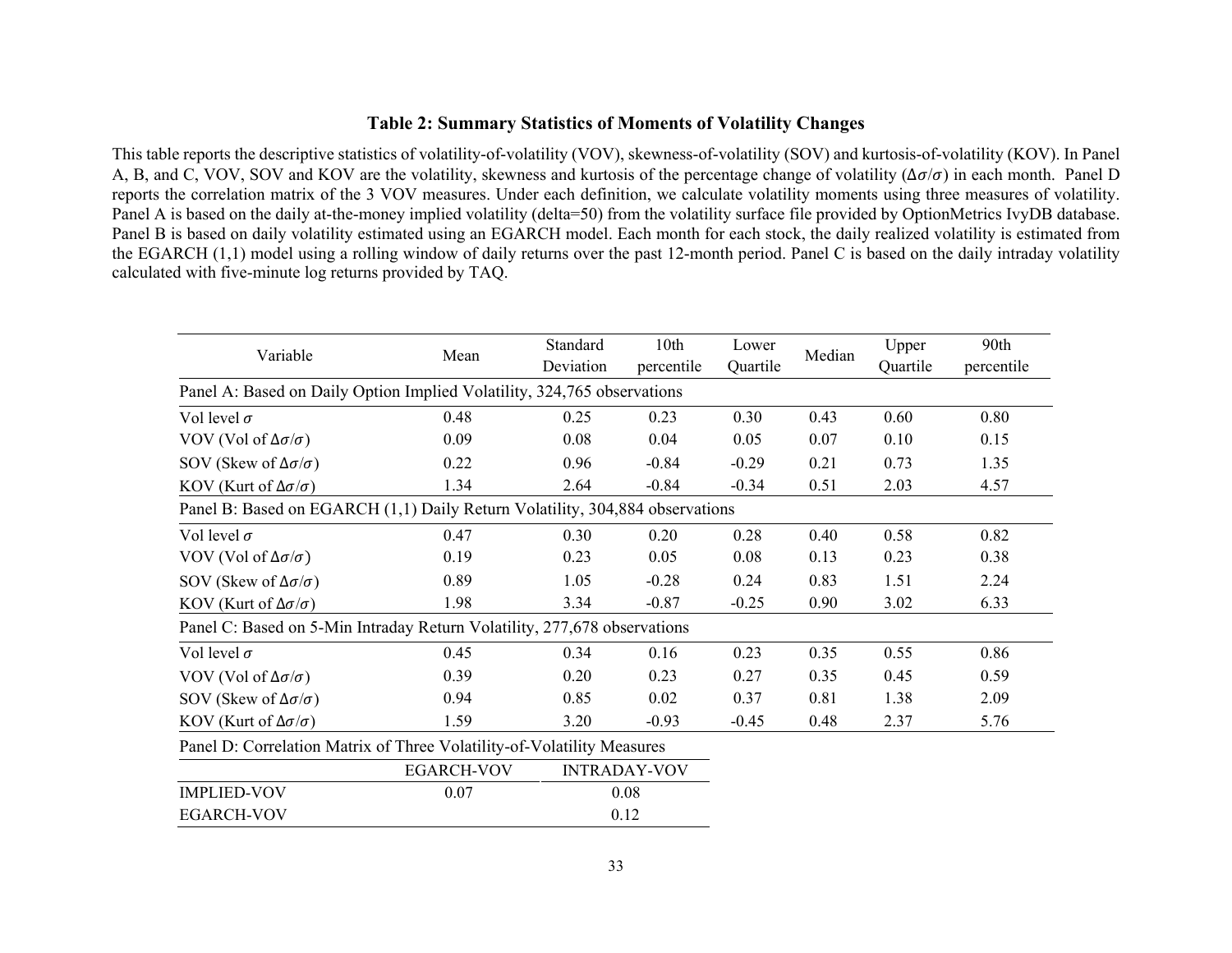#### **Table 2: Summary Statistics of Moments of Volatility Changes**

This table reports the descriptive statistics of volatility-of-volatility (VOV), skewness-of-volatility (SOV) and kurtosis-of-volatility (KOV). In Panel A, B, and C, VOV, SOV and KOV are the volatility, skewness and kurtosis of the percentage change of volatility ( $\Delta \sigma / \sigma$ ) in each month. Panel D reports the correlation matrix of the 3 VOV measures. Under each definition, we calculate volatility moments using three measures of volatility. Panel A is based on the daily at-the-money implied volatility (delta=50) from the volatility surface file provided by OptionMetrics IvyDB database. Panel B is based on daily volatility estimated using an EGARCH model. Each month for each stock, the daily realized volatility is estimated from the EGARCH (1,1) model using a rolling window of daily returns over the past 12-month period. Panel C is based on the daily intraday volatility calculated with five-minute log returns provided by TAQ.

|                                                                              |                   | Standard  | 10th                | Lower    |        | Upper    | 90th       |
|------------------------------------------------------------------------------|-------------------|-----------|---------------------|----------|--------|----------|------------|
| Variable                                                                     | Mean              | Deviation | percentile          | Quartile | Median | Quartile | percentile |
| Panel A: Based on Daily Option Implied Volatility, 324,765 observations      |                   |           |                     |          |        |          |            |
| Vol level $\sigma$                                                           | 0.48              | 0.25      | 0.23                | 0.30     | 0.43   | 0.60     | 0.80       |
| VOV (Vol of $\Delta\sigma/\sigma$ )                                          | 0.09              | 0.08      | 0.04                | 0.05     | 0.07   | 0.10     | 0.15       |
| SOV (Skew of $\Delta \sigma/\sigma$ )                                        | 0.22              | 0.96      | $-0.84$             | $-0.29$  | 0.21   | 0.73     | 1.35       |
| KOV (Kurt of $\Delta \sigma/\sigma$ )                                        | 1.34              | 2.64      | $-0.84$             | $-0.34$  | 0.51   | 2.03     | 4.57       |
| Panel B: Based on EGARCH (1,1) Daily Return Volatility, 304,884 observations |                   |           |                     |          |        |          |            |
| Vol level $\sigma$                                                           | 0.47              | 0.30      | 0.20                | 0.28     | 0.40   | 0.58     | 0.82       |
| VOV (Vol of $\Delta\sigma/\sigma$ )                                          | 0.19              | 0.23      | 0.05                | 0.08     | 0.13   | 0.23     | 0.38       |
| SOV (Skew of $\Delta\sigma/\sigma$ )                                         | 0.89              | 1.05      | $-0.28$             | 0.24     | 0.83   | 1.51     | 2.24       |
| KOV (Kurt of $\Delta \sigma/\sigma$ )                                        | 1.98              | 3.34      | $-0.87$             | $-0.25$  | 0.90   | 3.02     | 6.33       |
| Panel C: Based on 5-Min Intraday Return Volatility, 277,678 observations     |                   |           |                     |          |        |          |            |
| Vol level $\sigma$                                                           | 0.45              | 0.34      | 0.16                | 0.23     | 0.35   | 0.55     | 0.86       |
| VOV (Vol of $\Delta\sigma/\sigma$ )                                          | 0.39              | 0.20      | 0.23                | 0.27     | 0.35   | 0.45     | 0.59       |
| SOV (Skew of $\Delta \sigma/\sigma$ )                                        | 0.94              | 0.85      | 0.02                | 0.37     | 0.81   | 1.38     | 2.09       |
| KOV (Kurt of $\Delta\sigma/\sigma$ )                                         | 1.59              | 3.20      | $-0.93$             | $-0.45$  | 0.48   | 2.37     | 5.76       |
| Panel D: Correlation Matrix of Three Volatility-of-Volatility Measures       |                   |           |                     |          |        |          |            |
|                                                                              | <b>EGARCH-VOV</b> |           | <b>INTRADAY-VOV</b> |          |        |          |            |
| <b>IMPLIED-VOV</b>                                                           | 0.07              |           | 0.08                |          |        |          |            |

EGARCH-VOV 0.12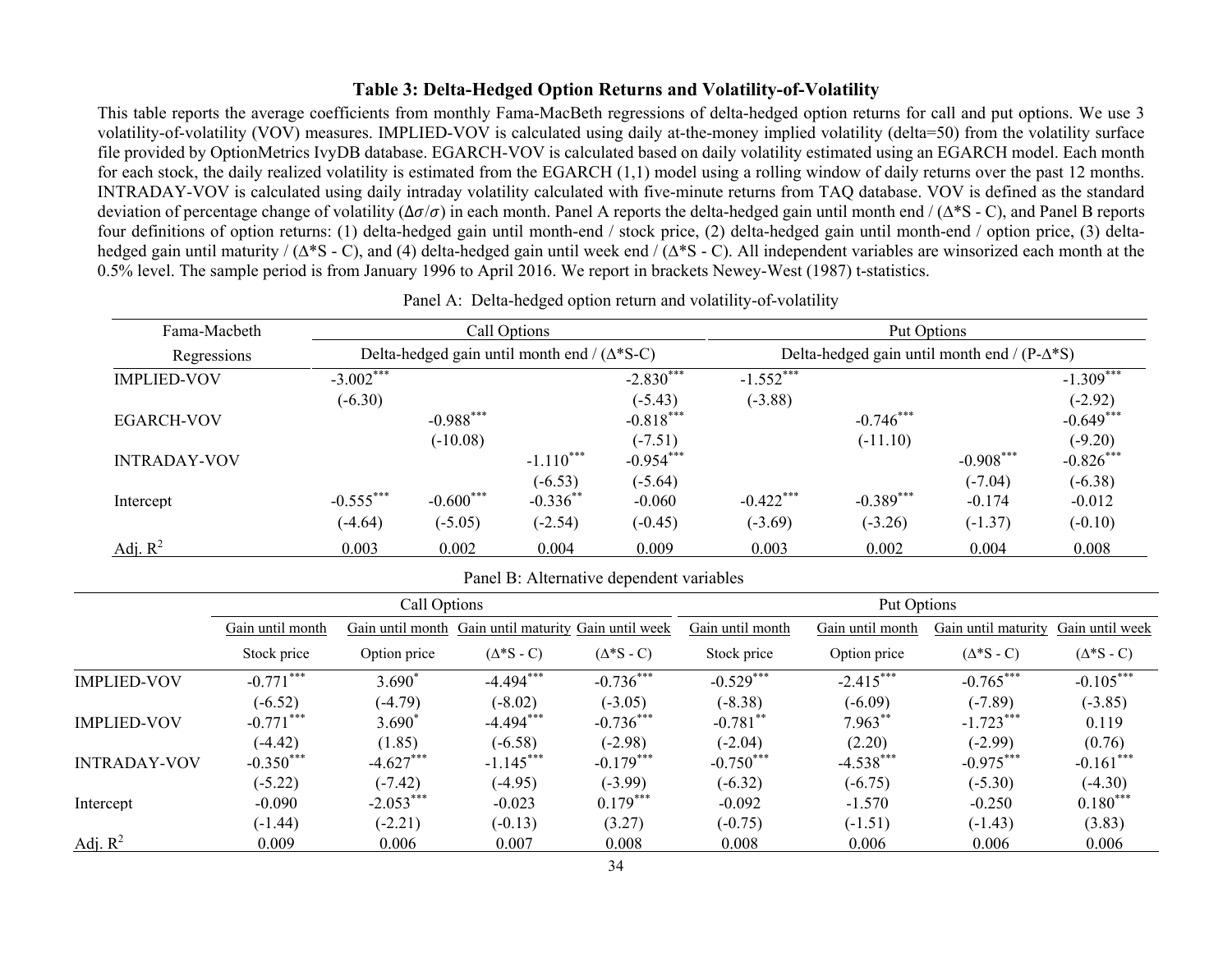#### **Table 3: Delta-Hedged Option Returns and Volatility-of-Volatility**

This table reports the average coefficients from monthly Fama-MacBeth regressions of delta-hedged option returns for call and put options. We use 3 volatility-of-volatility (VOV) measures. IMPLIED-VOV is calculated using daily at-the-money implied volatility (delta=50) from the volatility surface file provided by OptionMetrics IvyDB database. EGARCH-VOV is calculated based on daily volatility estimated using an EGARCH model. Each month for each stock, the daily realized volatility is estimated from the EGARCH (1,1) model using a rolling window of daily returns over the past 12 months. INTRADAY-VOV is calculated using daily intraday volatility calculated with five-minute returns from TAQ database. VOV is defined as the standard deviation of percentage change of volatility ( $\Delta \sigma/\sigma$ ) in each month. Panel A reports the delta-hedged gain until month end / ( $\Delta$ \*S - C), and Panel B reports four definitions of option returns: (1) delta-hedged gain until month-end / stock price, (2) delta-hedged gain until month-end / option price, (3) deltahedged gain until maturity / ( $\Delta$ \*S - C), and (4) delta-hedged gain until week end / ( $\Delta$ \*S - C). All independent variables are winsorized each month at the 0.5% level. The sample period is from January 1996 to April 2016. We report in brackets Newey-West (1987) t-statistics.

| Fama-Macbeth        |             | Call Options<br>Delta-hedged gain until month end $/ (\Delta$ *S-C) |             |             | Put Options<br>Delta-hedged gain until month end / $(P-A*S)$ |             |             |             |
|---------------------|-------------|---------------------------------------------------------------------|-------------|-------------|--------------------------------------------------------------|-------------|-------------|-------------|
| Regressions         |             |                                                                     |             |             |                                                              |             |             |             |
| <b>IMPLIED-VOV</b>  | $-3.002***$ |                                                                     |             | $-2.830***$ | $-1.552***$                                                  |             |             | $-1.309***$ |
|                     | $(-6.30)$   |                                                                     |             | $(-5.43)$   | $(-3.88)$                                                    |             |             | $(-2.92)$   |
| EGARCH-VOV          |             | $-0.988***$                                                         |             | $-0.818***$ |                                                              | $-0.746***$ |             | $-0.649***$ |
|                     |             | $(-10.08)$                                                          |             | $(-7.51)$   |                                                              | $(-11.10)$  |             | $(-9.20)$   |
| <b>INTRADAY-VOV</b> |             |                                                                     | $-1.110***$ | $-0.954***$ |                                                              |             | $-0.908***$ | $-0.826***$ |
|                     |             |                                                                     | $(-6.53)$   | $(-5.64)$   |                                                              |             | $(-7.04)$   | $(-6.38)$   |
| Intercept           | $-0.555***$ | $-0.600***$                                                         | $-0.336$ ** | $-0.060$    | $-0.422***$                                                  | $-0.389***$ | $-0.174$    | $-0.012$    |
|                     | $(-4.64)$   | $(-5.05)$                                                           | $(-2.54)$   | $(-0.45)$   | $(-3.69)$                                                    | $(-3.26)$   | $(-1.37)$   | $(-0.10)$   |
| Adj. $R^2$          | 0.003       | 0.002                                                               | 0.004       | 0.009       | 0.003                                                        | 0.002       | 0.004       | 0.008       |

Panel A: Delta-hedged option return and volatility-of-volatility

Panel B: Alternative dependent variables

|                     |                  | Call Options     |                                     |                   | Put Options      |                  |                     |                   |
|---------------------|------------------|------------------|-------------------------------------|-------------------|------------------|------------------|---------------------|-------------------|
|                     | Gain until month | Gain until month | Gain until maturity Gain until week |                   | Gain until month | Gain until month | Gain until maturity | Gain until week   |
|                     | Stock price      | Option price     | $(\Delta^*S - C)$                   | $(\Delta^*S - C)$ | Stock price      | Option price     | $(\Delta^*S - C)$   | $(\Delta^*S - C)$ |
| <b>IMPLIED-VOV</b>  | $-0.771***$      | $3.690*$         | $-4.494***$                         | $-0.736***$       | $-0.529***$      | $-2.415***$      | $-0.765***$         | $-0.105***$       |
|                     | $(-6.52)$        | $(-4.79)$        | $(-8.02)$                           | $(-3.05)$         | $(-8.38)$        | $(-6.09)$        | $(-7.89)$           | $(-3.85)$         |
| <b>IMPLIED-VOV</b>  | $-0.771***$      | $3.690*$         | $-4.494***$                         | $-0.736***$       | $-0.781$ **      | $7.963**$        | $-1.723***$         | 0.119             |
|                     | $(-4.42)$        | (1.85)           | $(-6.58)$                           | $(-2.98)$         | $(-2.04)$        | (2.20)           | $(-2.99)$           | (0.76)            |
| <b>INTRADAY-VOV</b> | $-0.350***$      | $-4.627***$      | $-1.145***$                         | $-0.179***$       | $-0.750***$      | $-4.538***$      | $-0.975***$         | $-0.161***$       |
|                     | $(-5.22)$        | $(-7.42)$        | $(-4.95)$                           | $(-3.99)$         | $(-6.32)$        | $(-6.75)$        | $(-5.30)$           | $(-4.30)$         |
| Intercept           | $-0.090$         | $-2.053***$      | $-0.023$                            | $0.179***$        | $-0.092$         | $-1.570$         | $-0.250$            | $0.180***$        |
|                     | $(-1.44)$        | $(-2.21)$        | $(-0.13)$                           | (3.27)            | $(-0.75)$        | $(-1.51)$        | $(-1.43)$           | (3.83)            |
| Adj. $R^2$          | 0.009            | 0.006            | 0.007                               | 0.008             | 0.008            | 0.006            | 0.006               | 0.006             |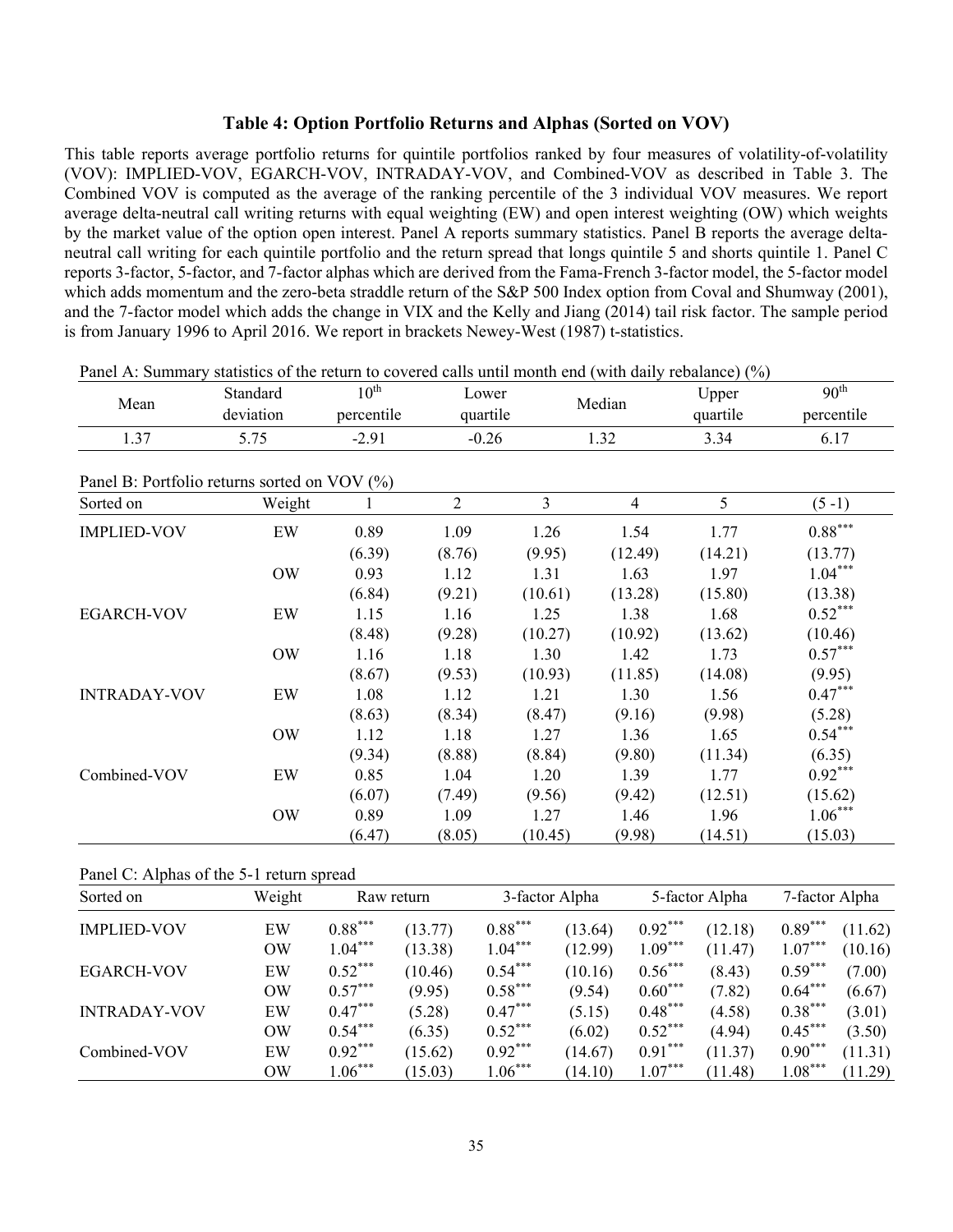#### **Table 4: Option Portfolio Returns and Alphas (Sorted on VOV)**

This table reports average portfolio returns for quintile portfolios ranked by four measures of volatility-of-volatility (VOV): IMPLIED-VOV, EGARCH-VOV, INTRADAY-VOV, and Combined-VOV as described in Table 3. The Combined VOV is computed as the average of the ranking percentile of the 3 individual VOV measures. We report average delta-neutral call writing returns with equal weighting (EW) and open interest weighting (OW) which weights by the market value of the option open interest. Panel A reports summary statistics. Panel B reports the average deltaneutral call writing for each quintile portfolio and the return spread that longs quintile 5 and shorts quintile 1. Panel C reports 3-factor, 5-factor, and 7-factor alphas which are derived from the Fama-French 3-factor model, the 5-factor model which adds momentum and the zero-beta straddle return of the S&P 500 Index option from Coval and Shumway (2001), and the 7-factor model which adds the change in VIX and the Kelly and Jiang (2014) tail risk factor. The sample period is from January 1996 to April 2016. We report in brackets Newey-West (1987) t-statistics.

| Mean                                         | Standard  | $10^{\text{th}}$ | Lower          |                | Median         | Upper    | 90 <sup>th</sup> |
|----------------------------------------------|-----------|------------------|----------------|----------------|----------------|----------|------------------|
|                                              | deviation | percentile       | quartile       |                |                | quartile | percentile       |
| 1.37                                         | 5.75      | $-2.91$          | $-0.26$        |                | 1.32           | 3.34     | 6.17             |
|                                              |           |                  |                |                |                |          |                  |
| Panel B: Portfolio returns sorted on VOV (%) |           |                  |                |                |                |          |                  |
| Sorted on                                    | Weight    |                  | $\overline{2}$ | $\overline{3}$ | $\overline{4}$ | 5        | $(5-1)$          |
| <b>IMPLIED-VOV</b>                           | EW        | 0.89             | 1.09           | 1.26           | 1.54           | 1.77     | $0.88***$        |
|                                              |           | (6.39)           | (8.76)         | (9.95)         | (12.49)        | (14.21)  | (13.77)          |
|                                              | <b>OW</b> | 0.93             | 1.12           | 1.31           | 1.63           | 1.97     | $1.04***$        |
|                                              |           | (6.84)           | (9.21)         | (10.61)        | (13.28)        | (15.80)  | (13.38)          |
| <b>EGARCH-VOV</b>                            | EW        | 1.15             | 1.16           | 1.25           | 1.38           | 1.68     | $0.52***$        |
|                                              |           | (8.48)           | (9.28)         | (10.27)        | (10.92)        | (13.62)  | (10.46)          |
|                                              | <b>OW</b> | 1.16             | 1.18           | 1.30           | 1.42           | 1.73     | $0.57***$        |
|                                              |           | (8.67)           | (9.53)         | (10.93)        | (11.85)        | (14.08)  | (9.95)           |
| <b>INTRADAY-VOV</b>                          | EW        | 1.08             | 1.12           | 1.21           | 1.30           | 1.56     | $0.47***$        |
|                                              |           | (8.63)           | (8.34)         | (8.47)         | (9.16)         | (9.98)   | (5.28)           |
|                                              | <b>OW</b> | 1.12             | 1.18           | 1.27           | 1.36           | 1.65     | $0.54***$        |
|                                              |           | (9.34)           | (8.88)         | (8.84)         | (9.80)         | (11.34)  | (6.35)           |
| Combined-VOV                                 | EW        | 0.85             | 1.04           | 1.20           | 1.39           | 1.77     | $0.92***$        |
|                                              |           | (6.07)           | (7.49)         | (9.56)         | (9.42)         | (12.51)  | (15.62)          |
|                                              | <b>OW</b> | 0.89             | 1.09           | 1.27           | 1.46           | 1.96     | $1.06***$        |
|                                              |           | (6.47)           | (8.05)         | (10.45)        | (9.98)         | (14.51)  | (15.03)          |

Panel A: Summary statistics of the return to covered calls until month end (with daily rebalance) (%)

#### Panel C: Alphas of the 5-1 return spread

| Sorted on           | Weight    |           | Raw return |           | 3-factor Alpha |           | 5-factor Alpha | 7-factor Alpha |         |
|---------------------|-----------|-----------|------------|-----------|----------------|-----------|----------------|----------------|---------|
| <b>IMPLIED-VOV</b>  | EW        | $0.88***$ | (13.77)    | $0.88***$ | (13.64)        | $0.92***$ | (12.18)        | $0.89***$      | (11.62) |
|                     | <b>OW</b> | $1.04***$ | (13.38)    | $1.04***$ | (12.99)        | $1.09***$ | (11.47)        | $1.07***$      | (10.16) |
| EGARCH-VOV          | EW        | $0.52***$ | (10.46)    | $0.54***$ | (10.16)        | $0.56***$ | (8.43)         | $0.59***$      | (7.00)  |
|                     | <b>OW</b> | $0.57***$ | (9.95)     | $0.58***$ | (9.54)         | $0.60***$ | (7.82)         | $0.64***$      | (6.67)  |
| <b>INTRADAY-VOV</b> | EW        | $0.47***$ | (5.28)     | $0.47***$ | (5.15)         | $0.48***$ | (4.58)         | $0.38***$      | (3.01)  |
|                     | <b>OW</b> | $0.54***$ | (6.35)     | $0.52***$ | (6.02)         | $0.52***$ | (4.94)         | $0.45***$      | (3.50)  |
| Combined-VOV        | EW        | $0.92***$ | (15.62)    | $0.92***$ | (14.67)        | $0.91***$ | (11.37)        | $0.90***$      | (11.31) |
|                     | <b>OW</b> | $1.06***$ | (15.03)    | $1.06***$ | (14.10)        | $1.07***$ | (11.48)        | $1.08***$      | (11.29) |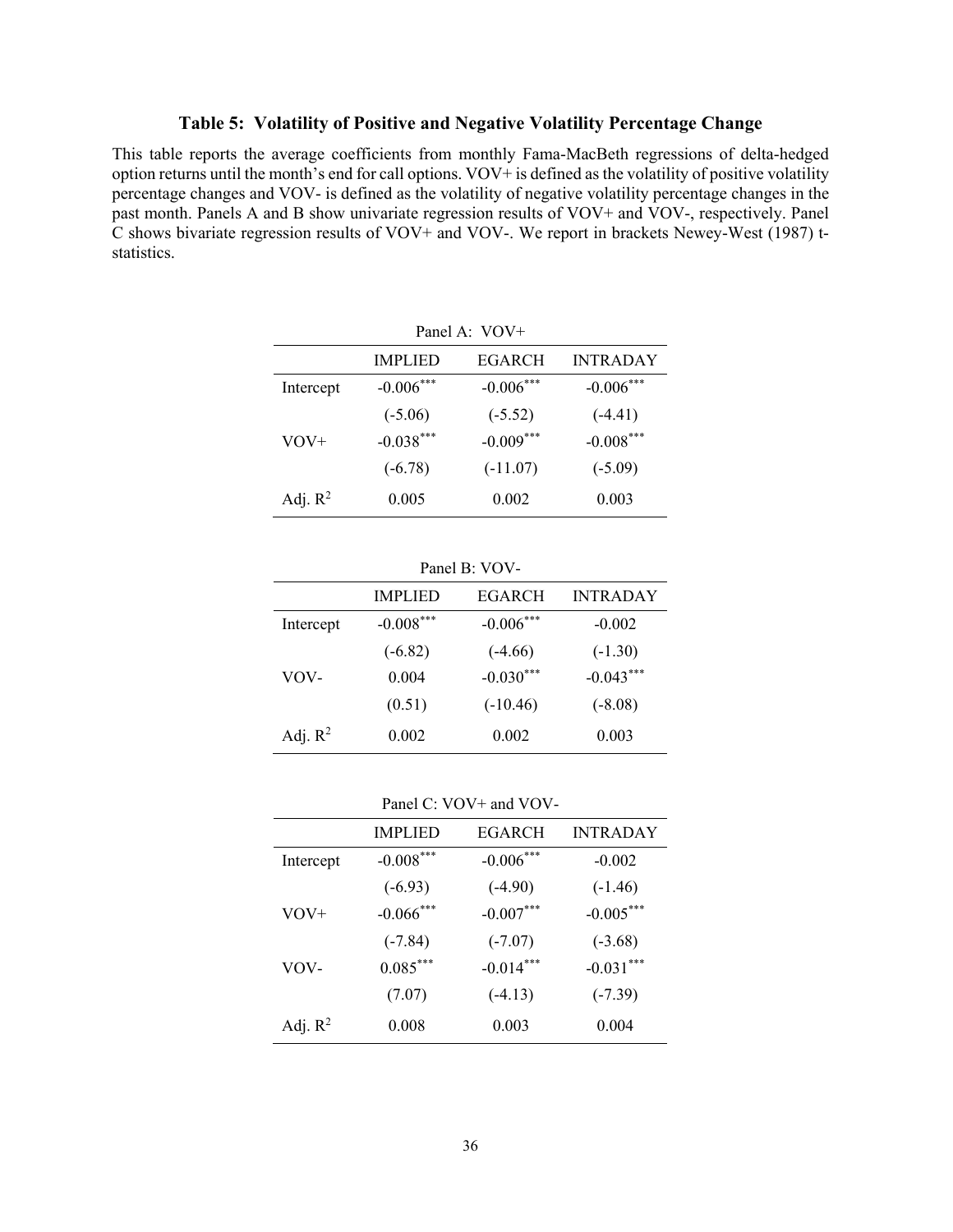#### **Table 5: Volatility of Positive and Negative Volatility Percentage Change**

This table reports the average coefficients from monthly Fama-MacBeth regressions of delta-hedged option returns until the month's end for call options. VOV+ is defined as the volatility of positive volatility percentage changes and VOV- is defined as the volatility of negative volatility percentage changes in the past month. Panels A and B show univariate regression results of VOV+ and VOV-, respectively. Panel C shows bivariate regression results of VOV+ and VOV-. We report in brackets Newey-West (1987) tstatistics.

| Panel A: VOV+                                      |             |             |             |  |  |  |  |
|----------------------------------------------------|-------------|-------------|-------------|--|--|--|--|
| <b>IMPLIED</b><br><b>EGARCH</b><br><b>INTRADAY</b> |             |             |             |  |  |  |  |
| Intercept                                          | $-0.006***$ | $-0.006***$ | $-0.006***$ |  |  |  |  |
|                                                    | $(-5.06)$   | $(-5.52)$   | $(-4.41)$   |  |  |  |  |
| VOV+                                               | $-0.038***$ | $-0.009***$ | $-0.008***$ |  |  |  |  |
|                                                    | $(-6.78)$   | $(-11.07)$  | $(-5.09)$   |  |  |  |  |
| Adj. $R^2$                                         | 0.005       | 0.002       | 0.003       |  |  |  |  |

| Panel B: VOV- |  |  |
|---------------|--|--|
|               |  |  |

| <b>IMPLIED</b> | <b>EGARCH</b> | <b>INTRADAY</b> |
|----------------|---------------|-----------------|
| $-0.008***$    | $-0.006***$   | $-0.002$        |
| $(-6.82)$      | $(-4.66)$     | $(-1.30)$       |
| 0.004          | $-0.030***$   | $-0.043***$     |
| (0.51)         | $(-10.46)$    | $(-8.08)$       |
| 0.002          | 0.002         | 0.003           |
|                |               |                 |

#### Panel C: VOV+ and VOV-

|            | <b>IMPLIED</b> | <b>EGARCH</b> | <b>INTRADAY</b> |
|------------|----------------|---------------|-----------------|
| Intercept  | $-0.008***$    | $-0.006***$   | $-0.002$        |
|            | $(-6.93)$      | $(-4.90)$     | $(-1.46)$       |
| $VOV+$     | $-0.066$ ***   | $-0.007***$   | $-0.005***$     |
|            | $(-7.84)$      | $(-7.07)$     | $(-3.68)$       |
| VOV-       | $0.085***$     | $-0.014***$   | $-0.031***$     |
|            | (7.07)         | $(-4.13)$     | $(-7.39)$       |
| Adj. $R^2$ | 0.008          | 0.003         | 0.004           |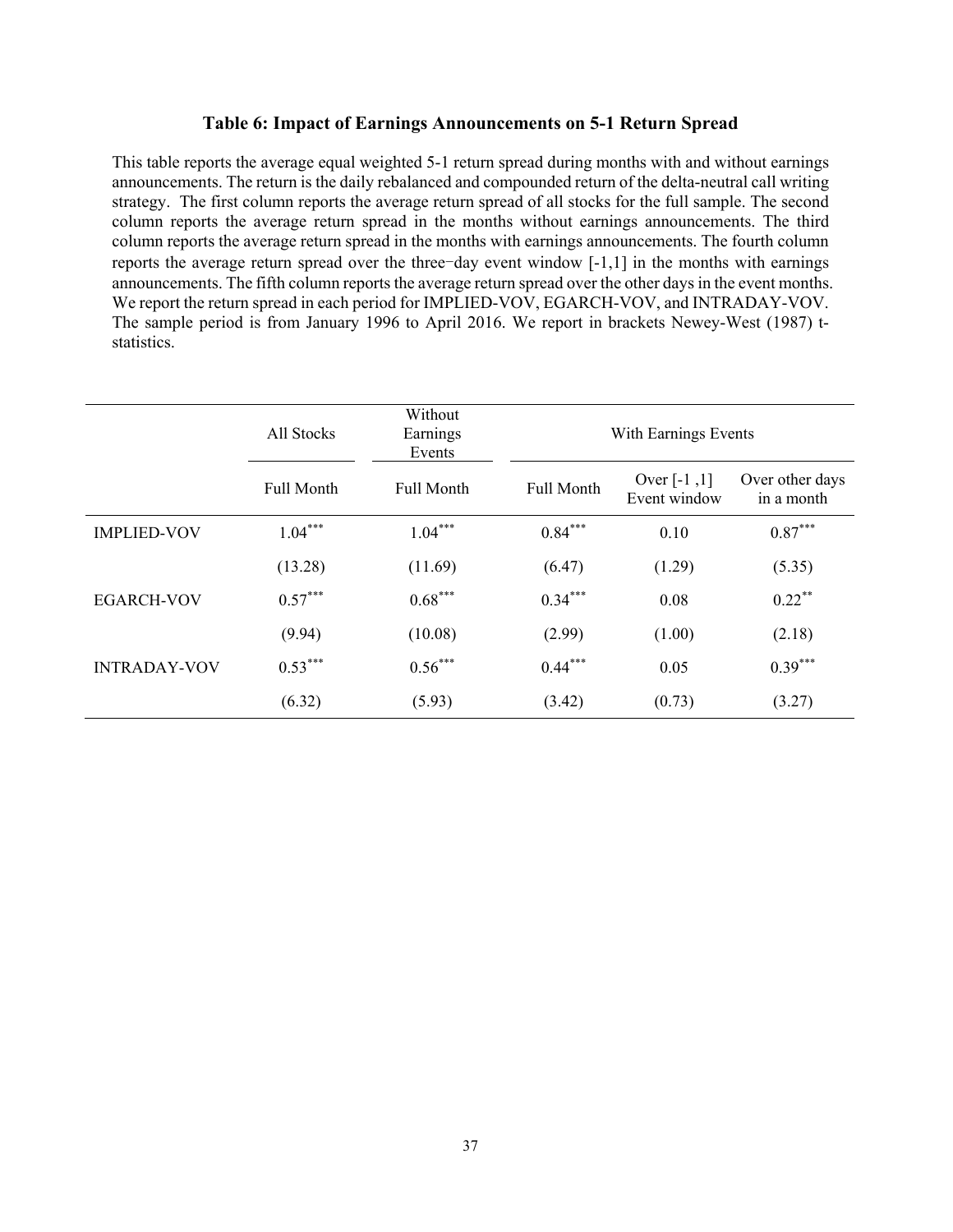#### **Table 6: Impact of Earnings Announcements on 5-1 Return Spread**

This table reports the average equal weighted 5-1 return spread during months with and without earnings announcements. The return is the daily rebalanced and compounded return of the delta-neutral call writing strategy. The first column reports the average return spread of all stocks for the full sample. The second column reports the average return spread in the months without earnings announcements. The third column reports the average return spread in the months with earnings announcements. The fourth column reports the average return spread over the three-day event window [-1,1] in the months with earnings announcements. The fifth column reports the average return spread over the other days in the event months. We report the return spread in each period for IMPLIED-VOV, EGARCH-VOV, and INTRADAY-VOV. The sample period is from January 1996 to April 2016. We report in brackets Newey-West (1987) tstatistics.

|                     | All Stocks        | Without<br>Earnings<br>Events | With Earnings Events |                               |                               |  |
|---------------------|-------------------|-------------------------------|----------------------|-------------------------------|-------------------------------|--|
|                     | <b>Full Month</b> | Full Month                    | <b>Full Month</b>    | Over $[-1,1]$<br>Event window | Over other days<br>in a month |  |
| <b>IMPLIED-VOV</b>  | $1.04***$         | $1.04***$                     | $0.84***$            | 0.10                          | $0.87***$                     |  |
|                     | (13.28)           | (11.69)                       | (6.47)               | (1.29)                        | (5.35)                        |  |
| <b>EGARCH-VOV</b>   | $0.57***$         | $0.68***$                     | $0.34***$            | 0.08                          | $0.22***$                     |  |
|                     | (9.94)            | (10.08)                       | (2.99)               | (1.00)                        | (2.18)                        |  |
| <b>INTRADAY-VOV</b> | $0.53***$         | $0.56***$                     | $0.44***$            | 0.05                          | $0.39***$                     |  |
|                     | (6.32)            | (5.93)                        | (3.42)               | (0.73)                        | (3.27)                        |  |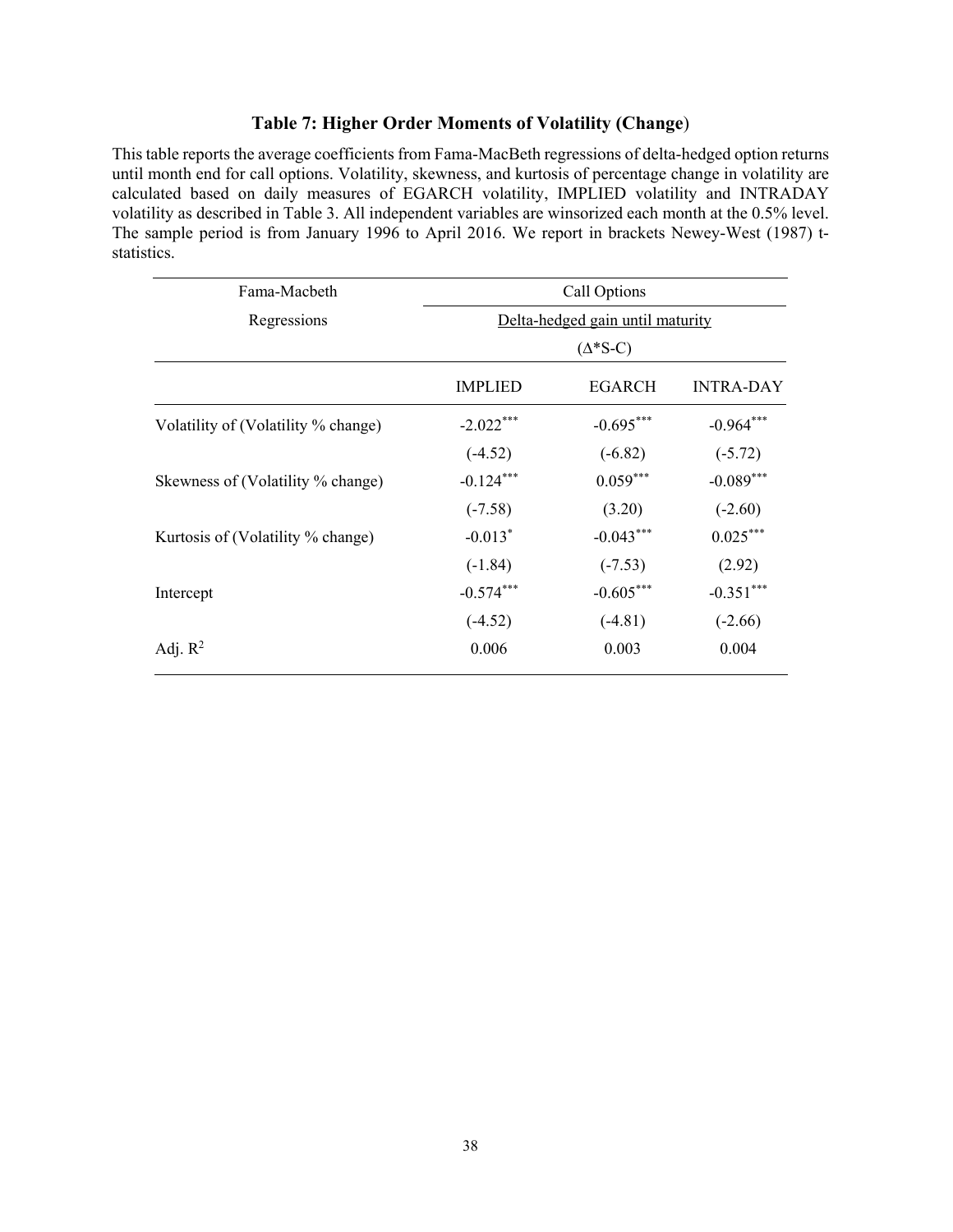#### **Table 7: Higher Order Moments of Volatility (Change**)

This table reports the average coefficients from Fama-MacBeth regressions of delta-hedged option returns until month end for call options. Volatility, skewness, and kurtosis of percentage change in volatility are calculated based on daily measures of EGARCH volatility, IMPLIED volatility and INTRADAY volatility as described in Table 3. All independent variables are winsorized each month at the 0.5% level. The sample period is from January 1996 to April 2016. We report in brackets Newey-West (1987) tstatistics.

| Fama-Macbeth                        | Call Options    |                                  |                  |  |  |  |  |
|-------------------------------------|-----------------|----------------------------------|------------------|--|--|--|--|
| Regressions                         |                 | Delta-hedged gain until maturity |                  |  |  |  |  |
|                                     | $(\Delta$ *S-C) |                                  |                  |  |  |  |  |
|                                     | <b>IMPLIED</b>  | <b>EGARCH</b>                    | <b>INTRA-DAY</b> |  |  |  |  |
| Volatility of (Volatility % change) | $-2.022***$     | $-0.695***$                      | $-0.964***$      |  |  |  |  |
|                                     | $(-4.52)$       | $(-6.82)$                        | $(-5.72)$        |  |  |  |  |
| Skewness of (Volatility % change)   | $-0.124***$     | $0.059***$                       | $-0.089***$      |  |  |  |  |
|                                     | $(-7.58)$       | (3.20)                           | $(-2.60)$        |  |  |  |  |
| Kurtosis of (Volatility % change)   | $-0.013*$       | $-0.043***$                      | $0.025***$       |  |  |  |  |
|                                     | $(-1.84)$       | $(-7.53)$                        | (2.92)           |  |  |  |  |
| Intercept                           | $-0.574***$     | $-0.605***$                      | $-0.351***$      |  |  |  |  |
|                                     | $(-4.52)$       | $(-4.81)$                        | $(-2.66)$        |  |  |  |  |
| Adj. $R^2$                          | 0.006           | 0.003                            | 0.004            |  |  |  |  |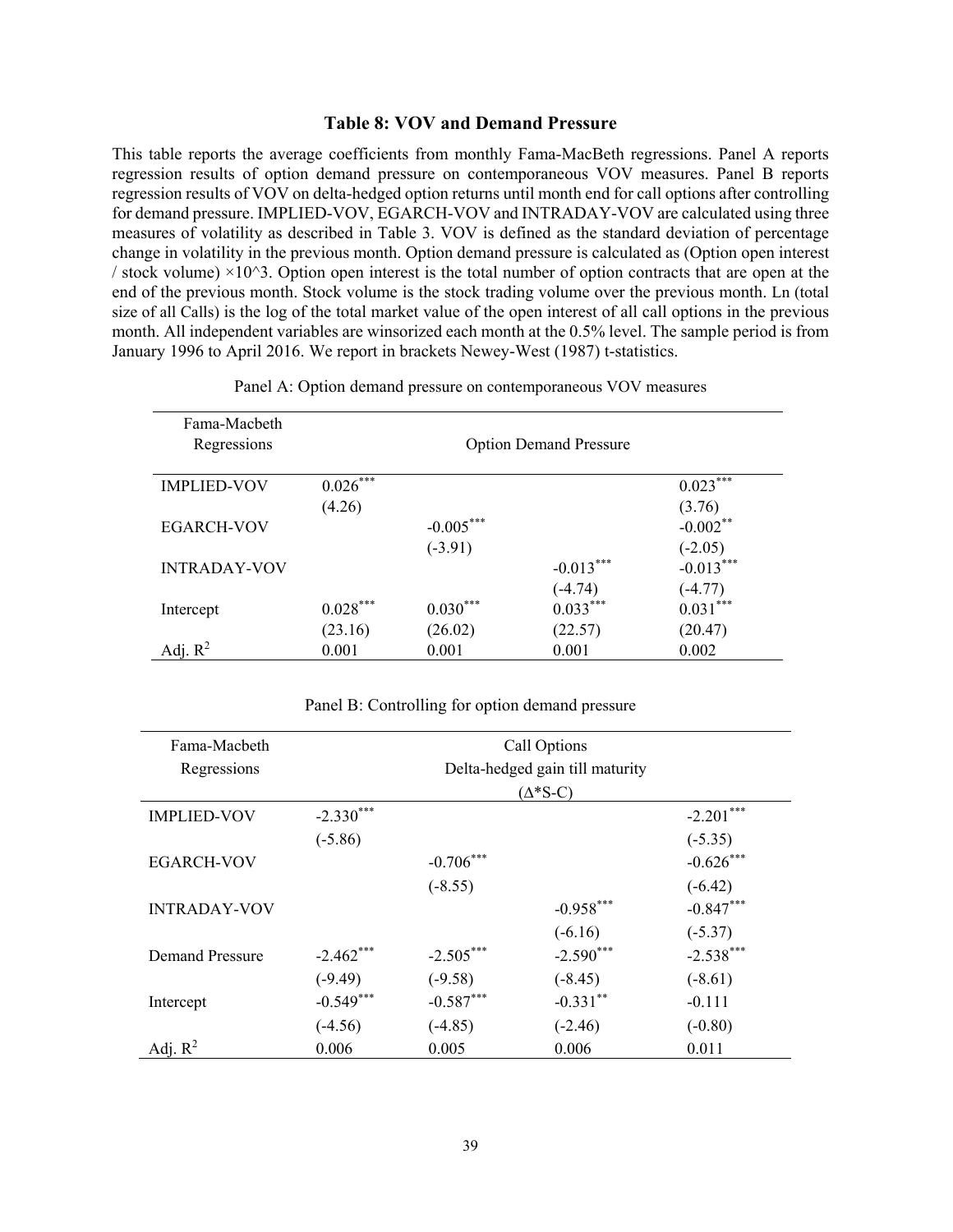#### **Table 8: VOV and Demand Pressure**

This table reports the average coefficients from monthly Fama-MacBeth regressions. Panel A reports regression results of option demand pressure on contemporaneous VOV measures. Panel B reports regression results of VOV on delta-hedged option returns until month end for call options after controlling for demand pressure. IMPLIED-VOV, EGARCH-VOV and INTRADAY-VOV are calculated using three measures of volatility as described in Table 3. VOV is defined as the standard deviation of percentage change in volatility in the previous month. Option demand pressure is calculated as (Option open interest / stock volume)  $\times$ 10 $\times$ 3. Option open interest is the total number of option contracts that are open at the end of the previous month. Stock volume is the stock trading volume over the previous month. Ln (total size of all Calls) is the log of the total market value of the open interest of all call options in the previous month. All independent variables are winsorized each month at the 0.5% level. The sample period is from January 1996 to April 2016. We report in brackets Newey-West (1987) t-statistics.

| Fama-Macheth<br>Regressions |            |             | <b>Option Demand Pressure</b> |             |
|-----------------------------|------------|-------------|-------------------------------|-------------|
| <b>IMPLIED-VOV</b>          | $0.026***$ |             |                               | $0.023***$  |
|                             | (4.26)     |             |                               | (3.76)      |
| EGARCH-VOV                  |            | $-0.005***$ |                               | $-0.002$ ** |
|                             |            | $(-3.91)$   |                               | $(-2.05)$   |
| <b>INTRADAY-VOV</b>         |            |             | $-0.013***$                   | $-0.013***$ |
|                             |            |             | $(-4.74)$                     | $(-4.77)$   |
| Intercept                   | $0.028***$ | $0.030***$  | $0.033***$                    | $0.031***$  |
|                             | (23.16)    | (26.02)     | (22.57)                       | (20.47)     |
| Adj. $R^2$                  | 0.001      | 0.001       | 0.001                         | 0.002       |

Panel A: Option demand pressure on contemporaneous VOV measures

| Panel B: Controlling for option demand pressure |  |  |
|-------------------------------------------------|--|--|
|                                                 |  |  |

| Fama-Macbeth        | Call Options |             |                                 |             |  |
|---------------------|--------------|-------------|---------------------------------|-------------|--|
| Regressions         |              |             | Delta-hedged gain till maturity |             |  |
|                     |              |             | $(\Delta$ *S-C)                 |             |  |
| <b>IMPLIED-VOV</b>  | $-2.330***$  |             |                                 | $-2.201***$ |  |
|                     | $(-5.86)$    |             |                                 | $(-5.35)$   |  |
| EGARCH-VOV          |              | $-0.706***$ |                                 | $-0.626***$ |  |
|                     |              | $(-8.55)$   |                                 | $(-6.42)$   |  |
| <b>INTRADAY-VOV</b> |              |             | $-0.958***$                     | $-0.847***$ |  |
|                     |              |             | $(-6.16)$                       | $(-5.37)$   |  |
| Demand Pressure     | $-2.462***$  | $-2.505***$ | $-2.590***$                     | $-2.538***$ |  |
|                     | $(-9.49)$    | $(-9.58)$   | $(-8.45)$                       | $(-8.61)$   |  |
| Intercept           | $-0.549***$  | $-0.587***$ | $-0.331***$                     | $-0.111$    |  |
|                     | $(-4.56)$    | $(-4.85)$   | $(-2.46)$                       | $(-0.80)$   |  |
| Adj. $R^2$          | 0.006        | 0.005       | 0.006                           | 0.011       |  |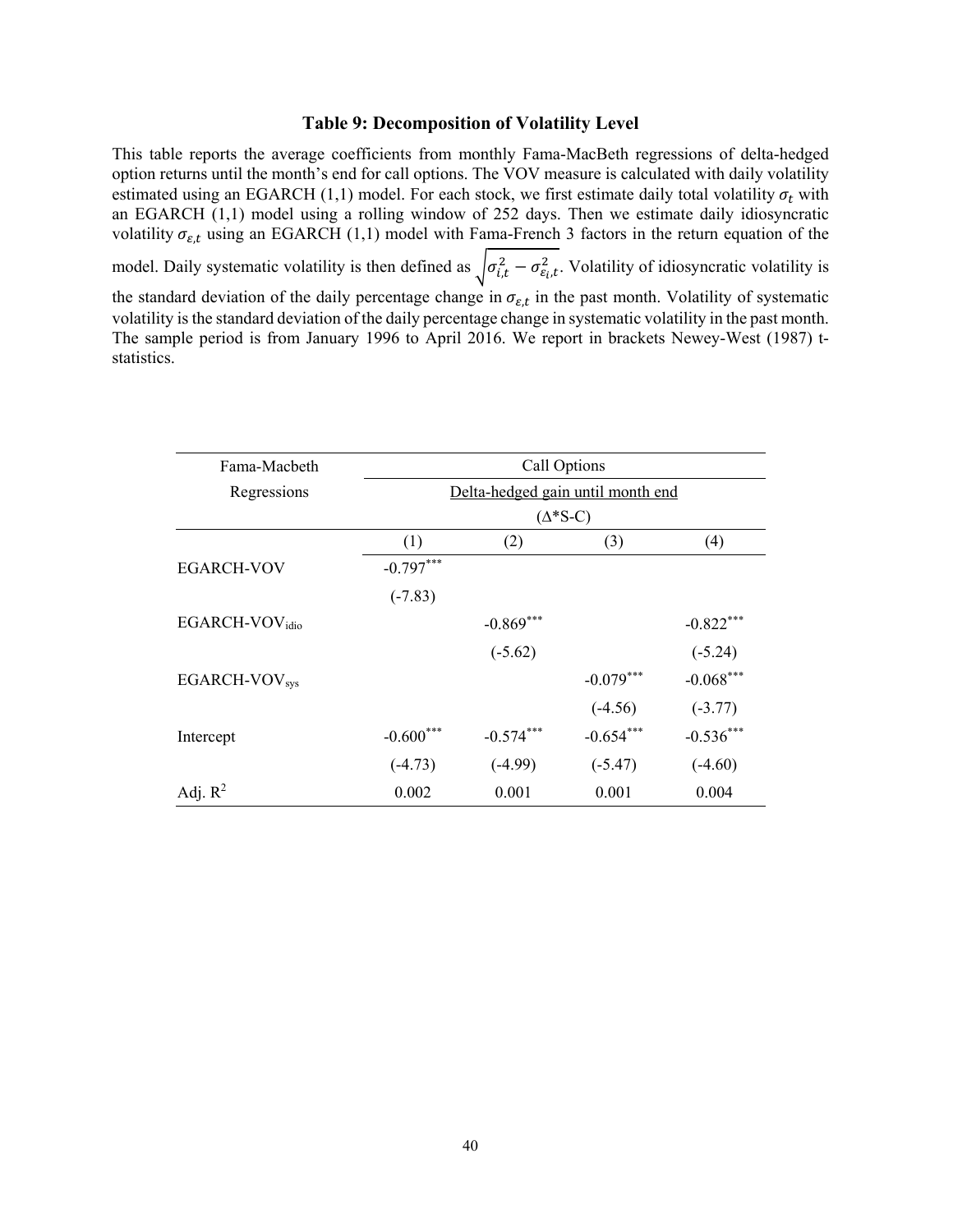#### **Table 9: Decomposition of Volatility Level**

This table reports the average coefficients from monthly Fama-MacBeth regressions of delta-hedged option returns until the month's end for call options. The VOV measure is calculated with daily volatility estimated using an EGARCH (1,1) model. For each stock, we first estimate daily total volatility  $\sigma_t$  with an EGARCH (1,1) model using a rolling window of 252 days. Then we estimate daily idiosyncratic volatility  $\sigma_{\varepsilon,t}$  using an EGARCH (1,1) model with Fama-French 3 factors in the return equation of the model. Daily systematic volatility is then defined as  $\sqrt{\sigma_{i,t}^2 - \sigma_{\varepsilon_{i},t}^2}$ . Volatility of idiosyncratic volatility is the standard deviation of the daily percentage change in  $\sigma_{\varepsilon,t}$  in the past month. Volatility of systematic volatility is the standard deviation of the daily percentage change in systematic volatility in the past month. The sample period is from January 1996 to April 2016. We report in brackets Newey-West (1987) tstatistics.

| Fama-Macbeth               | Call Options                      |                 |             |             |  |
|----------------------------|-----------------------------------|-----------------|-------------|-------------|--|
| Regressions                | Delta-hedged gain until month end |                 |             |             |  |
|                            |                                   | $(\Delta$ *S-C) |             |             |  |
|                            | (1)                               | (2)             | (3)         | (4)         |  |
| <b>EGARCH-VOV</b>          | $-0.797***$                       |                 |             |             |  |
|                            | $(-7.83)$                         |                 |             |             |  |
| EGARCH-VOV <sub>idio</sub> |                                   | $-0.869***$     |             | $-0.822***$ |  |
|                            |                                   | $(-5.62)$       |             | $(-5.24)$   |  |
| EGARCH-VOV <sub>sys</sub>  |                                   |                 | $-0.079***$ | $-0.068***$ |  |
|                            |                                   |                 | $(-4.56)$   | $(-3.77)$   |  |
| Intercept                  | $-0.600***$                       | $-0.574***$     | $-0.654***$ | $-0.536***$ |  |
|                            | $(-4.73)$                         | $(-4.99)$       | $(-5.47)$   | $(-4.60)$   |  |
| Adj. $R^2$                 | 0.002                             | 0.001           | 0.001       | 0.004       |  |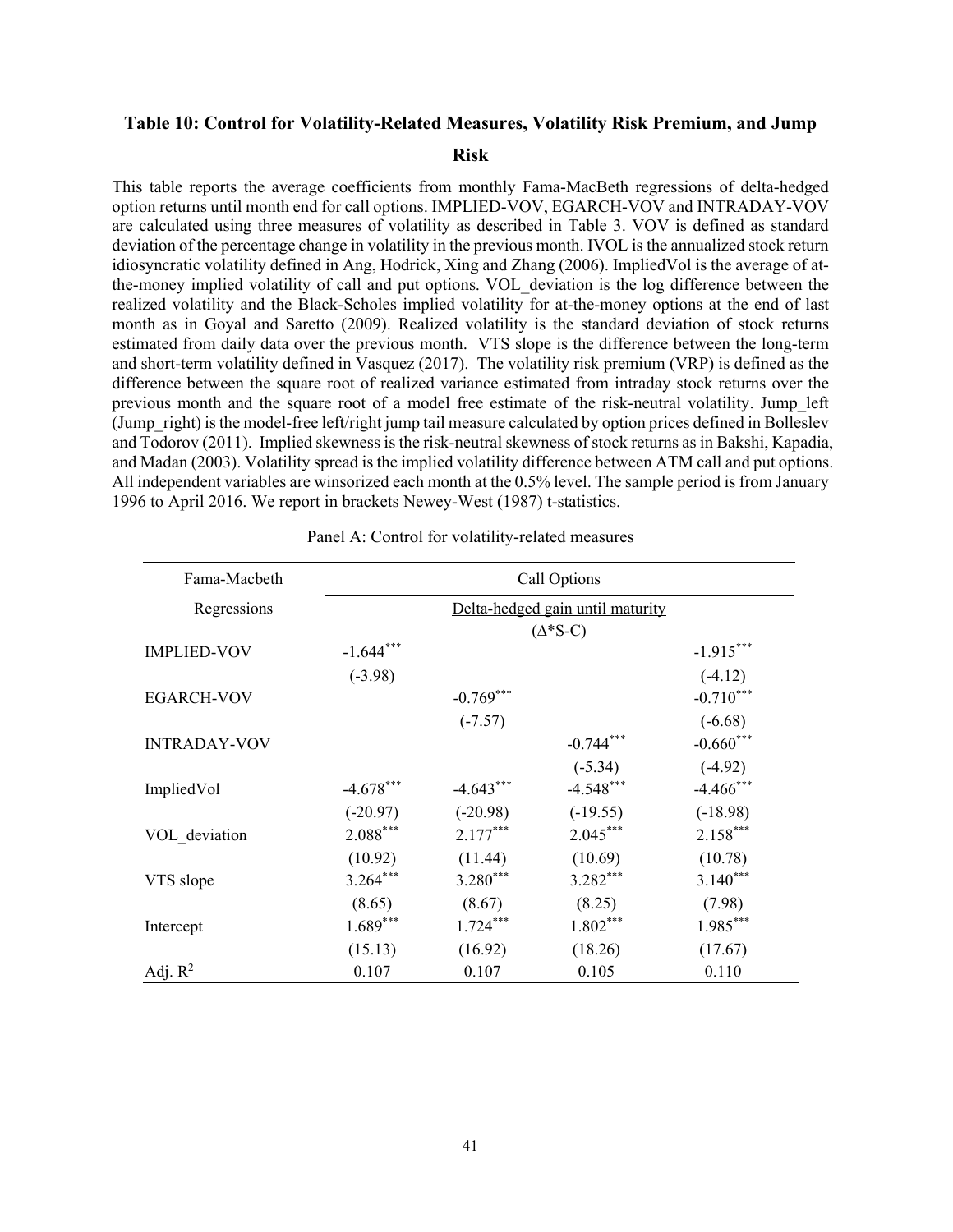#### **Table 10: Control for Volatility-Related Measures, Volatility Risk Premium, and Jump**

#### **Risk**

This table reports the average coefficients from monthly Fama-MacBeth regressions of delta-hedged option returns until month end for call options. IMPLIED-VOV, EGARCH-VOV and INTRADAY-VOV are calculated using three measures of volatility as described in Table 3. VOV is defined as standard deviation of the percentage change in volatility in the previous month. IVOL is the annualized stock return idiosyncratic volatility defined in Ang, Hodrick, Xing and Zhang (2006). ImpliedVol is the average of atthe-money implied volatility of call and put options. VOL\_deviation is the log difference between the realized volatility and the Black-Scholes implied volatility for at-the-money options at the end of last month as in Goyal and Saretto (2009). Realized volatility is the standard deviation of stock returns estimated from daily data over the previous month. VTS slope is the difference between the long-term and short-term volatility defined in Vasquez (2017). The volatility risk premium (VRP) is defined as the difference between the square root of realized variance estimated from intraday stock returns over the previous month and the square root of a model free estimate of the risk-neutral volatility. Jump\_left (Jump\_right) is the model-free left/right jump tail measure calculated by option prices defined in Bolleslev and Todorov (2011). Implied skewness is the risk-neutral skewness of stock returns as in Bakshi, Kapadia, and Madan (2003). Volatility spread is the implied volatility difference between ATM call and put options. All independent variables are winsorized each month at the 0.5% level. The sample period is from January 1996 to April 2016. We report in brackets Newey-West (1987) t-statistics.

| Fama-Macbeth        | Call Options |             |                                  |              |  |
|---------------------|--------------|-------------|----------------------------------|--------------|--|
| Regressions         |              |             | Delta-hedged gain until maturity |              |  |
|                     |              |             | $(\Delta$ *S-C)                  |              |  |
| <b>IMPLIED-VOV</b>  | $-1.644***$  |             |                                  | $-1.915***$  |  |
|                     | $(-3.98)$    |             |                                  | $(-4.12)$    |  |
| <b>EGARCH-VOV</b>   |              | $-0.769***$ |                                  | $-0.710***$  |  |
|                     |              | $(-7.57)$   |                                  | $(-6.68)$    |  |
| <b>INTRADAY-VOV</b> |              |             | $-0.744***$                      | $-0.660***$  |  |
|                     |              |             | $(-5.34)$                        | $(-4.92)$    |  |
| ImpliedVol          | $-4.678***$  | $-4.643***$ | $-4.548***$                      | $-4.466$ *** |  |
|                     | $(-20.97)$   | $(-20.98)$  | $(-19.55)$                       | $(-18.98)$   |  |
| VOL deviation       | $2.088***$   | $2.177***$  | $2.045***$                       | $2.158***$   |  |
|                     | (10.92)      | (11.44)     | (10.69)                          | (10.78)      |  |
| VTS slope           | $3.264***$   | $3.280***$  | $3.282***$                       | $3.140***$   |  |
|                     | (8.65)       | (8.67)      | (8.25)                           | (7.98)       |  |
| Intercept           | $1.689***$   | $1.724***$  | $1.802***$                       | $1.985***$   |  |
|                     | (15.13)      | (16.92)     | (18.26)                          | (17.67)      |  |
| Adj. $R^2$          | 0.107        | 0.107       | 0.105                            | 0.110        |  |

Panel A: Control for volatility-related measures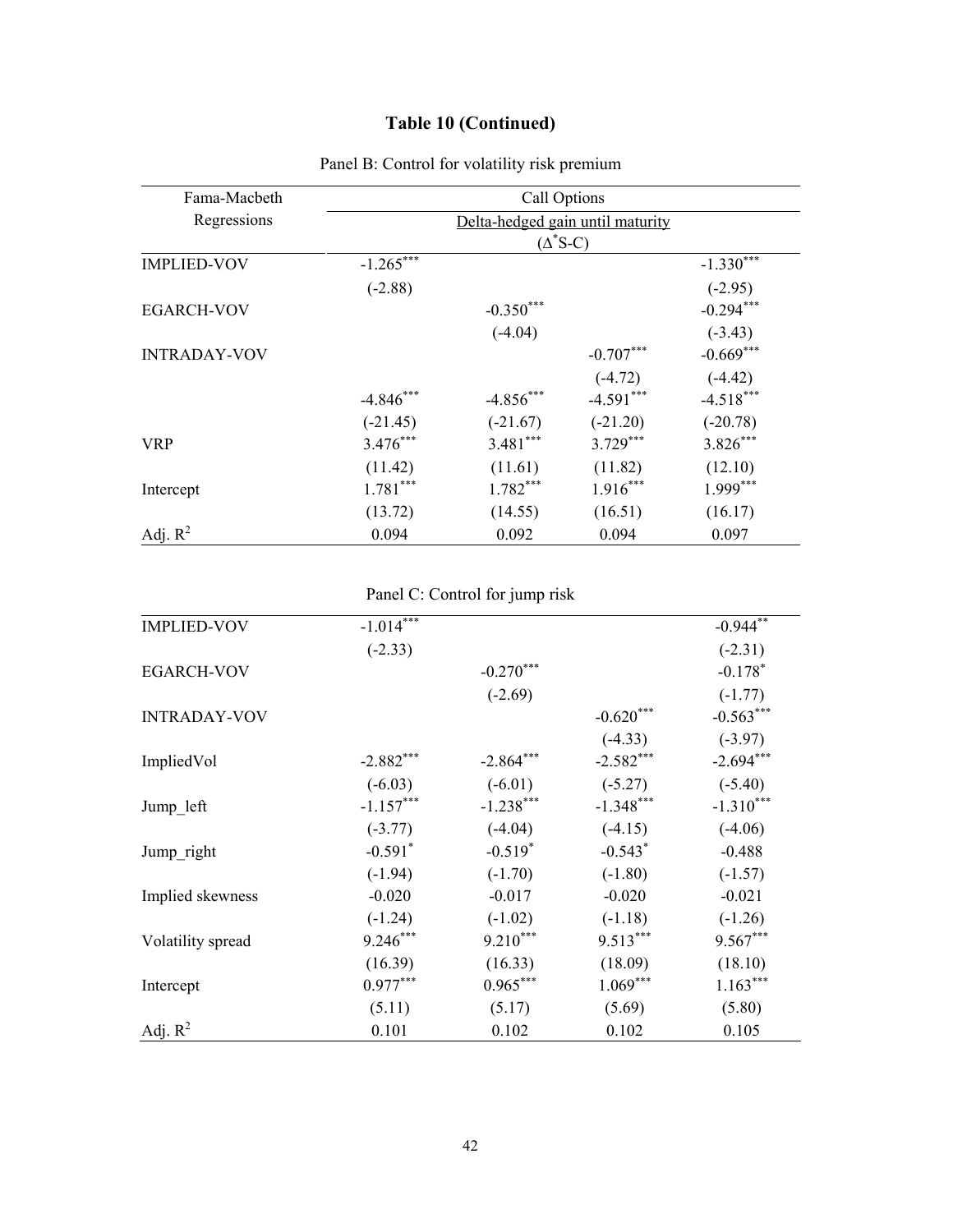### **Table 10 (Continued)**

| Fama-Macbeth        |                                  | Call Options                   |             |             |  |  |
|---------------------|----------------------------------|--------------------------------|-------------|-------------|--|--|
| Regressions         | Delta-hedged gain until maturity |                                |             |             |  |  |
|                     |                                  | $(\triangle$ <sup>*</sup> S-C) |             |             |  |  |
| <b>IMPLIED-VOV</b>  | $-1.265***$                      |                                |             | $-1.330***$ |  |  |
|                     | $(-2.88)$                        |                                |             | $(-2.95)$   |  |  |
| EGARCH-VOV          |                                  | $-0.350***$                    |             | $-0.294***$ |  |  |
|                     |                                  | $(-4.04)$                      |             | $(-3.43)$   |  |  |
| <b>INTRADAY-VOV</b> |                                  |                                | $-0.707***$ | $-0.669***$ |  |  |
|                     |                                  |                                | $(-4.72)$   | $(-4.42)$   |  |  |
|                     | $-4.846***$                      | $-4.856***$                    | $-4.591***$ | $-4.518***$ |  |  |
|                     | $(-21.45)$                       | $(-21.67)$                     | $(-21.20)$  | $(-20.78)$  |  |  |
| <b>VRP</b>          | $3.476***$                       | $3.481***$                     | $3.729***$  | $3.826***$  |  |  |
|                     | (11.42)                          | (11.61)                        | (11.82)     | (12.10)     |  |  |
| Intercept           | $1.781***$                       | $1.782***$                     | $1.916***$  | $1.999***$  |  |  |
|                     | (13.72)                          | (14.55)                        | (16.51)     | (16.17)     |  |  |
| Adj. $R^2$          | 0.094                            | 0.092                          | 0.094       | 0.097       |  |  |

Panel B: Control for volatility risk premium

Panel C: Control for jump risk

| <b>IMPLIED-VOV</b>  | $-1.014***$           |             |             | $-0.944**$  |
|---------------------|-----------------------|-------------|-------------|-------------|
|                     | $(-2.33)$             |             |             | $(-2.31)$   |
| <b>EGARCH-VOV</b>   |                       | $-0.270***$ |             | $-0.178*$   |
|                     |                       | $(-2.69)$   |             | $(-1.77)$   |
| <b>INTRADAY-VOV</b> |                       |             | $-0.620***$ | $-0.563***$ |
|                     |                       |             | $(-4.33)$   | $(-3.97)$   |
| ImpliedVol          | $-2.882***$           | $-2.864***$ | $-2.582***$ | $-2.694***$ |
|                     | $(-6.03)$             | $(-6.01)$   | $(-5.27)$   | $(-5.40)$   |
| Jump left           | $-1.157***$           | $-1.238***$ | $-1.348***$ | $-1.310***$ |
|                     | $(-3.77)$             | $(-4.04)$   | $(-4.15)$   | $(-4.06)$   |
| Jump_right          | $-0.591$ <sup>*</sup> | $-0.519*$   | $-0.543*$   | $-0.488$    |
|                     | $(-1.94)$             | $(-1.70)$   | $(-1.80)$   | $(-1.57)$   |
| Implied skewness    | $-0.020$              | $-0.017$    | $-0.020$    | $-0.021$    |
|                     | $(-1.24)$             | $(-1.02)$   | $(-1.18)$   | $(-1.26)$   |
| Volatility spread   | $9.246***$            | $9.210***$  | $9.513***$  | $9.567***$  |
|                     | (16.39)               | (16.33)     | (18.09)     | (18.10)     |
| Intercept           | $0.977***$            | $0.965***$  | $1.069***$  | $1.163***$  |
|                     | (5.11)                | (5.17)      | (5.69)      | (5.80)      |
| Adj. $R^2$          | 0.101                 | 0.102       | 0.102       | 0.105       |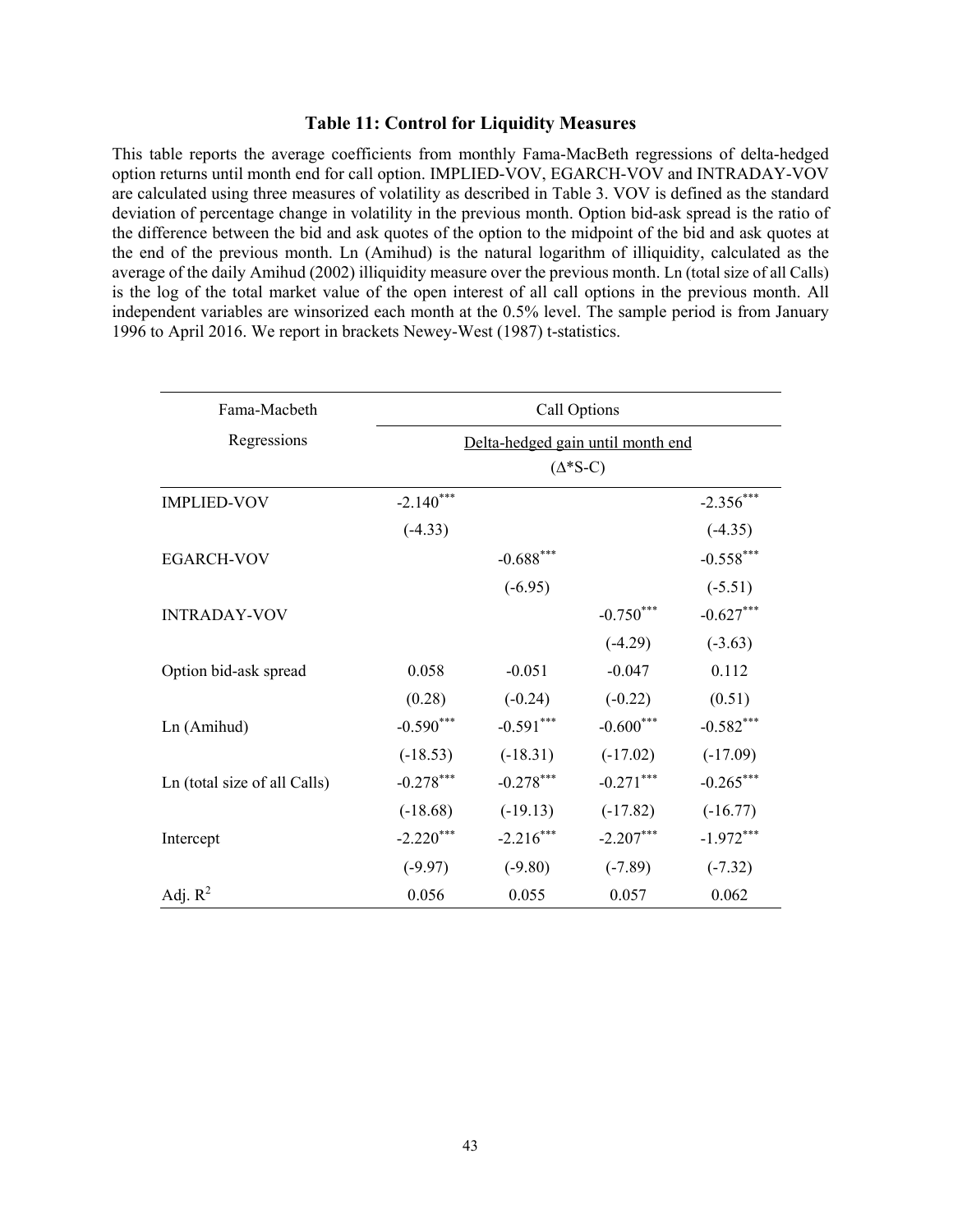#### **Table 11: Control for Liquidity Measures**

This table reports the average coefficients from monthly Fama-MacBeth regressions of delta-hedged option returns until month end for call option. IMPLIED-VOV, EGARCH-VOV and INTRADAY-VOV are calculated using three measures of volatility as described in Table 3. VOV is defined as the standard deviation of percentage change in volatility in the previous month. Option bid-ask spread is the ratio of the difference between the bid and ask quotes of the option to the midpoint of the bid and ask quotes at the end of the previous month. Ln (Amihud) is the natural logarithm of illiquidity, calculated as the average of the daily Amihud (2002) illiquidity measure over the previous month. Ln (total size of all Calls) is the log of the total market value of the open interest of all call options in the previous month. All independent variables are winsorized each month at the 0.5% level. The sample period is from January 1996 to April 2016. We report in brackets Newey-West (1987) t-statistics.

| Fama-Macbeth                 | Call Options                      |             |                 |             |  |  |
|------------------------------|-----------------------------------|-------------|-----------------|-------------|--|--|
| Regressions                  | Delta-hedged gain until month end |             |                 |             |  |  |
|                              |                                   |             | $(\Delta$ *S-C) |             |  |  |
| <b>IMPLIED-VOV</b>           | $-2.140***$                       |             |                 | $-2.356***$ |  |  |
|                              | $(-4.33)$                         |             |                 | $(-4.35)$   |  |  |
| <b>EGARCH-VOV</b>            |                                   | $-0.688***$ |                 | $-0.558***$ |  |  |
|                              |                                   | $(-6.95)$   |                 | $(-5.51)$   |  |  |
| <b>INTRADAY-VOV</b>          |                                   |             | $-0.750***$     | $-0.627***$ |  |  |
|                              |                                   |             | $(-4.29)$       | $(-3.63)$   |  |  |
| Option bid-ask spread        | 0.058                             | $-0.051$    | $-0.047$        | 0.112       |  |  |
|                              | (0.28)                            | $(-0.24)$   | $(-0.22)$       | (0.51)      |  |  |
| Ln (Amihud)                  | $-0.590***$                       | $-0.591***$ | $-0.600***$     | $-0.582***$ |  |  |
|                              | $(-18.53)$                        | $(-18.31)$  | $(-17.02)$      | $(-17.09)$  |  |  |
| Ln (total size of all Calls) | $-0.278***$                       | $-0.278***$ | $-0.271***$     | $-0.265***$ |  |  |
|                              | $(-18.68)$                        | $(-19.13)$  | $(-17.82)$      | $(-16.77)$  |  |  |
| Intercept                    | $-2.220***$                       | $-2.216***$ | $-2.207***$     | $-1.972***$ |  |  |
|                              | $(-9.97)$                         | $(-9.80)$   | $(-7.89)$       | $(-7.32)$   |  |  |
| Adj. $R^2$                   | 0.056                             | 0.055       | 0.057           | 0.062       |  |  |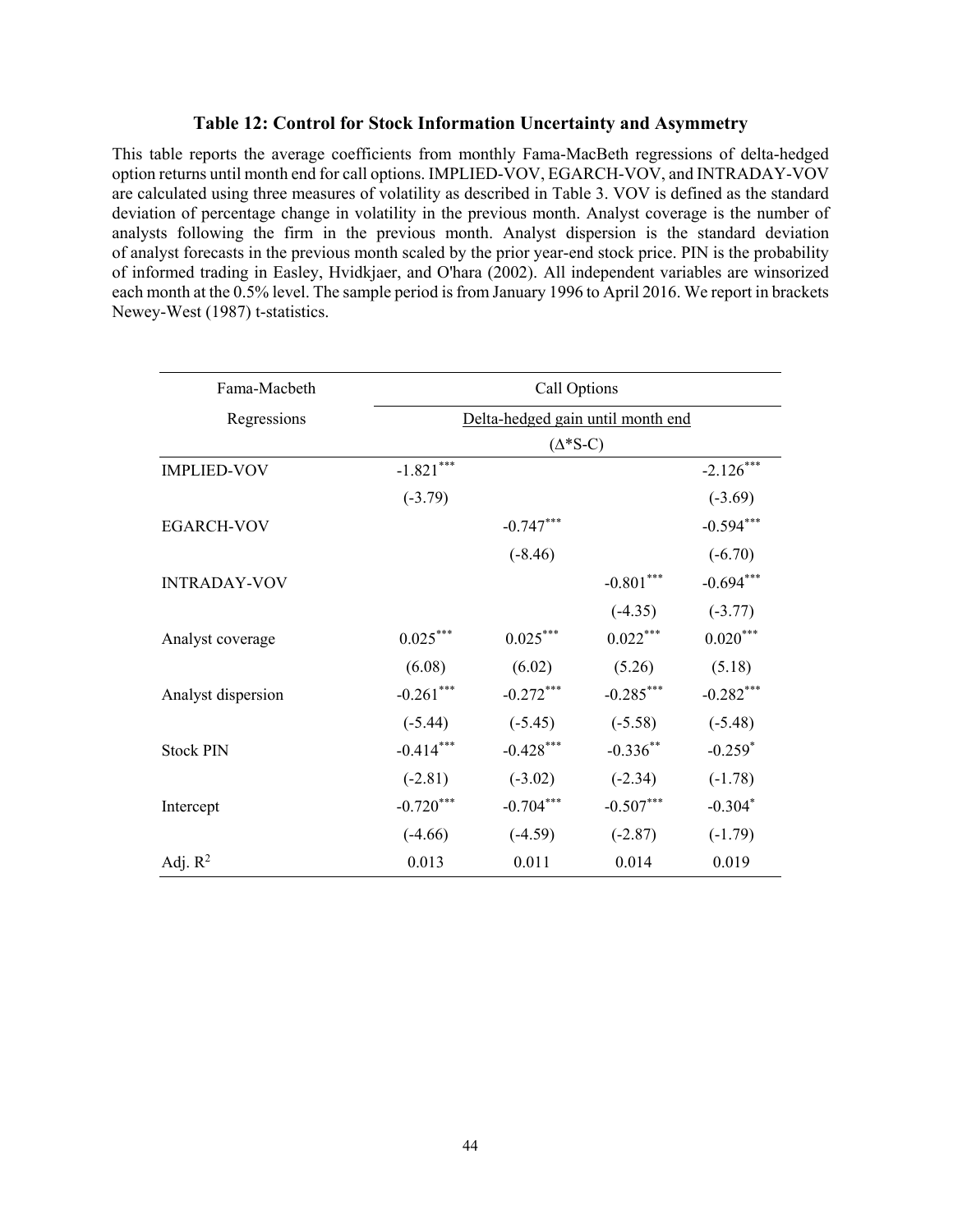#### **Table 12: Control for Stock Information Uncertainty and Asymmetry**

This table reports the average coefficients from monthly Fama-MacBeth regressions of delta-hedged option returns until month end for call options. IMPLIED-VOV, EGARCH-VOV, and INTRADAY-VOV are calculated using three measures of volatility as described in Table 3. VOV is defined as the standard deviation of percentage change in volatility in the previous month. Analyst coverage is the number of analysts following the firm in the previous month. Analyst dispersion is the standard deviation of analyst forecasts in the previous month scaled by the prior year-end stock price. PIN is the probability of informed trading in Easley, Hvidkjaer, and O'hara (2002). All independent variables are winsorized each month at the 0.5% level. The sample period is from January 1996 to April 2016. We report in brackets Newey-West (1987) t-statistics.

| Fama-Macbeth        | Call Options    |                                   |             |             |  |
|---------------------|-----------------|-----------------------------------|-------------|-------------|--|
| Regressions         |                 | Delta-hedged gain until month end |             |             |  |
|                     | $(\Delta$ *S-C) |                                   |             |             |  |
| <b>IMPLIED-VOV</b>  | $-1.821***$     |                                   |             | $-2.126***$ |  |
|                     | $(-3.79)$       |                                   |             | $(-3.69)$   |  |
| <b>EGARCH-VOV</b>   |                 | $-0.747***$                       |             | $-0.594***$ |  |
|                     |                 | $(-8.46)$                         |             | $(-6.70)$   |  |
| <b>INTRADAY-VOV</b> |                 |                                   | $-0.801***$ | $-0.694***$ |  |
|                     |                 |                                   | $(-4.35)$   | $(-3.77)$   |  |
| Analyst coverage    | $0.025***$      | $0.025***$                        | $0.022***$  | $0.020***$  |  |
|                     | (6.08)          | (6.02)                            | (5.26)      | (5.18)      |  |
| Analyst dispersion  | $-0.261***$     | $-0.272***$                       | $-0.285***$ | $-0.282***$ |  |
|                     | $(-5.44)$       | $(-5.45)$                         | $(-5.58)$   | $(-5.48)$   |  |
| <b>Stock PIN</b>    | $-0.414***$     | $-0.428***$                       | $-0.336**$  | $-0.259*$   |  |
|                     | $(-2.81)$       | $(-3.02)$                         | $(-2.34)$   | $(-1.78)$   |  |
| Intercept           | $-0.720***$     | $-0.704***$                       | $-0.507***$ | $-0.304*$   |  |
|                     | $(-4.66)$       | $(-4.59)$                         | $(-2.87)$   | $(-1.79)$   |  |
| Adj. $R^2$          | 0.013           | 0.011                             | 0.014       | 0.019       |  |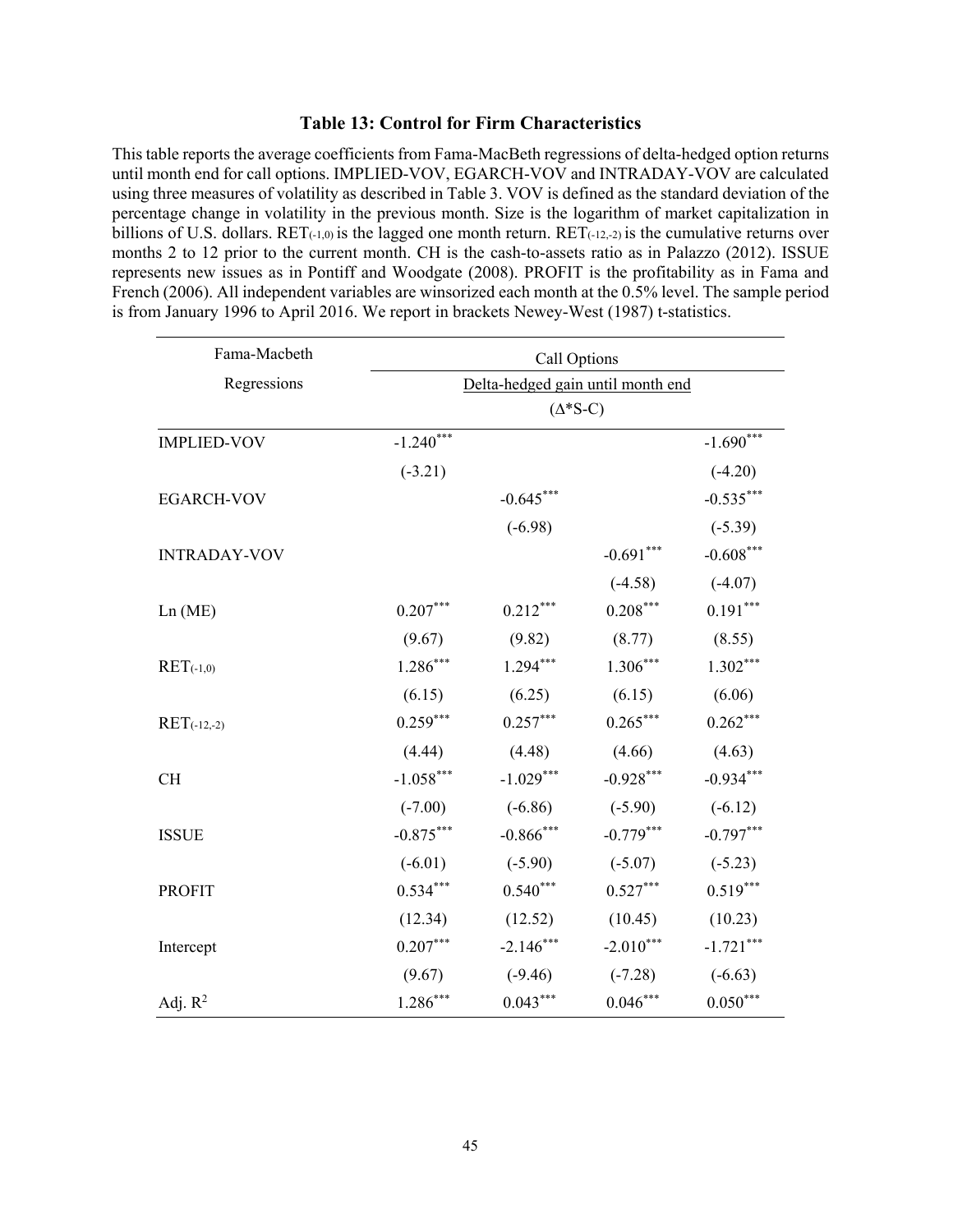#### **Table 13: Control for Firm Characteristics**

This table reports the average coefficients from Fama-MacBeth regressions of delta-hedged option returns until month end for call options. IMPLIED-VOV, EGARCH-VOV and INTRADAY-VOV are calculated using three measures of volatility as described in Table 3. VOV is defined as the standard deviation of the percentage change in volatility in the previous month. Size is the logarithm of market capitalization in billions of U.S. dollars.  $RET_{(-1,0)}$  is the lagged one month return.  $RET_{(-12,-2)}$  is the cumulative returns over months 2 to 12 prior to the current month. CH is the cash-to-assets ratio as in Palazzo (2012). ISSUE represents new issues as in Pontiff and Woodgate (2008). PROFIT is the profitability as in Fama and French (2006). All independent variables are winsorized each month at the 0.5% level. The sample period is from January 1996 to April 2016. We report in brackets Newey-West (1987) t-statistics.

| Fama-Macbeth        | Call Options |                                   |             |             |
|---------------------|--------------|-----------------------------------|-------------|-------------|
| Regressions         |              | Delta-hedged gain until month end |             |             |
|                     |              | $(\Delta$ *S-C)                   |             |             |
| <b>IMPLIED-VOV</b>  | $-1.240***$  |                                   |             | $-1.690***$ |
|                     | $(-3.21)$    |                                   |             | $(-4.20)$   |
| <b>EGARCH-VOV</b>   |              | $-0.645***$                       |             | $-0.535***$ |
|                     |              | $(-6.98)$                         |             | $(-5.39)$   |
| <b>INTRADAY-VOV</b> |              |                                   | $-0.691***$ | $-0.608***$ |
|                     |              |                                   | $(-4.58)$   | $(-4.07)$   |
| Ln(ME)              | $0.207***$   | $0.212***$                        | $0.208***$  | $0.191***$  |
|                     | (9.67)       | (9.82)                            | (8.77)      | (8.55)      |
| $RET(-1,0)$         | $1.286***$   | $1.294***$                        | $1.306***$  | $1.302***$  |
|                     | (6.15)       | (6.25)                            | (6.15)      | (6.06)      |
| $RET(-12,-2)$       | $0.259***$   | $0.257***$                        | $0.265***$  | $0.262***$  |
|                     | (4.44)       | (4.48)                            | (4.66)      | (4.63)      |
| <b>CH</b>           | $-1.058***$  | $-1.029***$                       | $-0.928***$ | $-0.934***$ |
|                     | $(-7.00)$    | $(-6.86)$                         | $(-5.90)$   | $(-6.12)$   |
| <b>ISSUE</b>        | $-0.875***$  | $-0.866$ ***                      | $-0.779***$ | $-0.797***$ |
|                     | $(-6.01)$    | $(-5.90)$                         | $(-5.07)$   | $(-5.23)$   |
| <b>PROFIT</b>       | $0.534***$   | $0.540***$                        | $0.527***$  | $0.519***$  |
|                     | (12.34)      | (12.52)                           | (10.45)     | (10.23)     |
| Intercept           | $0.207***$   | $-2.146***$                       | $-2.010***$ | $-1.721***$ |
|                     | (9.67)       | $(-9.46)$                         | $(-7.28)$   | $(-6.63)$   |
| Adj. $R^2$          | $1.286***$   | $0.043***$                        | $0.046***$  | $0.050***$  |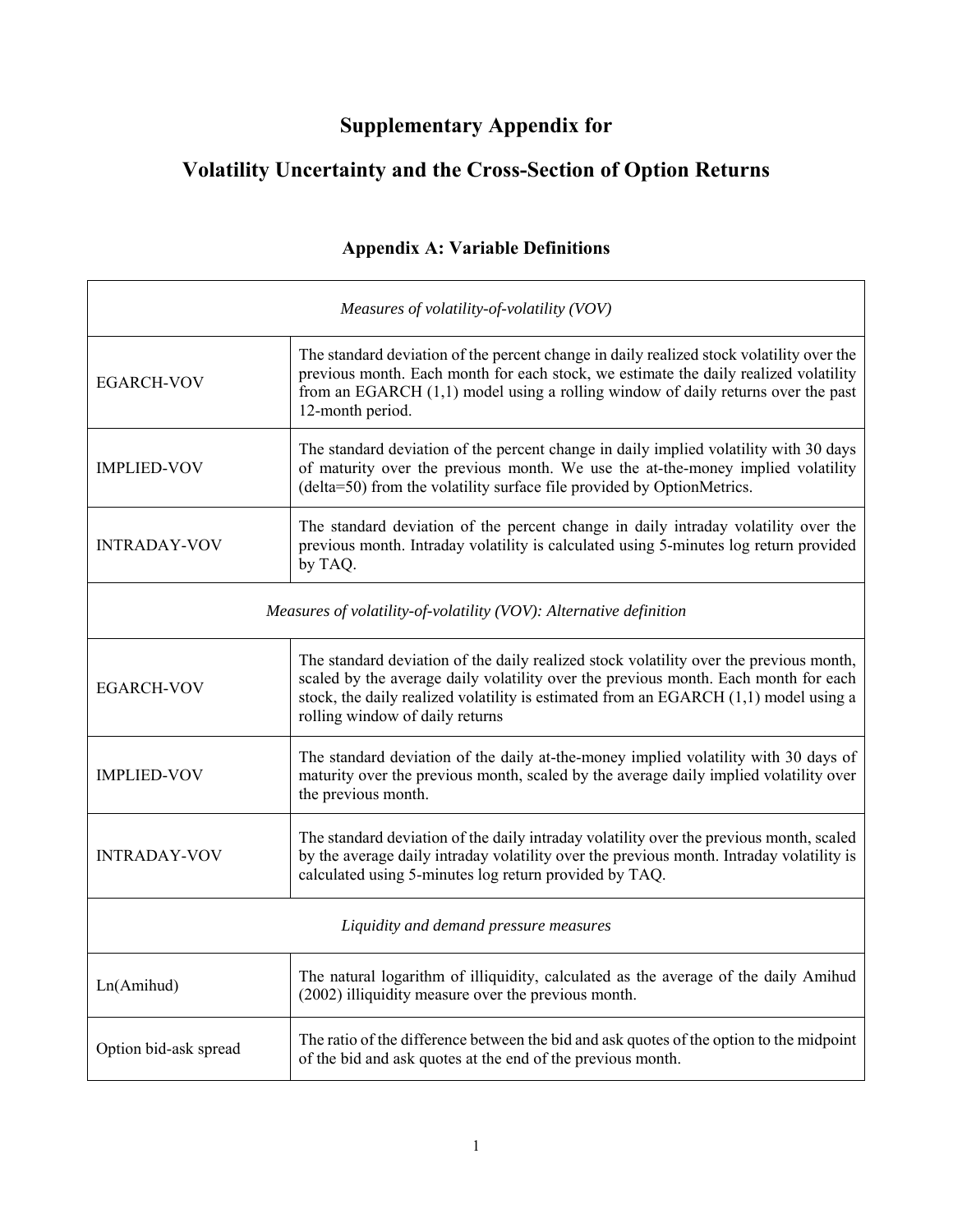## **Supplementary Appendix for**

## **Volatility Uncertainty and the Cross-Section of Option Returns**

|                       | Measures of volatility-of-volatility (VOV)                                                                                                                                                                                                                                                               |
|-----------------------|----------------------------------------------------------------------------------------------------------------------------------------------------------------------------------------------------------------------------------------------------------------------------------------------------------|
| <b>EGARCH-VOV</b>     | The standard deviation of the percent change in daily realized stock volatility over the<br>previous month. Each month for each stock, we estimate the daily realized volatility<br>from an EGARCH (1,1) model using a rolling window of daily returns over the past<br>12-month period.                 |
| <b>IMPLIED-VOV</b>    | The standard deviation of the percent change in daily implied volatility with 30 days<br>of maturity over the previous month. We use the at-the-money implied volatility<br>(delta=50) from the volatility surface file provided by OptionMetrics.                                                       |
| <b>INTRADAY-VOV</b>   | The standard deviation of the percent change in daily intraday volatility over the<br>previous month. Intraday volatility is calculated using 5-minutes log return provided<br>by TAQ.                                                                                                                   |
|                       | Measures of volatility-of-volatility (VOV): Alternative definition                                                                                                                                                                                                                                       |
| <b>EGARCH-VOV</b>     | The standard deviation of the daily realized stock volatility over the previous month,<br>scaled by the average daily volatility over the previous month. Each month for each<br>stock, the daily realized volatility is estimated from an EGARCH (1,1) model using a<br>rolling window of daily returns |
| <b>IMPLIED-VOV</b>    | The standard deviation of the daily at-the-money implied volatility with 30 days of<br>maturity over the previous month, scaled by the average daily implied volatility over<br>the previous month.                                                                                                      |
| <b>INTRADAY-VOV</b>   | The standard deviation of the daily intraday volatility over the previous month, scaled<br>by the average daily intraday volatility over the previous month. Intraday volatility is<br>calculated using 5-minutes log return provided by TAQ.                                                            |
|                       | Liquidity and demand pressure measures                                                                                                                                                                                                                                                                   |
| Ln(Amihud)            | The natural logarithm of illiquidity, calculated as the average of the daily Amihud<br>(2002) illiquidity measure over the previous month.                                                                                                                                                               |
| Option bid-ask spread | The ratio of the difference between the bid and ask quotes of the option to the midpoint<br>of the bid and ask quotes at the end of the previous month.                                                                                                                                                  |

### **Appendix A: Variable Definitions**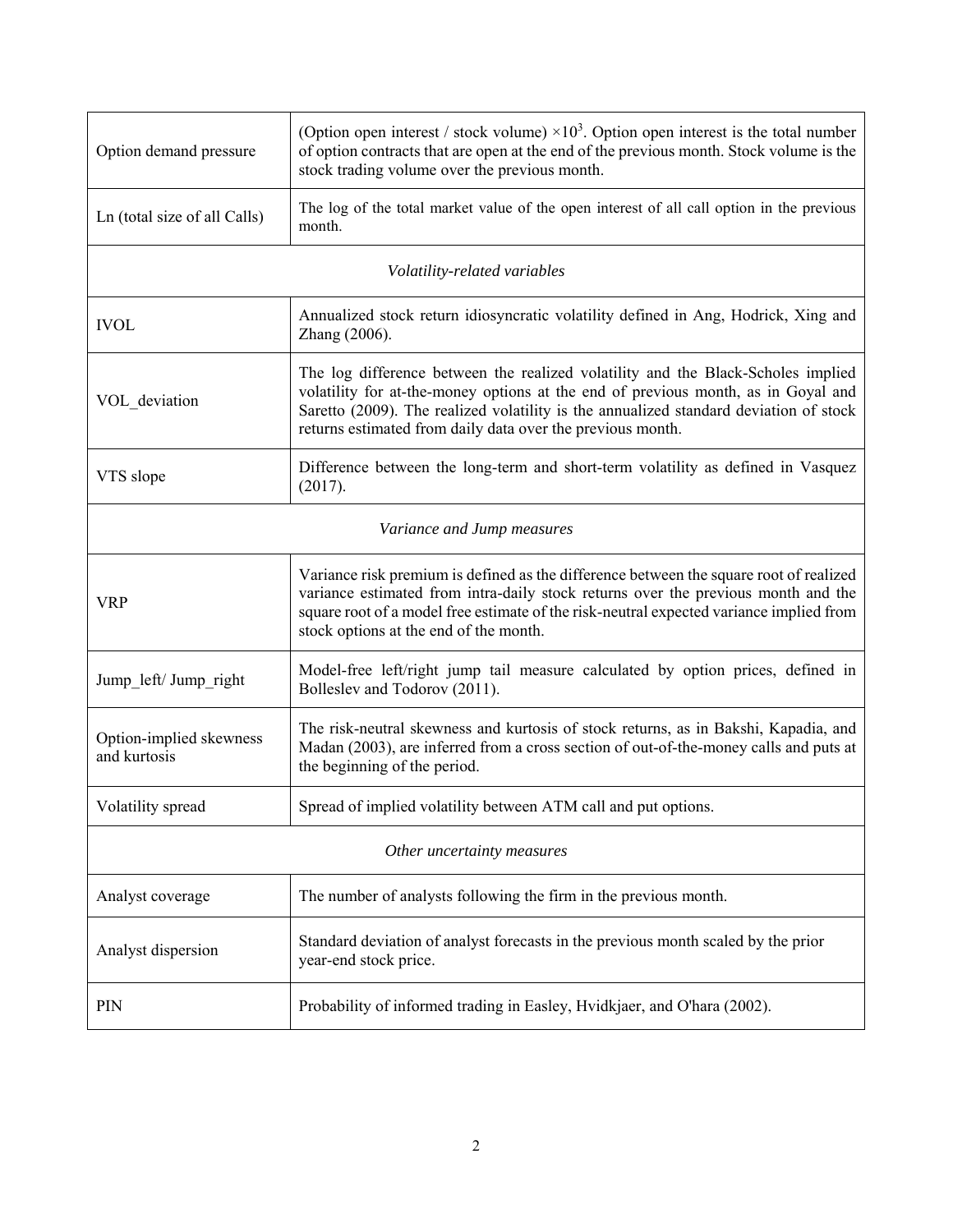| Option demand pressure                  | (Option open interest / stock volume) $\times 10^3$ . Option open interest is the total number<br>of option contracts that are open at the end of the previous month. Stock volume is the<br>stock trading volume over the previous month.                                                                                   |  |
|-----------------------------------------|------------------------------------------------------------------------------------------------------------------------------------------------------------------------------------------------------------------------------------------------------------------------------------------------------------------------------|--|
| Ln (total size of all Calls)            | The log of the total market value of the open interest of all call option in the previous<br>month.                                                                                                                                                                                                                          |  |
|                                         | Volatility-related variables                                                                                                                                                                                                                                                                                                 |  |
| <b>IVOL</b>                             | Annualized stock return idiosyncratic volatility defined in Ang, Hodrick, Xing and<br>Zhang (2006).                                                                                                                                                                                                                          |  |
| VOL deviation                           | The log difference between the realized volatility and the Black-Scholes implied<br>volatility for at-the-money options at the end of previous month, as in Goyal and<br>Saretto (2009). The realized volatility is the annualized standard deviation of stock<br>returns estimated from daily data over the previous month. |  |
| VTS slope                               | Difference between the long-term and short-term volatility as defined in Vasquez<br>(2017).                                                                                                                                                                                                                                  |  |
| Variance and Jump measures              |                                                                                                                                                                                                                                                                                                                              |  |
| <b>VRP</b>                              | Variance risk premium is defined as the difference between the square root of realized<br>variance estimated from intra-daily stock returns over the previous month and the<br>square root of a model free estimate of the risk-neutral expected variance implied from<br>stock options at the end of the month.             |  |
| Jump left/Jump right                    | Model-free left/right jump tail measure calculated by option prices, defined in<br>Bolleslev and Todorov (2011).                                                                                                                                                                                                             |  |
| Option-implied skewness<br>and kurtosis | The risk-neutral skewness and kurtosis of stock returns, as in Bakshi, Kapadia, and<br>Madan (2003), are inferred from a cross section of out-of-the-money calls and puts at<br>the beginning of the period.                                                                                                                 |  |
| Volatility spread                       | Spread of implied volatility between ATM call and put options.                                                                                                                                                                                                                                                               |  |
| Other uncertainty measures              |                                                                                                                                                                                                                                                                                                                              |  |
| Analyst coverage                        | The number of analysts following the firm in the previous month.                                                                                                                                                                                                                                                             |  |
| Analyst dispersion                      | Standard deviation of analyst forecasts in the previous month scaled by the prior<br>year-end stock price.                                                                                                                                                                                                                   |  |
| PIN                                     | Probability of informed trading in Easley, Hvidkjaer, and O'hara (2002).                                                                                                                                                                                                                                                     |  |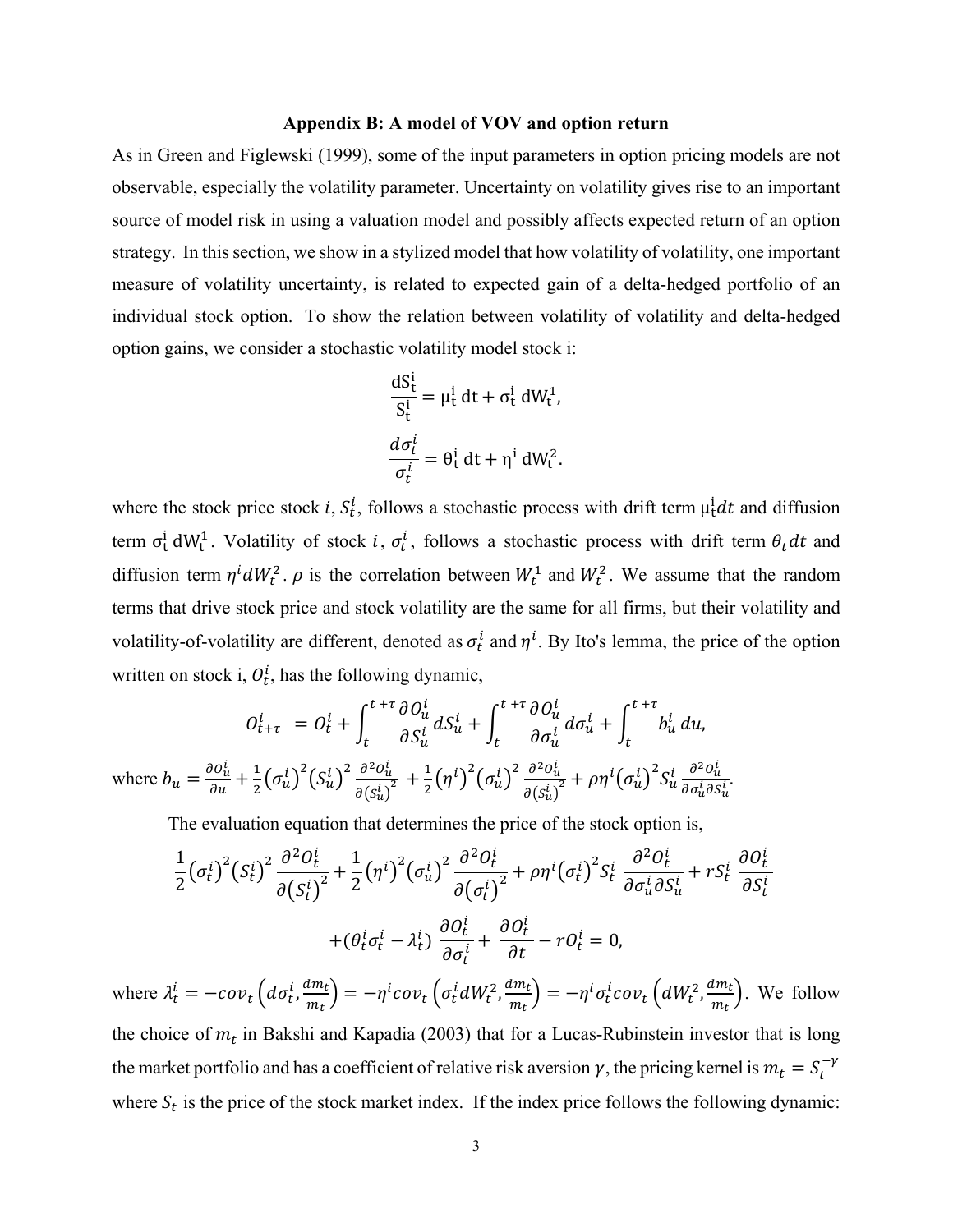#### **Appendix B: A model of VOV and option return**

As in Green and Figlewski (1999), some of the input parameters in option pricing models are not observable, especially the volatility parameter. Uncertainty on volatility gives rise to an important source of model risk in using a valuation model and possibly affects expected return of an option strategy. In this section, we show in a stylized model that how volatility of volatility, one important measure of volatility uncertainty, is related to expected gain of a delta-hedged portfolio of an individual stock option. To show the relation between volatility of volatility and delta-hedged option gains, we consider a stochastic volatility model stock i:

$$
\frac{dS_t^i}{S_t^i} = \mu_t^i dt + \sigma_t^i dW_t^1,
$$
  

$$
\frac{d\sigma_t^i}{\sigma_t^i} = \theta_t^i dt + \eta^i dW_t^2.
$$

where the stock price stock *i*,  $S_t^i$ , follows a stochastic process with drift term  $\mu_t^i dt$  and diffusion term  $\sigma_t^i$  dW<sub>t</sub><sup>1</sup>. Volatility of stock *i*,  $\sigma_t^i$ , follows a stochastic process with drift term  $\theta_t dt$  and diffusion term  $\eta^i dW_t^2$ .  $\rho$  is the correlation between  $W_t^1$  and  $W_t^2$ . We assume that the random terms that drive stock price and stock volatility are the same for all firms, but their volatility and volatility-of-volatility are different, denoted as  $\sigma_t^i$  and  $\eta^i$ . By Ito's lemma, the price of the option written on stock i,  $O_t^i$ , has the following dynamic,

$$
O_{t+\tau}^{i} = O_t^i + \int_t^{t+\tau} \frac{\partial O_u^i}{\partial S_u^i} dS_u^i + \int_t^{t+\tau} \frac{\partial O_u^i}{\partial \sigma_u^i} d\sigma_u^i + \int_t^{t+\tau} b_u^i du,
$$
  
where 
$$
b_u = \frac{\partial o_u^i}{\partial u} + \frac{1}{2} (\sigma_u^i)^2 (S_u^i)^2 \frac{\partial^2 o_u^i}{\partial (S_u^i)^2} + \frac{1}{2} (\eta^i)^2 (\sigma_u^i)^2 \frac{\partial^2 o_u^i}{\partial (S_u^i)^2} + \rho \eta^i (\sigma_u^i)^2 S_u^i \frac{\partial^2 o_u^i}{\partial \sigma_u^i \partial S_u^i}.
$$

The evaluation equation that determines the price of the stock option is,

$$
\frac{1}{2} \left(\sigma_t^i\right)^2 \left(S_t^i\right)^2 \frac{\partial^2 O_t^i}{\partial \left(S_t^i\right)^2} + \frac{1}{2} \left(\eta^i\right)^2 \left(\sigma_u^i\right)^2 \frac{\partial^2 O_t^i}{\partial \left(\sigma_t^i\right)^2} + \rho \eta^i \left(\sigma_t^i\right)^2 S_t^i \frac{\partial^2 O_t^i}{\partial \sigma_u^i \partial S_u^i} + r S_t^i \frac{\partial O_t^i}{\partial S_t^i} + \theta \eta^i \left(\sigma_t^i \right)^2 S_t^i \frac{\partial^2 O_t^i}{\partial \sigma_u^i \partial S_u^i} + r S_t^i \frac{\partial O_t^i}{\partial S_t^i} + \theta \eta^i \left(\sigma_t^i \right)^2 S_t^i \frac{\partial^2 O_t^i}{\partial \sigma_u^i \partial S_u^i} + r S_t^i \frac{\partial O_t^i}{\partial S_t^i}
$$

where  $\lambda_t^i = -\cos\theta_t \left(d\sigma_t^i, \frac{dm_t}{m_t}\right)$  $\left(\frac{dm_t}{m_t}\right) = -\eta^i cov_t \left(\sigma^i_t dW^2_t, \frac{dm_t}{m_t}\right)$  $\frac{dm_t}{m_t}$  =  $-\eta^i \sigma_t^i cov_t \left(dW_t^2, \frac{dm_t}{m_t}\right)$  $\frac{dm_t}{m_t}$ . We follow the choice of  $m_t$  in Bakshi and Kapadia (2003) that for a Lucas-Rubinstein investor that is long the market portfolio and has a coefficient of relative risk aversion  $\gamma$ , the pricing kernel is  $m_t = S_t^{-\gamma}$ where  $S_t$  is the price of the stock market index. If the index price follows the following dynamic: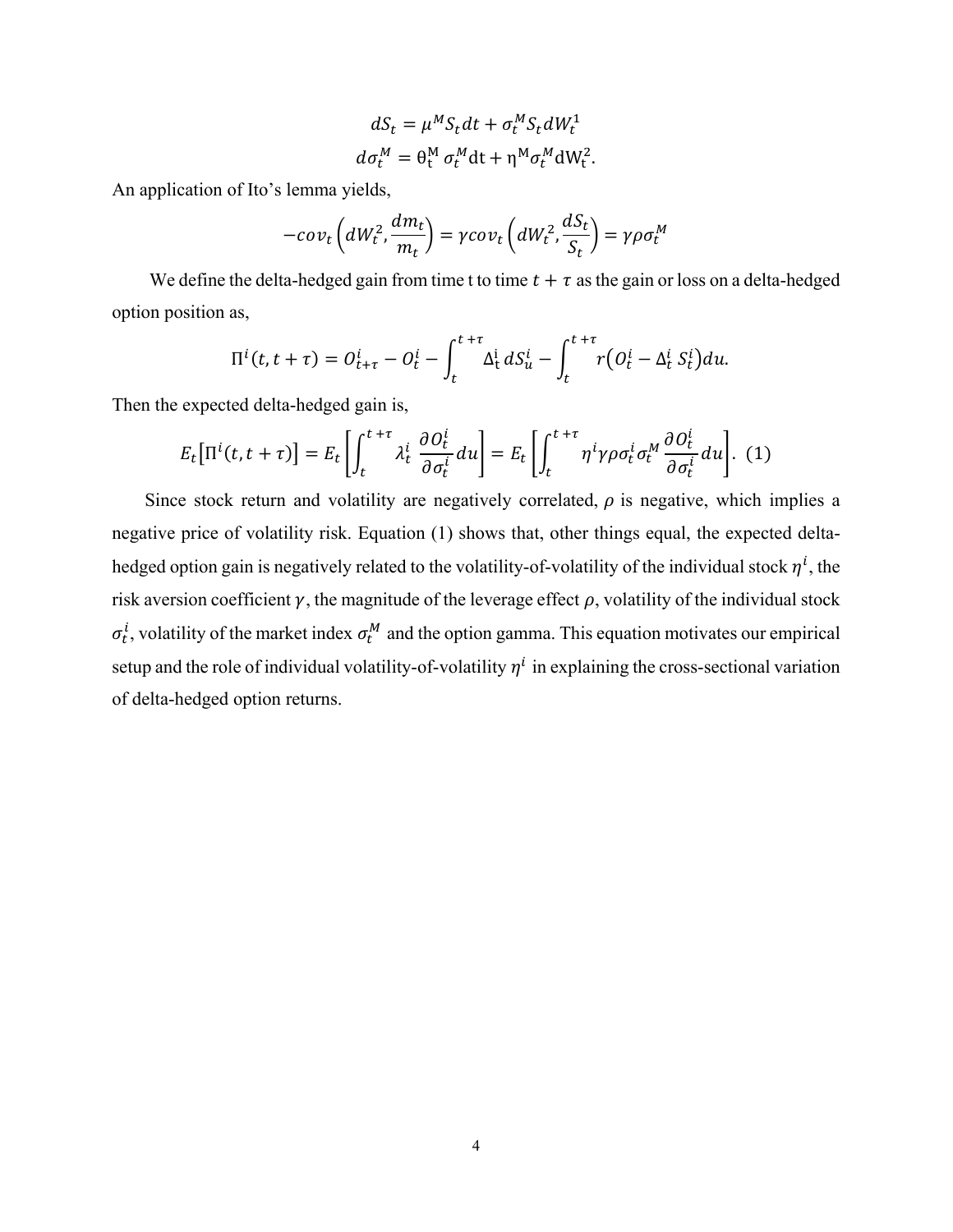$$
dS_t = \mu^M S_t dt + \sigma_t^M S_t dW_t^1
$$
  

$$
d\sigma_t^M = \theta_t^M \sigma_t^M dt + \eta^M \sigma_t^M dW_t^2.
$$

An application of Ito's lemma yields,

$$
-cov_t\left(dW_t^2, \frac{dm_t}{m_t}\right) = \gamma cov_t\left(dW_t^2, \frac{dS_t}{S_t}\right) = \gamma \rho \sigma_t^M
$$

We define the delta-hedged gain from time t to time  $t + \tau$  as the gain or loss on a delta-hedged option position as,

$$
\Pi^i(t, t+\tau) = O_{t+\tau}^i - O_t^i - \int_t^{t+\tau} \Delta_t^i dS_u^i - \int_t^{t+\tau} r\big(O_t^i - \Delta_t^i S_t^i\big) du.
$$

Then the expected delta-hedged gain is,

$$
E_t[\Pi^i(t, t + \tau)] = E_t\left[\int_t^{t + \tau} \lambda^i_t \frac{\partial O^i_t}{\partial \sigma^i_t} du\right] = E_t\left[\int_t^{t + \tau} \eta^i \gamma \rho \sigma^i_t \sigma^M_t \frac{\partial O^i_t}{\partial \sigma^i_t} du\right].
$$
 (1)

Since stock return and volatility are negatively correlated,  $\rho$  is negative, which implies a negative price of volatility risk. Equation (1) shows that, other things equal, the expected deltahedged option gain is negatively related to the volatility-of-volatility of the individual stock  $\eta^i$ , the risk aversion coefficient  $\gamma$ , the magnitude of the leverage effect  $\rho$ , volatility of the individual stock  $\sigma_t^i$ , volatility of the market index  $\sigma_t^M$  and the option gamma. This equation motivates our empirical setup and the role of individual volatility-of-volatility  $\eta^i$  in explaining the cross-sectional variation of delta-hedged option returns.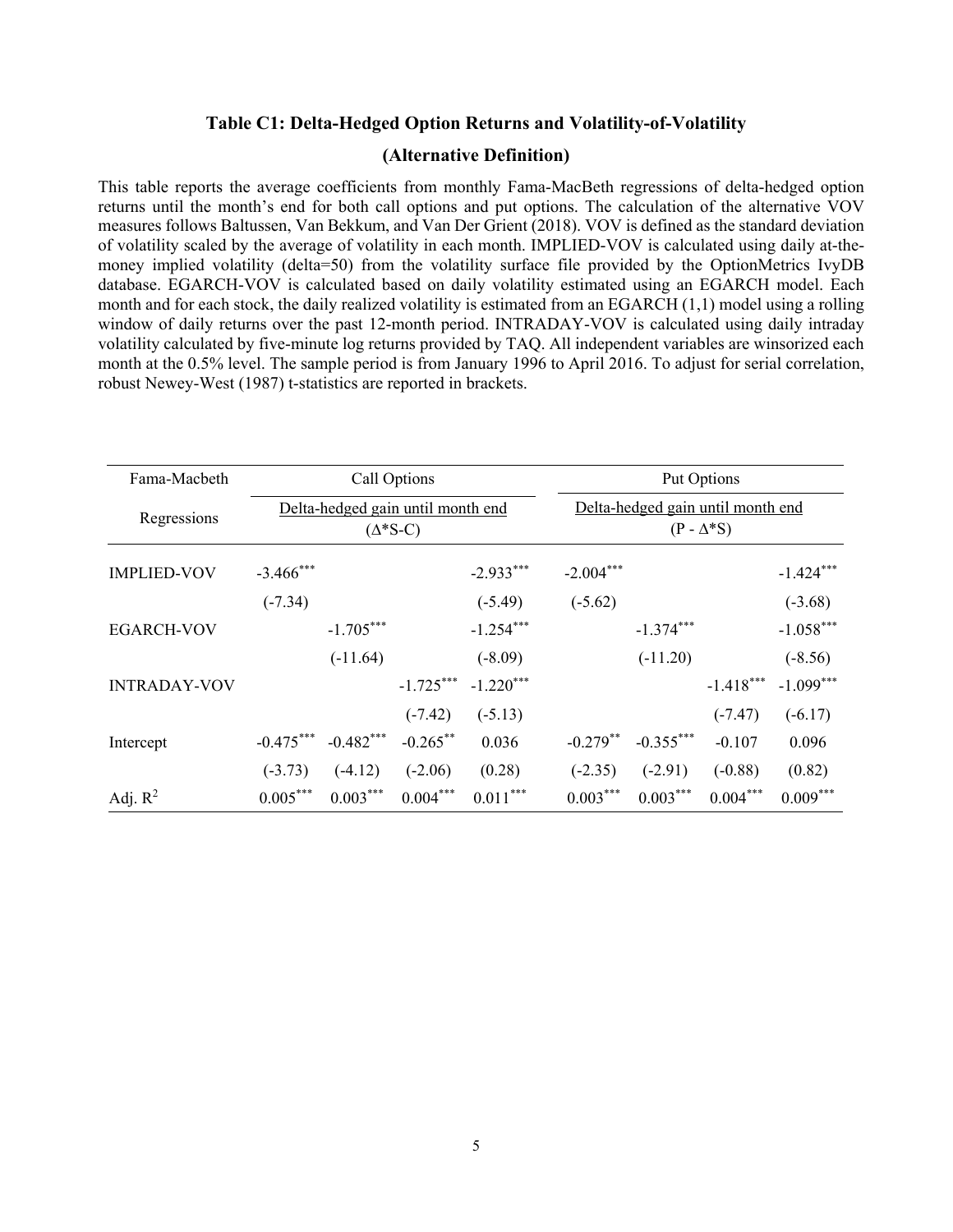#### **Table C1: Delta-Hedged Option Returns and Volatility-of-Volatility**

#### **(Alternative Definition)**

This table reports the average coefficients from monthly Fama-MacBeth regressions of delta-hedged option returns until the month's end for both call options and put options. The calculation of the alternative VOV measures follows Baltussen, Van Bekkum, and Van Der Grient (2018). VOV is defined as the standard deviation of volatility scaled by the average of volatility in each month. IMPLIED-VOV is calculated using daily at-themoney implied volatility (delta=50) from the volatility surface file provided by the OptionMetrics IvyDB database. EGARCH-VOV is calculated based on daily volatility estimated using an EGARCH model. Each month and for each stock, the daily realized volatility is estimated from an EGARCH (1,1) model using a rolling window of daily returns over the past 12-month period. INTRADAY-VOV is calculated using daily intraday volatility calculated by five-minute log returns provided by TAQ. All independent variables are winsorized each month at the 0.5% level. The sample period is from January 1996 to April 2016. To adjust for serial correlation, robust Newey-West (1987) t-statistics are reported in brackets.

| Fama-Macbeth        | Call Options                                         |             |             |                                                        | Put Options |             |             |             |
|---------------------|------------------------------------------------------|-------------|-------------|--------------------------------------------------------|-------------|-------------|-------------|-------------|
| Regressions         | Delta-hedged gain until month end<br>$(\Delta$ *S-C) |             |             | Delta-hedged gain until month end<br>$(P - \Delta^*S)$ |             |             |             |             |
| <b>IMPLIED-VOV</b>  | $-3.466$ ***                                         |             |             | $-2.933***$                                            | $-2.004***$ |             |             | $-1.424***$ |
|                     | $(-7.34)$                                            |             |             | $(-5.49)$                                              | $(-5.62)$   |             |             | $(-3.68)$   |
| EGARCH-VOV          |                                                      | $-1.705***$ |             | $-1.254***$                                            |             | $-1.374***$ |             | $-1.058***$ |
|                     |                                                      | $(-11.64)$  |             | $(-8.09)$                                              |             | $(-11.20)$  |             | $(-8.56)$   |
| <b>INTRADAY-VOV</b> |                                                      |             | $-1.725***$ | $-1.220***$                                            |             |             | $-1.418***$ | $-1.099***$ |
|                     |                                                      |             | $(-7.42)$   | $(-5.13)$                                              |             |             | $(-7.47)$   | $(-6.17)$   |
| Intercept           | $-0.475***$                                          | $-0.482***$ | $-0.265***$ | 0.036                                                  | $-0.279**$  | $-0.355***$ | $-0.107$    | 0.096       |
|                     | $(-3.73)$                                            | $(-4.12)$   | $(-2.06)$   | (0.28)                                                 | $(-2.35)$   | $(-2.91)$   | $(-0.88)$   | (0.82)      |
| Adj. $R^2$          | $0.005***$                                           | $0.003***$  | $0.004***$  | $0.011***$                                             | $0.003***$  | $0.003***$  | $0.004***$  | $0.009***$  |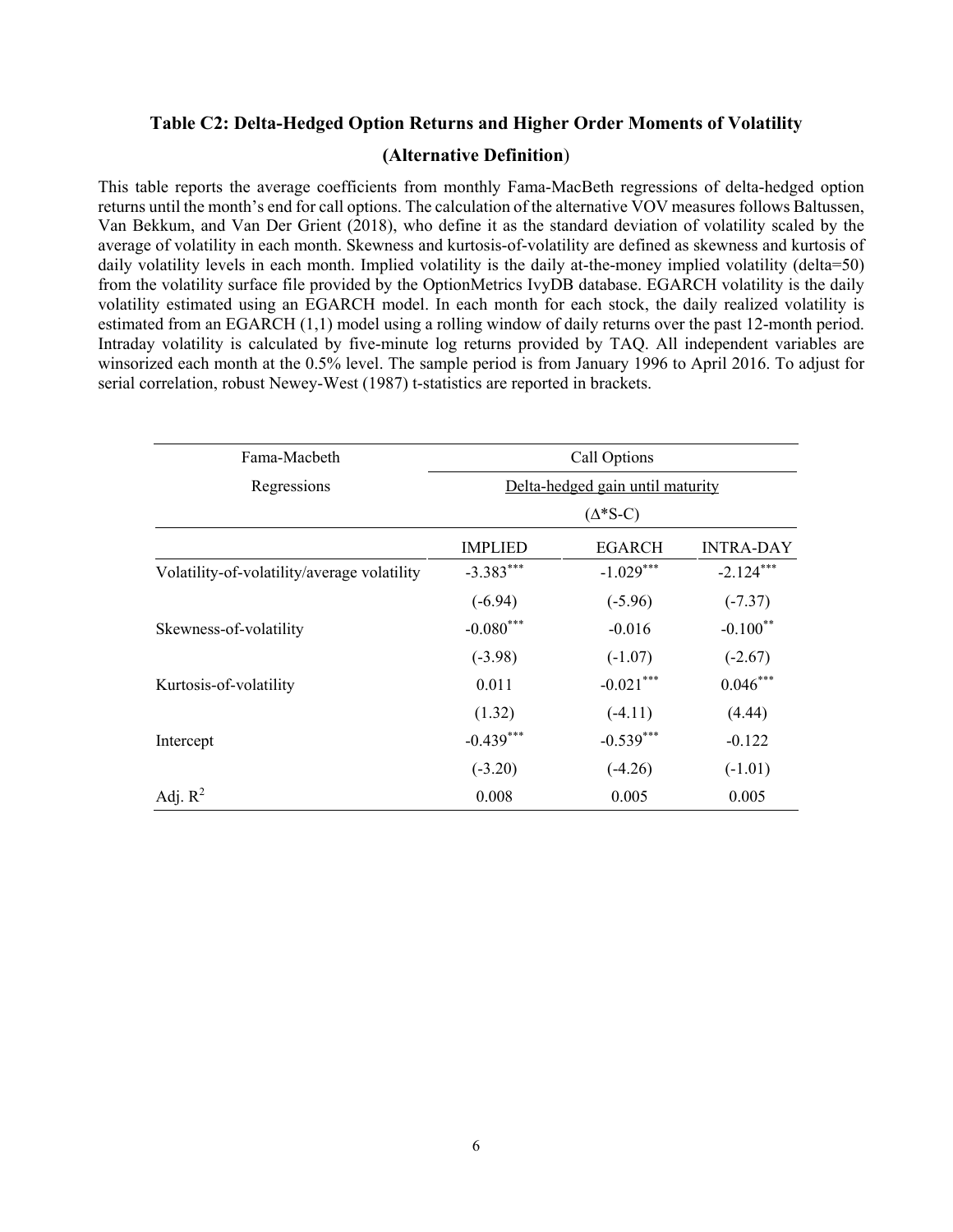#### **Table C2: Delta-Hedged Option Returns and Higher Order Moments of Volatility**

#### **(Alternative Definition**)

This table reports the average coefficients from monthly Fama-MacBeth regressions of delta-hedged option returns until the month's end for call options. The calculation of the alternative VOV measures follows Baltussen, Van Bekkum, and Van Der Grient (2018), who define it as the standard deviation of volatility scaled by the average of volatility in each month. Skewness and kurtosis-of-volatility are defined as skewness and kurtosis of daily volatility levels in each month. Implied volatility is the daily at-the-money implied volatility (delta=50) from the volatility surface file provided by the OptionMetrics IvyDB database. EGARCH volatility is the daily volatility estimated using an EGARCH model. In each month for each stock, the daily realized volatility is estimated from an EGARCH (1,1) model using a rolling window of daily returns over the past 12-month period. Intraday volatility is calculated by five-minute log returns provided by TAQ. All independent variables are winsorized each month at the 0.5% level. The sample period is from January 1996 to April 2016. To adjust for serial correlation, robust Newey-West (1987) t-statistics are reported in brackets.

| Fama-Macbeth                                | Call Options                     |               |                  |  |  |  |
|---------------------------------------------|----------------------------------|---------------|------------------|--|--|--|
| Regressions                                 | Delta-hedged gain until maturity |               |                  |  |  |  |
|                                             | $(\Delta$ *S-C)                  |               |                  |  |  |  |
|                                             | <b>IMPLIED</b>                   | <b>EGARCH</b> | <b>INTRA-DAY</b> |  |  |  |
| Volatility-of-volatility/average volatility | $-3.383***$                      | $-1.029***$   | $-2.124***$      |  |  |  |
|                                             | $(-6.94)$                        | $(-5.96)$     | $(-7.37)$        |  |  |  |
| Skewness-of-volatility                      | $-0.080***$                      | $-0.016$      | $-0.100**$       |  |  |  |
|                                             | $(-3.98)$                        | $(-1.07)$     | $(-2.67)$        |  |  |  |
| Kurtosis-of-volatility                      | 0.011                            | $-0.021***$   | $0.046***$       |  |  |  |
|                                             | (1.32)                           | $(-4.11)$     | (4.44)           |  |  |  |
| Intercept                                   | $-0.439***$                      | $-0.539***$   | $-0.122$         |  |  |  |
|                                             | $(-3.20)$                        | $(-4.26)$     | $(-1.01)$        |  |  |  |
| Adj. $R^2$                                  | 0.008                            | 0.005         | 0.005            |  |  |  |